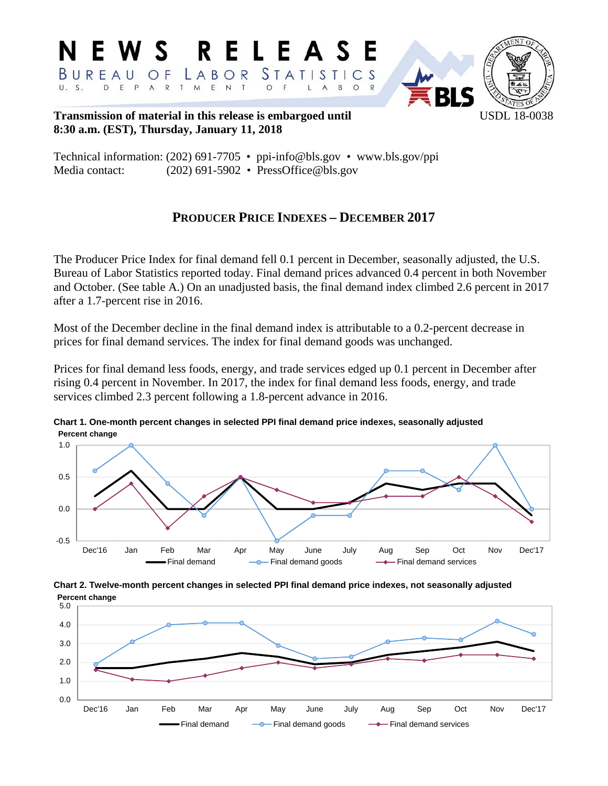

**Transmission of material in this release is embargoed until USDL 18-0038 8:30 a.m. (EST), Thursday, January 11, 2018** 

Technical information: (202) 691-7705 • ppi-info@bls.gov • www.bls.gov/ppi Media contact: (202) 691-5902 • PressOffice@bls.gov

# **PRODUCER PRICE INDEXES – DECEMBER 2017**

The Producer Price Index for final demand fell 0.1 percent in December, seasonally adjusted, the U.S. Bureau of Labor Statistics reported today. Final demand prices advanced 0.4 percent in both November and October. (See table A.) On an unadjusted basis, the final demand index climbed 2.6 percent in 2017 after a 1.7-percent rise in 2016.

Most of the December decline in the final demand index is attributable to a 0.2-percent decrease in prices for final demand services. The index for final demand goods was unchanged.

Prices for final demand less foods, energy, and trade services edged up 0.1 percent in December after rising 0.4 percent in November. In 2017, the index for final demand less foods, energy, and trade services climbed 2.3 percent following a 1.8-percent advance in 2016.



**Chart 1. One-month percent changes in selected PPI final demand price indexes, seasonally adjusted Percent change**

**Chart 2. Twelve-month percent changes in selected PPI final demand price indexes, not seasonally adjusted Percent change**

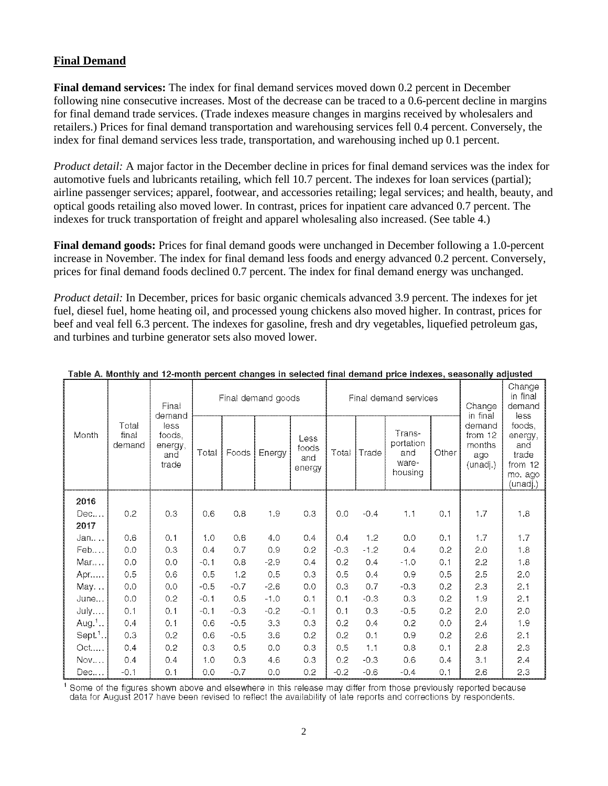# **Final Demand**

**Final demand services:** The index for final demand services moved down 0.2 percent in December following nine consecutive increases. Most of the decrease can be traced to a 0.6-percent decline in margins for final demand trade services. (Trade indexes measure changes in margins received by wholesalers and retailers.) Prices for final demand transportation and warehousing services fell 0.4 percent. Conversely, the index for final demand services less trade, transportation, and warehousing inched up 0.1 percent.

*Product detail:* A major factor in the December decline in prices for final demand services was the index for automotive fuels and lubricants retailing, which fell 10.7 percent. The indexes for loan services (partial); airline passenger services; apparel, footwear, and accessories retailing; legal services; and health, beauty, and optical goods retailing also moved lower. In contrast, prices for inpatient care advanced 0.7 percent. The indexes for truck transportation of freight and apparel wholesaling also increased. (See table 4.)

**Final demand goods:** Prices for final demand goods were unchanged in December following a 1.0-percent increase in November. The index for final demand less foods and energy advanced 0.2 percent. Conversely, prices for final demand foods declined 0.7 percent. The index for final demand energy was unchanged.

*Product detail:* In December, prices for basic organic chemicals advanced 3.9 percent. The indexes for jet fuel, diesel fuel, home heating oil, and processed young chickens also moved higher. In contrast, prices for beef and veal fell 6.3 percent. The indexes for gasoline, fresh and dry vegetables, liquefied petroleum gas, and turbines and turbine generator sets also moved lower.

|                                   | Final<br>demand                           |       |        | Final demand goods |                                |        |        |                                                | Final demand services | Change<br>in final                             | Change<br>in final<br>demand<br>less                                |     |
|-----------------------------------|-------------------------------------------|-------|--------|--------------------|--------------------------------|--------|--------|------------------------------------------------|-----------------------|------------------------------------------------|---------------------------------------------------------------------|-----|
| Total<br>Month<br>final<br>demand | less<br>foods,<br>energy,<br>and<br>trade | Total | Foods  | Energy             | Less<br>foods<br>and<br>energy | Total  | Trade  | Trans-<br>portation<br>and<br>ware-<br>housing | Other                 | demand<br>from 12<br>months<br>ago<br>(unadj.) | foods,<br>energy,<br>and<br>trade<br>from 12<br>mo. ago<br>(unadj.) |     |
| 2016                              |                                           |       |        |                    |                                |        |        |                                                |                       |                                                |                                                                     |     |
| Dec                               | 0.2                                       | 0.3   | 0.6    | 0.8                | 1.9                            | 0.3    | 0.0    | $-0.4$                                         | 1.1                   | 0.1                                            | 1.7                                                                 | 1.8 |
| 2017                              |                                           |       |        |                    |                                |        |        |                                                |                       |                                                |                                                                     |     |
| Jan                               | 0.6                                       | 0.1   | 1.0    | 0.6                | 4.0                            | 0.4    | 0.4    | 1.2                                            | 0.0                   | 0.1                                            | 1.7                                                                 | 1.7 |
| Feb                               | 0.0                                       | 0.3   | 0.4    | 0.7                | 0.9                            | 0.2    | $-0.3$ | $-1.2$                                         | 0.4                   | 0.2                                            | 2.0                                                                 | 1.8 |
| Mar                               | 0.0                                       | 0.0   | $-0.1$ | 0.8                | $-2.9$                         | 0.4    | 0.2    | 0.4                                            | $-1.0$                | 0.1                                            | 2.2                                                                 | 1.8 |
| Apr                               | 0.5                                       | 0.6   | 0.5    | 1.2                | 0.5                            | 0.3    | 0.5    | 0.4                                            | 0.9                   | 0.5                                            | 2.5                                                                 | 2.0 |
| May                               | 0.0                                       | 0.0   | $-0.5$ | $-0.7$             | $-2.6$                         | 0.0    | 0.3    | 0.7                                            | $-0.3$                | 0.2                                            | 2.3                                                                 | 2.1 |
| June                              | 0.0                                       | 0.2   | $-0.1$ | 0.5                | $-1.0$                         | 0.1    | 0.1    | $-0.3$                                         | 0.3                   | 0.2                                            | 1.9                                                                 | 2.1 |
| July                              | 0,1                                       | 0.1   | $-0.1$ | $-0.3$             | $-0.2$                         | $-0.1$ | 0.1    | 0.3                                            | $-0.5$                | 0.2                                            | 2.0                                                                 | 2.0 |
| Aug. $1$                          | 0.4                                       | 0.1   | 0.6    | $-0.5$             | 3.3                            | 0.3    | 0.2    | 0.4                                            | 0.2                   | 0.0                                            | 2.4                                                                 | 1.9 |
| Sept. <sup>1</sup>                | 0.3                                       | 0.2   | 0.6    | $-0.5$             | 3.6                            | 0.2    | 0.2    | 0.1                                            | 0.9                   | 0.2                                            | 2.6                                                                 | 2.1 |
| Oct                               | 0.4                                       | 0.2   | 0.3    | 0.5                | 0.0                            | 0.3    | 0.5    | 1.1                                            | 0.8                   | 0.1                                            | 2.8                                                                 | 2.3 |
| Nov                               | 0.4                                       | 0.4   | 1.0    | 0.3                | 4.6                            | 0.3    | 0.2    | $-0.3$                                         | 0.6                   | 0.4                                            | 3.1                                                                 | 2.4 |
| Dec                               | $-0.1$                                    | 0.1   | 0,0    | $-0.7$             | 0.0                            | 0.2    | $-0.2$ | $-0.6$                                         | $-0.4$                | 0.1                                            | 2.6                                                                 | 2.3 |

#### Table A. Monthly and 12-month percent changes in selected final demand price indexes, seasonally adjusted

Some of the figures shown above and elsewhere in this release may differ from those previously reported because data for August 2017 have been revised to reflect the availability of late reports and corrections by respondents.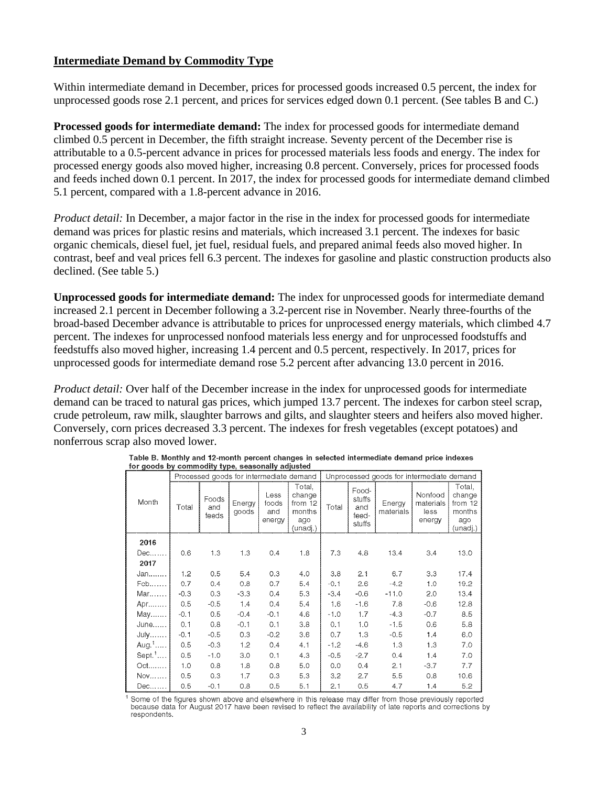# **Intermediate Demand by Commodity Type**

Within intermediate demand in December, prices for processed goods increased 0.5 percent, the index for unprocessed goods rose 2.1 percent, and prices for services edged down 0.1 percent. (See tables B and C.)

**Processed goods for intermediate demand:** The index for processed goods for intermediate demand climbed 0.5 percent in December, the fifth straight increase. Seventy percent of the December rise is attributable to a 0.5-percent advance in prices for processed materials less foods and energy. The index for processed energy goods also moved higher, increasing 0.8 percent. Conversely, prices for processed foods and feeds inched down 0.1 percent. In 2017, the index for processed goods for intermediate demand climbed 5.1 percent, compared with a 1.8-percent advance in 2016.

*Product detail:* In December, a major factor in the rise in the index for processed goods for intermediate demand was prices for plastic resins and materials, which increased 3.1 percent. The indexes for basic organic chemicals, diesel fuel, jet fuel, residual fuels, and prepared animal feeds also moved higher. In contrast, beef and veal prices fell 6.3 percent. The indexes for gasoline and plastic construction products also declined. (See table 5.)

**Unprocessed goods for intermediate demand:** The index for unprocessed goods for intermediate demand increased 2.1 percent in December following a 3.2-percent rise in November. Nearly three-fourths of the broad-based December advance is attributable to prices for unprocessed energy materials, which climbed 4.7 percent. The indexes for unprocessed nonfood materials less energy and for unprocessed foodstuffs and feedstuffs also moved higher, increasing 1.4 percent and 0.5 percent, respectively. In 2017, prices for unprocessed goods for intermediate demand rose 5.2 percent after advancing 13.0 percent in 2016.

*Product detail:* Over half of the December increase in the index for unprocessed goods for intermediate demand can be traced to natural gas prices, which jumped 13.7 percent. The indexes for carbon steel scrap, crude petroleum, raw milk, slaughter barrows and gilts, and slaughter steers and heifers also moved higher. Conversely, corn prices decreased 3.3 percent. The indexes for fresh vegetables (except potatoes) and nonferrous scrap also moved lower.

|                   | Processed goods for intermediate demand<br>Unprocessed goods for intermediate demand |                       |                 |                                |                                                          |        |                                           |                     |                                        |                                                          |
|-------------------|--------------------------------------------------------------------------------------|-----------------------|-----------------|--------------------------------|----------------------------------------------------------|--------|-------------------------------------------|---------------------|----------------------------------------|----------------------------------------------------------|
| Month             | Total                                                                                | Foods<br>and<br>feeds | Energy<br>goods | Less<br>foods<br>and<br>energy | Total,<br>change<br>from 12<br>months<br>ago<br>(unadj.) | Total  | Food-<br>stuffs<br>and<br>feed-<br>stuffs | Energy<br>materials | Nonfood<br>materials<br>less<br>energy | Total,<br>change<br>from 12<br>months<br>ago<br>(unadj.) |
| 2016              |                                                                                      |                       |                 |                                |                                                          |        |                                           |                     |                                        |                                                          |
| Dec               | 0.6                                                                                  | 1.3                   | 1.3             | 0.4                            | 1.8                                                      | 7.3    | 4.8                                       | 13.4                | 3.4                                    | 13.0                                                     |
| 2017              |                                                                                      |                       |                 |                                |                                                          |        |                                           |                     |                                        |                                                          |
| Jan               | 1.2                                                                                  | 0.5                   | 5.4             | 0.3                            | 4.0                                                      | 3.8    | 2.1                                       | 6.7                 | 3.3                                    | 17.4                                                     |
| F <sub>θ</sub> b  | 0.7                                                                                  | 0.4                   | 0.8             | 0.7                            | 5.4                                                      | $-0.1$ | 2.6                                       | $-4.2$              | 1.0                                    | 19.2                                                     |
| Mar               | $-0.3$                                                                               | 0.3                   | $-3.3$          | 0.4                            | 5.3                                                      | $-3.4$ | $-0.6$                                    | $-11.0$             | 2.0                                    | 13.4                                                     |
| Apr               | 0,5                                                                                  | $-0.5$                | 1.4             | 0.4                            | 5.4                                                      | 1.6    | $-1.6$                                    | 7,8                 | $-0.6$                                 | 12.8                                                     |
| May               | $-0.1$                                                                               | 0.5                   | $-0.4$          | $-0.1$                         | 4.6                                                      | -1.0   | 1.7                                       | $-4.3$              | $-0.7$                                 | 8.5                                                      |
| June              | 0,1                                                                                  | 0,8                   | $-0.1$          | 0.1                            | 3.8                                                      | 0.1    | 1.0                                       | $-1.5$              | 0.6                                    | 5.8                                                      |
| July              | $-0.1$                                                                               | $-0.5$                | 0.3             | $-0.2$                         | 3.6                                                      | 0.7    | 1.3                                       | $-0.5$              | 1.4                                    | 6.0                                                      |
| Aug. <sup>1</sup> | 0.5                                                                                  | $-0.3$                | 1.2             | 0.4                            | 4.1                                                      | $-1.2$ | $-4.6$                                    | 1,3                 | 1.3                                    | 7.0                                                      |
| Sept.1            | 0.5                                                                                  | $-1.0$                | 3.0             | 0.1                            | 4.3                                                      | $-0.5$ | $-2.7$                                    | 0.4                 | 1.4                                    | 7.0                                                      |
| $Oct.$            | 1.0                                                                                  | 0.8                   | 1.8             | 0.8                            | 5.0                                                      | 0.0    | 0.4                                       | 2.1                 | $-3.7$                                 | 7.7                                                      |
| Nov               | 0.5                                                                                  | 0.3                   | 1.7             | 0.3                            | 5.3                                                      | 3.2    | 2.7                                       | 5.5                 | 0.8                                    | 10.6                                                     |
| $Dec.$            | 0.5                                                                                  | $-0.1$                | 0.8             | 0.5                            | 5.1                                                      | 2.1    | 0.5                                       | 4.7                 | 1.4                                    | 5.2                                                      |

| Table B. Monthly and 12-month percent changes in selected intermediate demand price indexes |  |
|---------------------------------------------------------------------------------------------|--|
| for goods by commodity type, seasonally adjusted                                            |  |

Some of the figures shown above and elsewhere in this release may differ from those previously reported because data for August 2017 have been revised to reflect the availability of late reports and corrections by respondents.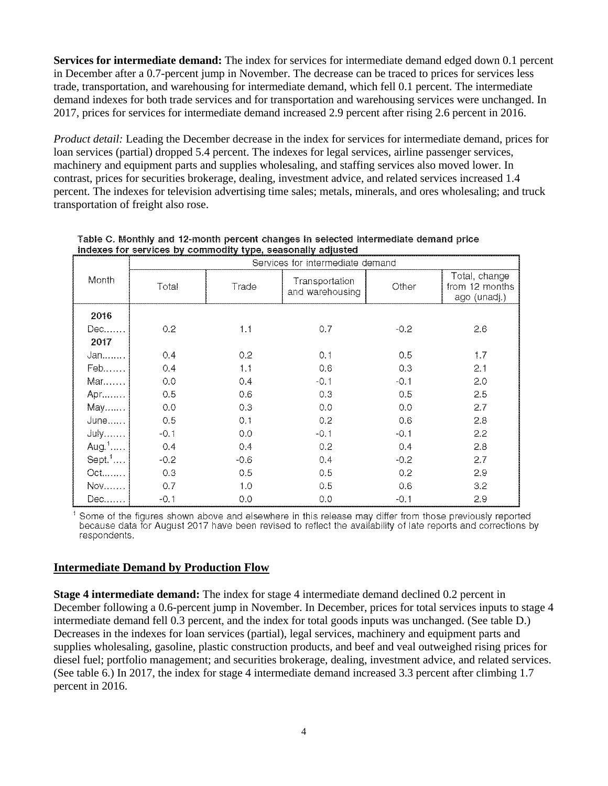**Services for intermediate demand:** The index for services for intermediate demand edged down 0.1 percent in December after a 0.7-percent jump in November. The decrease can be traced to prices for services less trade, transportation, and warehousing for intermediate demand, which fell 0.1 percent. The intermediate demand indexes for both trade services and for transportation and warehousing services were unchanged. In 2017, prices for services for intermediate demand increased 2.9 percent after rising 2.6 percent in 2016.

*Product detail:* Leading the December decrease in the index for services for intermediate demand, prices for loan services (partial) dropped 5.4 percent. The indexes for legal services, airline passenger services, machinery and equipment parts and supplies wholesaling, and staffing services also moved lower. In contrast, prices for securities brokerage, dealing, investment advice, and related services increased 1.4 percent. The indexes for television advertising time sales; metals, minerals, and ores wholesaling; and truck transportation of freight also rose.

|                      | Services for intermediate demand |        |                                   |        |                                                 |  |  |  |  |
|----------------------|----------------------------------|--------|-----------------------------------|--------|-------------------------------------------------|--|--|--|--|
| Month                | Total                            | Trade  | Transportation<br>and warehousing | Other  | Total, change<br>from 12 months<br>ago (unadj.) |  |  |  |  |
| 2016                 |                                  |        |                                   |        |                                                 |  |  |  |  |
| Dec                  | 0.2                              | 1.1    | 0.7                               | $-0.2$ | 2.6                                             |  |  |  |  |
| 2017                 |                                  |        |                                   |        |                                                 |  |  |  |  |
| Jan                  | 0.4                              | 0.2    | 0.1                               | 0.5    | 1.7                                             |  |  |  |  |
| Feb                  | 0.4                              | 1.1    | 0.6                               | 0.3    | 2.1                                             |  |  |  |  |
| Mar                  | 0.0                              | 0.4    | $-0.1$                            | $-0.1$ | 2.0                                             |  |  |  |  |
| Apr                  | 0.5                              | 0.6    | 0.3                               | 0.5    | 2.5                                             |  |  |  |  |
| May                  | 0.0                              | 0.3    | 0.0                               | 0,0    | 2.7                                             |  |  |  |  |
| June                 | 0.5                              | 0.1    | 0.2                               | 0.6    | 2.8                                             |  |  |  |  |
| July                 | $-0.1$                           | 0.0    | $-0.1$                            | $-0.1$ | 2.2                                             |  |  |  |  |
| Aug. <sup>1</sup>    | 0.4                              | 0.4    | 0.2                               | 0.4    | 2.8                                             |  |  |  |  |
| $Sept.$ <sup>1</sup> | $-0.2$                           | $-0.6$ | 0.4                               | $-0.2$ | 2.7                                             |  |  |  |  |
| Oct                  | 0.3                              | 0.5    | 0.5                               | 0.2    | 2.9                                             |  |  |  |  |
| <b>Nov</b>           | 0.7                              | 1.0    | 0.5                               | 0.6    | 3.2                                             |  |  |  |  |
| Dec                  | $-0.1$                           | 0.0    | 0.0                               | $-0.1$ | 2.9                                             |  |  |  |  |

Table C. Monthly and 12-month percent changes in selected intermediate demand price indexes for services by commodity type, seasonally adjusted

<sup>1</sup> Some of the figures shown above and elsewhere in this release may differ from those previously reported because data for August 2017 have been revised to reflect the availability of late reports and corrections by respondents.

# **Intermediate Demand by Production Flow**

**Stage 4 intermediate demand:** The index for stage 4 intermediate demand declined 0.2 percent in December following a 0.6-percent jump in November. In December, prices for total services inputs to stage 4 intermediate demand fell 0.3 percent, and the index for total goods inputs was unchanged. (See table D.) Decreases in the indexes for loan services (partial), legal services, machinery and equipment parts and supplies wholesaling, gasoline, plastic construction products, and beef and veal outweighed rising prices for diesel fuel; portfolio management; and securities brokerage, dealing, investment advice, and related services. (See table 6.) In 2017, the index for stage 4 intermediate demand increased 3.3 percent after climbing 1.7 percent in 2016.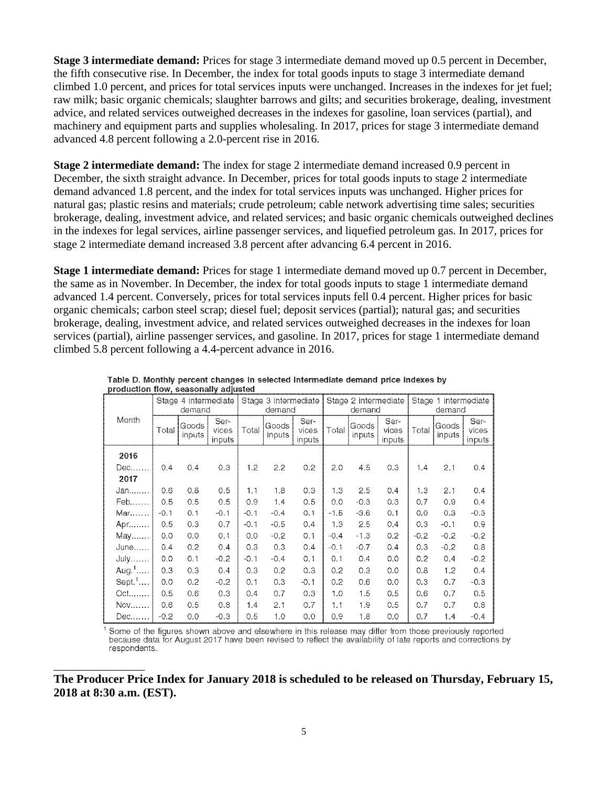**Stage 3 intermediate demand:** Prices for stage 3 intermediate demand moved up 0.5 percent in December, the fifth consecutive rise. In December, the index for total goods inputs to stage 3 intermediate demand climbed 1.0 percent, and prices for total services inputs were unchanged. Increases in the indexes for jet fuel; raw milk; basic organic chemicals; slaughter barrows and gilts; and securities brokerage, dealing, investment advice, and related services outweighed decreases in the indexes for gasoline, loan services (partial), and machinery and equipment parts and supplies wholesaling. In 2017, prices for stage 3 intermediate demand advanced 4.8 percent following a 2.0-percent rise in 2016.

**Stage 2 intermediate demand:** The index for stage 2 intermediate demand increased 0.9 percent in December, the sixth straight advance. In December, prices for total goods inputs to stage 2 intermediate demand advanced 1.8 percent, and the index for total services inputs was unchanged. Higher prices for natural gas; plastic resins and materials; crude petroleum; cable network advertising time sales; securities brokerage, dealing, investment advice, and related services; and basic organic chemicals outweighed declines in the indexes for legal services, airline passenger services, and liquefied petroleum gas. In 2017, prices for stage 2 intermediate demand increased 3.8 percent after advancing 6.4 percent in 2016.

**Stage 1 intermediate demand:** Prices for stage 1 intermediate demand moved up 0.7 percent in December, the same as in November. In December, the index for total goods inputs to stage 1 intermediate demand advanced 1.4 percent. Conversely, prices for total services inputs fell 0.4 percent. Higher prices for basic organic chemicals; carbon steel scrap; diesel fuel; deposit services (partial); natural gas; and securities brokerage, dealing, investment advice, and related services outweighed decreases in the indexes for loan services (partial), airline passenger services, and gasoline. In 2017, prices for stage 1 intermediate demand climbed 5.8 percent following a 4.4-percent advance in 2016.

|             |        | Stage 4 intermediate<br>demand |                         |        | Stage 3 intermediate<br>demand |                         |        | Stage 2 intermediate<br>demand |                         |        | Stage 1 intermediate<br>demand |                         |
|-------------|--------|--------------------------------|-------------------------|--------|--------------------------------|-------------------------|--------|--------------------------------|-------------------------|--------|--------------------------------|-------------------------|
| Month       | Total  | Goods<br>inputs                | Ser-<br>vices<br>inputs | Total  | Goods<br>inputs                | Ser-<br>vices<br>inputs | Total  | Goods<br>inputs                | Ser-<br>vices<br>inputs | Total  | Goods<br>inputs                | Ser-<br>vices<br>inputs |
| 2016        |        |                                |                         |        |                                |                         |        |                                |                         |        |                                |                         |
| Dec         | 0.4    | 0.4                            | 0.3                     | 1.2    | 2.2                            | 0.2                     | 2.0    | 4.5                            | 0.3                     | 1.4    | 2.1                            | 0.4                     |
| 2017        |        |                                |                         |        |                                |                         |        |                                |                         |        |                                |                         |
| $Jan$       | 0.6    | 0.8                            | 0.5                     | 1.1    | 1.8                            | 0.3                     | 1.3    | 2.5                            | 0.4                     | 1.3    | 2.1                            | 0.4                     |
| Feb         | 0.5    | 0.5                            | 0.5                     | 0.9    | 1.4                            | 0.5                     | 0.0    | $-0.3$                         | 0.3                     | 0.7    | 0.9                            | 0.4                     |
| Mar         | $-0.1$ | 0.1                            | $-0.1$                  | $-0.1$ | $-0.4$                         | 0.1                     | $-1.5$ | $-3.6$                         | 0.1                     | 0.0    | 0.3                            | $-0.3$                  |
| Apr $\dots$ | 0.5    | 0.3                            | 0.7                     | $-0.1$ | $-0.5$                         | 0.4                     | 1.3    | 2.5                            | 0,4                     | 0.3    | $-0.1$                         | 0.9                     |
| May         | 0.0    | 0.0                            | 0.1                     | 0.0    | $-0.2$                         | 0.1                     | $-0.4$ | $-1.3$                         | 0.2                     | $-0.2$ | $-0.2$                         | $-0.2$                  |
| June        | 0.4    | 0.2                            | 0.4                     | 0.3    | 0.3                            | 0.4                     | $-0.1$ | $-0.7$                         | 0.4                     | 0.3    | $-0.2$                         | 0.8                     |
| <b>July</b> | 0.0    | 0.1                            | $-0.2$                  | $-0.1$ | $-0.4$                         | 0.1                     | 0.1    | 0.4                            | 0.0                     | 0.2    | 0.4                            | $-0.2$                  |
| Aug. $1$    | 0.3    | 0.3                            | 0.4                     | 0.3    | 0.2                            | 0.3                     | 0.2    | 0.3                            | 0.0                     | 0.8    | 1.2                            | 0.4                     |
| Sept. $1$   | 0.0    | 0.2                            | $-0.2$                  | 0.1    | 0.3                            | $-0.1$                  | 0.2    | 0.6                            | 0.0                     | 0.3    | 0.7                            | $-0.3$                  |
| $Oct.$      | 0.5    | 0.6                            | 0.3                     | 0.4    | 0.7                            | 0.3                     | 1.0    | 1.5                            | 0.5                     | 0.6    | 0.7                            | 0.5                     |
| Nov         | 0.6    | 0.5                            | 0.8                     | 1.4    | 2.1                            | 0.7                     | 1.1    | 1.9                            | 0.5                     | 0.7    | 0.7                            | 0.8                     |
| Dec         | $-0.2$ | 0.0                            | $-0.3$                  | 0.5    | 1.0                            | 0.0                     | 0.9    | 1.8                            | 0.0                     | 0.7    | 1.4                            | $-0.4$                  |

Table D. Monthly percent changes in selected intermediate demand price indexes by production flow, seasonally adjusted

Some of the figures shown above and elsewhere in this release may differ from those previously reported because data for August 2017 have been revised to reflect the availability of late reports and corrections by respondents.

**The Producer Price Index for January 2018 is scheduled to be released on Thursday, February 15, 2018 at 8:30 a.m. (EST).** 

\_\_\_\_\_\_\_\_\_\_\_\_\_\_\_\_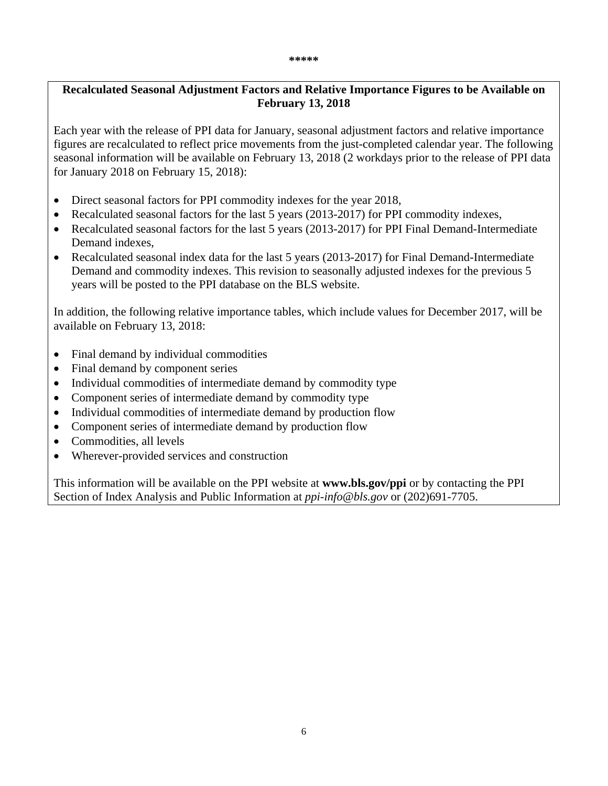#### **\*\*\*\*\***

# **Recalculated Seasonal Adjustment Factors and Relative Importance Figures to be Available on February 13, 2018**

Each year with the release of PPI data for January, seasonal adjustment factors and relative importance figures are recalculated to reflect price movements from the just-completed calendar year. The following seasonal information will be available on February 13, 2018 (2 workdays prior to the release of PPI data for January 2018 on February 15, 2018):

- Direct seasonal factors for PPI commodity indexes for the year 2018,
- Recalculated seasonal factors for the last 5 years (2013-2017) for PPI commodity indexes,
- Recalculated seasonal factors for the last 5 years (2013-2017) for PPI Final Demand-Intermediate Demand indexes,
- Recalculated seasonal index data for the last 5 years (2013-2017) for Final Demand-Intermediate Demand and commodity indexes. This revision to seasonally adjusted indexes for the previous 5 years will be posted to the PPI database on the BLS website.

In addition, the following relative importance tables, which include values for December 2017, will be available on February 13, 2018:

- Final demand by individual commodities
- Final demand by component series
- Individual commodities of intermediate demand by commodity type
- Component series of intermediate demand by commodity type
- Individual commodities of intermediate demand by production flow
- Component series of intermediate demand by production flow
- Commodities, all levels
- Wherever-provided services and construction

This information will be available on the PPI website at **www.bls.gov/ppi** or by contacting the PPI Section of Index Analysis and Public Information at *ppi-info@bls.gov* or (202)691-7705.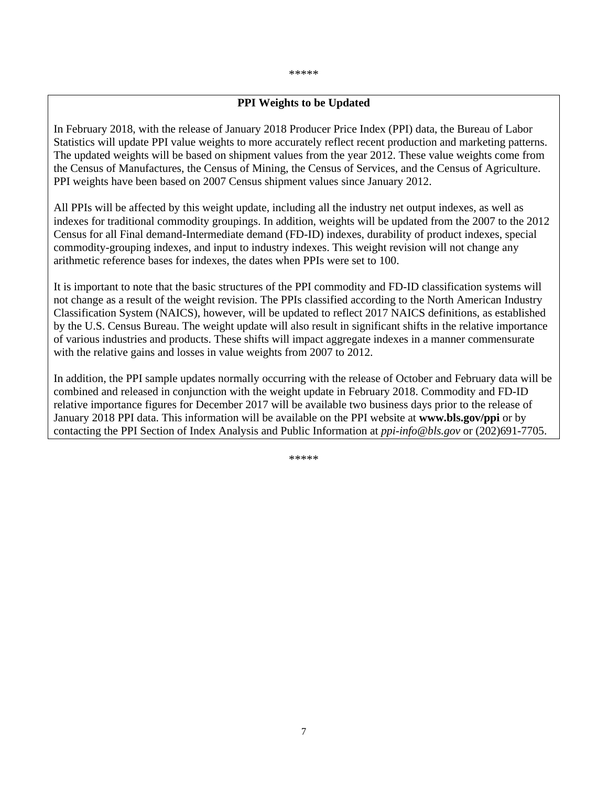#### \*\*\*\*\*

#### **PPI Weights to be Updated**

In February 2018, with the release of January 2018 Producer Price Index (PPI) data, the Bureau of Labor Statistics will update PPI value weights to more accurately reflect recent production and marketing patterns. The updated weights will be based on shipment values from the year 2012. These value weights come from the Census of Manufactures, the Census of Mining, the Census of Services, and the Census of Agriculture. PPI weights have been based on 2007 Census shipment values since January 2012.

All PPIs will be affected by this weight update, including all the industry net output indexes, as well as indexes for traditional commodity groupings. In addition, weights will be updated from the 2007 to the 2012 Census for all Final demand-Intermediate demand (FD-ID) indexes, durability of product indexes, special commodity-grouping indexes, and input to industry indexes. This weight revision will not change any arithmetic reference bases for indexes, the dates when PPIs were set to 100.

It is important to note that the basic structures of the PPI commodity and FD-ID classification systems will not change as a result of the weight revision. The PPIs classified according to the North American Industry Classification System (NAICS), however, will be updated to reflect 2017 NAICS definitions, as established by the U.S. Census Bureau. The weight update will also result in significant shifts in the relative importance of various industries and products. These shifts will impact aggregate indexes in a manner commensurate with the relative gains and losses in value weights from 2007 to 2012.

In addition, the PPI sample updates normally occurring with the release of October and February data will be combined and released in conjunction with the weight update in February 2018. Commodity and FD-ID relative importance figures for December 2017 will be available two business days prior to the release of January 2018 PPI data. This information will be available on the PPI website at **www.bls.gov/ppi** or by contacting the PPI Section of Index Analysis and Public Information at *ppi-info@bls.gov* or (202)691-7705.

\*\*\*\*\*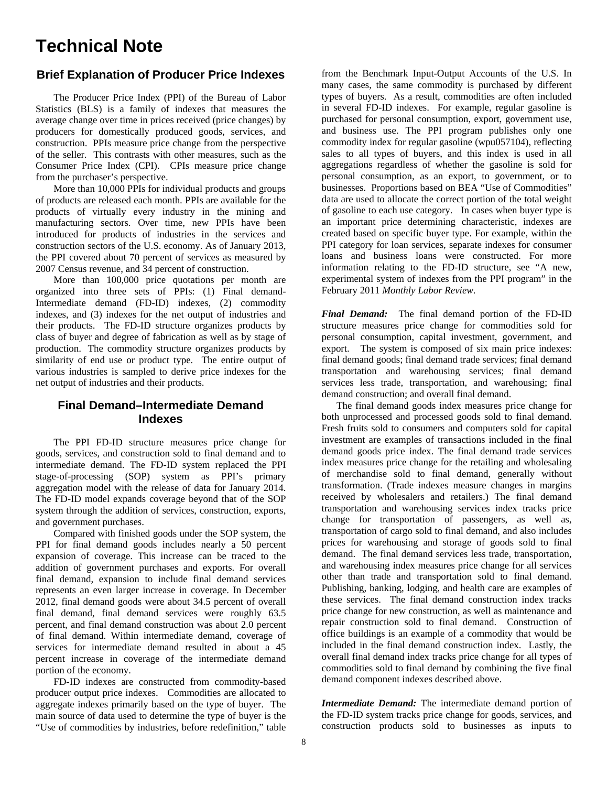# **Technical Note**

# **Brief Explanation of Producer Price Indexes**

The Producer Price Index (PPI) of the Bureau of Labor Statistics (BLS) is a family of indexes that measures the average change over time in prices received (price changes) by producers for domestically produced goods, services, and construction. PPIs measure price change from the perspective of the seller. This contrasts with other measures, such as the Consumer Price Index (CPI). CPIs measure price change from the purchaser's perspective.

 More than 10,000 PPIs for individual products and groups of products are released each month. PPIs are available for the products of virtually every industry in the mining and manufacturing sectors. Over time, new PPIs have been introduced for products of industries in the services and construction sectors of the U.S. economy. As of January 2013, the PPI covered about 70 percent of services as measured by 2007 Census revenue, and 34 percent of construction.

More than 100,000 price quotations per month are organized into three sets of PPIs: (1) Final demand-Intermediate demand (FD-ID) indexes, (2) commodity indexes, and (3) indexes for the net output of industries and their products. The FD-ID structure organizes products by class of buyer and degree of fabrication as well as by stage of production. The commodity structure organizes products by similarity of end use or product type. The entire output of various industries is sampled to derive price indexes for the net output of industries and their products.

# **Final Demand–Intermediate Demand Indexes**

 The PPI FD-ID structure measures price change for goods, services, and construction sold to final demand and to intermediate demand. The FD-ID system replaced the PPI stage-of-processing (SOP) system as PPI's primary aggregation model with the release of data for January 2014. The FD-ID model expands coverage beyond that of the SOP system through the addition of services, construction, exports, and government purchases.

 Compared with finished goods under the SOP system, the PPI for final demand goods includes nearly a 50 percent expansion of coverage. This increase can be traced to the addition of government purchases and exports. For overall final demand, expansion to include final demand services represents an even larger increase in coverage. In December 2012, final demand goods were about 34.5 percent of overall final demand, final demand services were roughly 63.5 percent, and final demand construction was about 2.0 percent of final demand. Within intermediate demand, coverage of services for intermediate demand resulted in about a 45 percent increase in coverage of the intermediate demand portion of the economy.

FD-ID indexes are constructed from commodity-based producer output price indexes. Commodities are allocated to aggregate indexes primarily based on the type of buyer. The main source of data used to determine the type of buyer is the "Use of commodities by industries, before redefinition," table

from the Benchmark Input-Output Accounts of the U.S. In many cases, the same commodity is purchased by different types of buyers. As a result, commodities are often included in several FD-ID indexes. For example, regular gasoline is purchased for personal consumption, export, government use, and business use. The PPI program publishes only one commodity index for regular gasoline (wpu057104), reflecting sales to all types of buyers, and this index is used in all aggregations regardless of whether the gasoline is sold for personal consumption, as an export, to government, or to businesses. Proportions based on BEA "Use of Commodities" data are used to allocate the correct portion of the total weight of gasoline to each use category. In cases when buyer type is an important price determining characteristic, indexes are created based on specific buyer type. For example, within the PPI category for loan services, separate indexes for consumer loans and business loans were constructed. For more information relating to the FD-ID structure, see "A new, experimental system of indexes from the PPI program" in the February 2011 *Monthly Labor Review*.

*Final Demand:* The final demand portion of the FD-ID structure measures price change for commodities sold for personal consumption, capital investment, government, and export. The system is composed of six main price indexes: final demand goods; final demand trade services; final demand transportation and warehousing services; final demand services less trade, transportation, and warehousing; final demand construction; and overall final demand.

 The final demand goods index measures price change for both unprocessed and processed goods sold to final demand. Fresh fruits sold to consumers and computers sold for capital investment are examples of transactions included in the final demand goods price index. The final demand trade services index measures price change for the retailing and wholesaling of merchandise sold to final demand, generally without transformation. (Trade indexes measure changes in margins received by wholesalers and retailers.) The final demand transportation and warehousing services index tracks price change for transportation of passengers, as well as, transportation of cargo sold to final demand, and also includes prices for warehousing and storage of goods sold to final demand. The final demand services less trade, transportation, and warehousing index measures price change for all services other than trade and transportation sold to final demand. Publishing, banking, lodging, and health care are examples of these services. The final demand construction index tracks price change for new construction, as well as maintenance and repair construction sold to final demand. Construction of office buildings is an example of a commodity that would be included in the final demand construction index. Lastly, the overall final demand index tracks price change for all types of commodities sold to final demand by combining the five final demand component indexes described above.

*Intermediate Demand:* The intermediate demand portion of the FD-ID system tracks price change for goods, services, and construction products sold to businesses as inputs to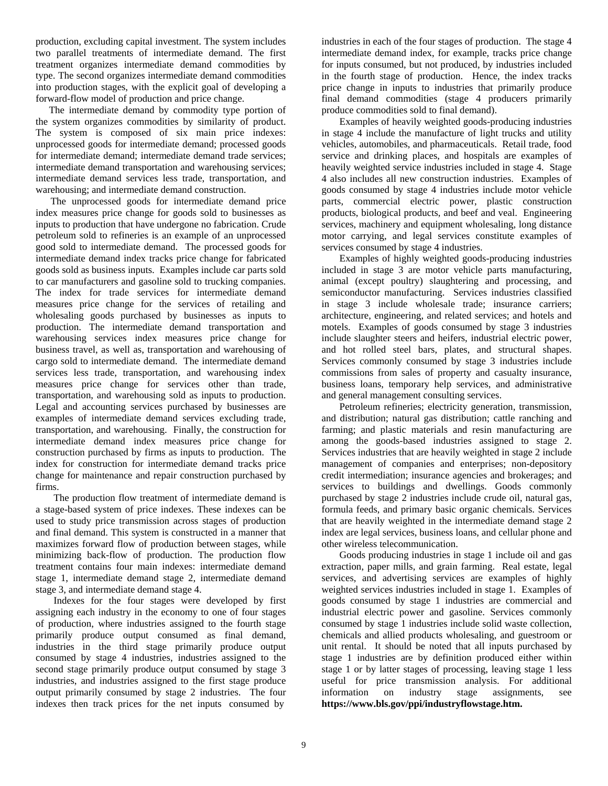production, excluding capital investment. The system includes two parallel treatments of intermediate demand. The first treatment organizes intermediate demand commodities by type. The second organizes intermediate demand commodities into production stages, with the explicit goal of developing a forward-flow model of production and price change.

 The intermediate demand by commodity type portion of the system organizes commodities by similarity of product. The system is composed of six main price indexes: unprocessed goods for intermediate demand; processed goods for intermediate demand; intermediate demand trade services; intermediate demand transportation and warehousing services; intermediate demand services less trade, transportation, and warehousing; and intermediate demand construction.

 The unprocessed goods for intermediate demand price index measures price change for goods sold to businesses as inputs to production that have undergone no fabrication. Crude petroleum sold to refineries is an example of an unprocessed good sold to intermediate demand. The processed goods for intermediate demand index tracks price change for fabricated goods sold as business inputs. Examples include car parts sold to car manufacturers and gasoline sold to trucking companies. The index for trade services for intermediate demand measures price change for the services of retailing and wholesaling goods purchased by businesses as inputs to production. The intermediate demand transportation and warehousing services index measures price change for business travel, as well as, transportation and warehousing of cargo sold to intermediate demand. The intermediate demand services less trade, transportation, and warehousing index measures price change for services other than trade, transportation, and warehousing sold as inputs to production. Legal and accounting services purchased by businesses are examples of intermediate demand services excluding trade, transportation, and warehousing. Finally, the construction for intermediate demand index measures price change for construction purchased by firms as inputs to production. The index for construction for intermediate demand tracks price change for maintenance and repair construction purchased by firms.

The production flow treatment of intermediate demand is a stage-based system of price indexes. These indexes can be used to study price transmission across stages of production and final demand. This system is constructed in a manner that maximizes forward flow of production between stages, while minimizing back-flow of production. The production flow treatment contains four main indexes: intermediate demand stage 1, intermediate demand stage 2, intermediate demand stage 3, and intermediate demand stage 4.

Indexes for the four stages were developed by first assigning each industry in the economy to one of four stages of production, where industries assigned to the fourth stage primarily produce output consumed as final demand, industries in the third stage primarily produce output consumed by stage 4 industries, industries assigned to the second stage primarily produce output consumed by stage 3 industries, and industries assigned to the first stage produce output primarily consumed by stage 2 industries. The four indexes then track prices for the net inputs consumed by

industries in each of the four stages of production. The stage 4 intermediate demand index, for example, tracks price change for inputs consumed, but not produced, by industries included in the fourth stage of production. Hence, the index tracks price change in inputs to industries that primarily produce final demand commodities (stage 4 producers primarily produce commodities sold to final demand).

 Examples of heavily weighted goods-producing industries in stage 4 include the manufacture of light trucks and utility vehicles, automobiles, and pharmaceuticals. Retail trade, food service and drinking places, and hospitals are examples of heavily weighted service industries included in stage 4. Stage 4 also includes all new construction industries. Examples of goods consumed by stage 4 industries include motor vehicle parts, commercial electric power, plastic construction products, biological products, and beef and veal. Engineering services, machinery and equipment wholesaling, long distance motor carrying, and legal services constitute examples of services consumed by stage 4 industries.

 Examples of highly weighted goods-producing industries included in stage 3 are motor vehicle parts manufacturing, animal (except poultry) slaughtering and processing, and semiconductor manufacturing. Services industries classified in stage 3 include wholesale trade; insurance carriers; architecture, engineering, and related services; and hotels and motels. Examples of goods consumed by stage 3 industries include slaughter steers and heifers, industrial electric power, and hot rolled steel bars, plates, and structural shapes. Services commonly consumed by stage 3 industries include commissions from sales of property and casualty insurance, business loans, temporary help services, and administrative and general management consulting services.

 Petroleum refineries; electricity generation, transmission, and distribution; natural gas distribution; cattle ranching and farming; and plastic materials and resin manufacturing are among the goods-based industries assigned to stage 2. Services industries that are heavily weighted in stage 2 include management of companies and enterprises; non-depository credit intermediation; insurance agencies and brokerages; and services to buildings and dwellings. Goods commonly purchased by stage 2 industries include crude oil, natural gas, formula feeds, and primary basic organic chemicals. Services that are heavily weighted in the intermediate demand stage 2 index are legal services, business loans, and cellular phone and other wireless telecommunication.

 Goods producing industries in stage 1 include oil and gas extraction, paper mills, and grain farming. Real estate, legal services, and advertising services are examples of highly weighted services industries included in stage 1. Examples of goods consumed by stage 1 industries are commercial and industrial electric power and gasoline. Services commonly consumed by stage 1 industries include solid waste collection, chemicals and allied products wholesaling, and guestroom or unit rental. It should be noted that all inputs purchased by stage 1 industries are by definition produced either within stage 1 or by latter stages of processing, leaving stage 1 less useful for price transmission analysis. For additional information on industry stage assignments, see **https://www.bls.gov/ppi/industryflowstage.htm.**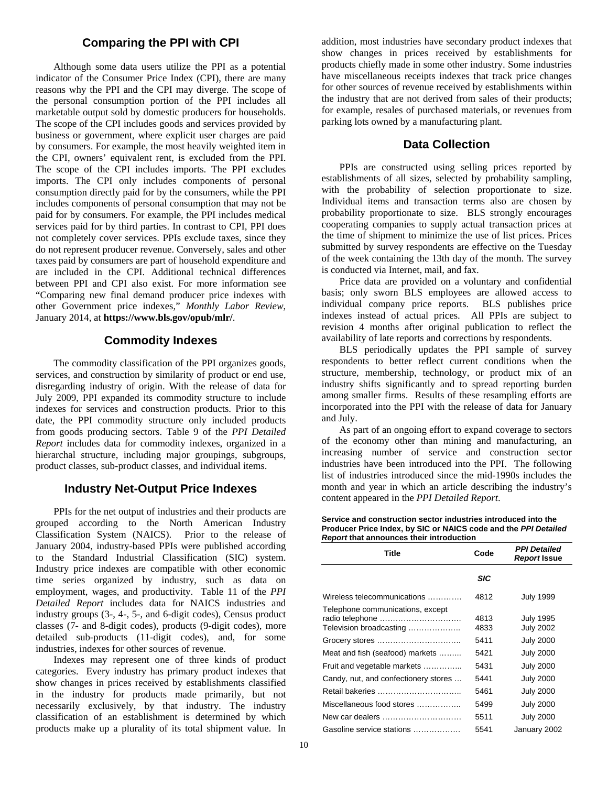#### **Comparing the PPI with CPI**

 Although some data users utilize the PPI as a potential indicator of the Consumer Price Index (CPI), there are many reasons why the PPI and the CPI may diverge. The scope of the personal consumption portion of the PPI includes all marketable output sold by domestic producers for households. The scope of the CPI includes goods and services provided by business or government, where explicit user charges are paid by consumers. For example, the most heavily weighted item in the CPI, owners' equivalent rent, is excluded from the PPI. The scope of the CPI includes imports. The PPI excludes imports. The CPI only includes components of personal consumption directly paid for by the consumers, while the PPI includes components of personal consumption that may not be paid for by consumers. For example, the PPI includes medical services paid for by third parties. In contrast to CPI, PPI does not completely cover services. PPIs exclude taxes, since they do not represent producer revenue. Conversely, sales and other taxes paid by consumers are part of household expenditure and are included in the CPI. Additional technical differences between PPI and CPI also exist. For more information see "Comparing new final demand producer price indexes with other Government price indexes," *Monthly Labor Review*, January 2014, at **https://www.bls.gov/opub/mlr/**.

#### **Commodity Indexes**

The commodity classification of the PPI organizes goods, services, and construction by similarity of product or end use, disregarding industry of origin. With the release of data for July 2009, PPI expanded its commodity structure to include indexes for services and construction products. Prior to this date, the PPI commodity structure only included products from goods producing sectors. Table 9 of the *PPI Detailed Report* includes data for commodity indexes, organized in a hierarchal structure, including major groupings, subgroups, product classes, sub-product classes, and individual items.

#### **Industry Net-Output Price Indexes**

PPIs for the net output of industries and their products are grouped according to the North American Industry Classification System (NAICS). Prior to the release of January 2004, industry-based PPIs were published according to the Standard Industrial Classification (SIC) system. Industry price indexes are compatible with other economic time series organized by industry, such as data on employment, wages, and productivity. Table 11 of the *PPI Detailed Report* includes data for NAICS industries and industry groups (3-, 4-, 5-, and 6-digit codes), Census product classes (7- and 8-digit codes), products (9-digit codes), more detailed sub-products (11-digit codes), and, for some industries, indexes for other sources of revenue.

 Indexes may represent one of three kinds of product categories. Every industry has primary product indexes that show changes in prices received by establishments classified in the industry for products made primarily, but not necessarily exclusively, by that industry. The industry classification of an establishment is determined by which products make up a plurality of its total shipment value. In

addition, most industries have secondary product indexes that show changes in prices received by establishments for products chiefly made in some other industry. Some industries have miscellaneous receipts indexes that track price changes for other sources of revenue received by establishments within the industry that are not derived from sales of their products; for example, resales of purchased materials, or revenues from parking lots owned by a manufacturing plant.

#### **Data Collection**

PPIs are constructed using selling prices reported by establishments of all sizes, selected by probability sampling, with the probability of selection proportionate to size. Individual items and transaction terms also are chosen by probability proportionate to size. BLS strongly encourages cooperating companies to supply actual transaction prices at the time of shipment to minimize the use of list prices. Prices submitted by survey respondents are effective on the Tuesday of the week containing the 13th day of the month. The survey is conducted via Internet, mail, and fax.

 Price data are provided on a voluntary and confidential basis; only sworn BLS employees are allowed access to individual company price reports. BLS publishes price indexes instead of actual prices. All PPIs are subject to revision 4 months after original publication to reflect the availability of late reports and corrections by respondents.

 BLS periodically updates the PPI sample of survey respondents to better reflect current conditions when the structure, membership, technology, or product mix of an industry shifts significantly and to spread reporting burden among smaller firms. Results of these resampling efforts are incorporated into the PPI with the release of data for January and July.

 As part of an ongoing effort to expand coverage to sectors of the economy other than mining and manufacturing, an increasing number of service and construction sector industries have been introduced into the PPI. The following list of industries introduced since the mid-1990s includes the month and year in which an article describing the industry's content appeared in the *PPI Detailed Report*.

**Service and construction sector industries introduced into the Producer Price Index, by SIC or NAICS code and the** *PPI Detailed Report* **that announces their introduction** 

| Title                                                       | Code         | <b>PPI Detailed</b><br>Report Issue  |
|-------------------------------------------------------------|--------------|--------------------------------------|
|                                                             | <b>SIC</b>   |                                      |
| Wireless telecommunications                                 | 4812         | <b>July 1999</b>                     |
| Telephone communications, except<br>Television broadcasting | 4813<br>4833 | <b>July 1995</b><br><b>July 2002</b> |
|                                                             | 5411         | <b>July 2000</b>                     |
| Meat and fish (seafood) markets                             | 5421         | <b>July 2000</b>                     |
| Fruit and vegetable markets                                 | 5431         | <b>July 2000</b>                     |
| Candy, nut, and confectionery stores                        | 5441         | <b>July 2000</b>                     |
|                                                             | 5461         | <b>July 2000</b>                     |
| Miscellaneous food stores                                   | 5499         | <b>July 2000</b>                     |
| New car dealers                                             | 5511         | <b>July 2000</b>                     |
| Gasoline service stations                                   | 5541         | January 2002                         |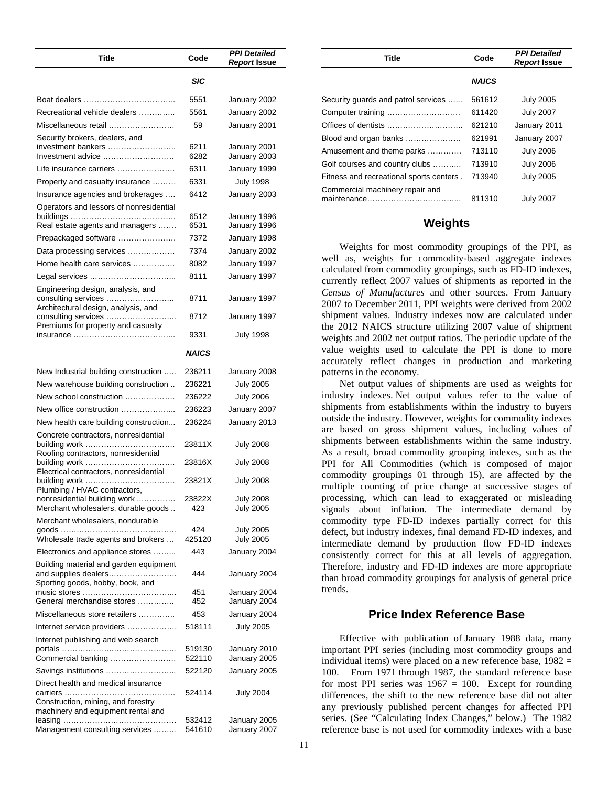| Title                                                                                              | Code             | <b>PPI Detailed</b><br>Report Issue  |
|----------------------------------------------------------------------------------------------------|------------------|--------------------------------------|
|                                                                                                    | SIC              |                                      |
|                                                                                                    | 5551             | January 2002                         |
| Recreational vehicle dealers                                                                       | 5561             | January 2002                         |
| Miscellaneous retail                                                                               | 59               | January 2001                         |
| Security brokers, dealers, and<br>investment bankers<br>Investment advice                          | 6211<br>6282     | January 2001<br>January 2003         |
| Life insurance carriers                                                                            | 6311             | January 1999                         |
| Property and casualty insurance                                                                    | 6331             | <b>July 1998</b>                     |
| Insurance agencies and brokerages                                                                  | 6412             | January 2003                         |
| Operators and lessors of nonresidential                                                            | 6512             | January 1996                         |
| Real estate agents and managers                                                                    | 6531             | January 1996                         |
| Prepackaged software                                                                               | 7372             | January 1998                         |
| Data processing services                                                                           | 7374             | January 2002                         |
| Home health care services                                                                          | 8082             | January 1997                         |
| Engineering design, analysis, and<br>consulting services                                           | 8111<br>8711     | January 1997<br>January 1997         |
| Architectural design, analysis, and<br>consulting services<br>.                                    | 8712             | January 1997                         |
| Premiums for property and casualty                                                                 | 9331             | <b>July 1998</b>                     |
|                                                                                                    | <b>NAICS</b>     |                                      |
| New Industrial building construction                                                               | 236211           | January 2008                         |
| New warehouse building construction                                                                | 236221           | <b>July 2005</b>                     |
| New school construction                                                                            | 236222           | <b>July 2006</b>                     |
| New office construction                                                                            | 236223           | January 2007                         |
| New health care building construction                                                              | 236224           | January 2013                         |
| Concrete contractors, nonresidential<br>Roofing contractors, nonresidential                        | 23811X           | July 2008                            |
| Electrical contractors, nonresidential                                                             | 23816X           | July 2008                            |
| Plumbing / HVAC contractors,                                                                       | 23821X           | July 2008                            |
| nonresidential building work<br>Merchant wholesalers, durable goods                                | 23822X<br>423    | <b>July 2008</b><br><b>July 2005</b> |
| Merchant wholesalers, nondurable<br>Wholesale trade agents and brokers                             | 424<br>425120    | <b>July 2005</b><br><b>July 2005</b> |
| Electronics and appliance stores                                                                   | 443              | January 2004                         |
| Building material and garden equipment<br>and supplies dealers<br>Sporting goods, hobby, book, and | 444              | January 2004                         |
| General merchandise stores                                                                         | 451<br>452       | January 2004<br>January 2004         |
| Miscellaneous store retailers                                                                      | 453              | January 2004                         |
| Internet service providers                                                                         | 518111           | July 2005                            |
| Internet publishing and web search                                                                 |                  |                                      |
|                                                                                                    | 519130           | January 2010                         |
| Commercial banking                                                                                 | 522110           | January 2005                         |
| Savings institutions                                                                               | 522120           | January 2005                         |
| Direct health and medical insurance<br>Construction, mining, and forestry                          | 524114           | July 2004                            |
| machinery and equipment rental and                                                                 |                  |                                      |
| Management consulting services                                                                     | 532412<br>541610 | January 2005<br>January 2007         |

| Title                                    | Code         | <b>PPI Detailed</b> |
|------------------------------------------|--------------|---------------------|
|                                          |              | <b>Report Issue</b> |
|                                          | <b>NAICS</b> |                     |
| Security guards and patrol services      | 561612       | <b>July 2005</b>    |
| Computer training                        | 611420       | <b>July 2007</b>    |
|                                          | 621210       | January 2011        |
| Blood and organ banks                    | 621991       | January 2007        |
| Amusement and theme parks                | 713110       | <b>July 2006</b>    |
| Golf courses and country clubs           | 713910       | <b>July 2006</b>    |
| Fitness and recreational sports centers. | 713940       | <b>July 2005</b>    |
| Commercial machinery repair and          | 811310       | <b>July 2007</b>    |

#### **Weights**

Weights for most commodity groupings of the PPI, as well as, weights for commodity-based aggregate indexes calculated from commodity groupings, such as FD-ID indexes, currently reflect 2007 values of shipments as reported in the *Census of Manufactures* and other sources. From January 2007 to December 2011, PPI weights were derived from 2002 shipment values. Industry indexes now are calculated under the 2012 NAICS structure utilizing 2007 value of shipment weights and 2002 net output ratios. The periodic update of the value weights used to calculate the PPI is done to more accurately reflect changes in production and marketing patterns in the economy.

Net output values of shipments are used as weights for industry indexes. Net output values refer to the value of shipments from establishments within the industry to buyers outside the industry. However, weights for commodity indexes are based on gross shipment values, including values of shipments between establishments within the same industry. As a result, broad commodity grouping indexes, such as the PPI for All Commodities (which is composed of major commodity groupings 01 through 15), are affected by the multiple counting of price change at successive stages of processing, which can lead to exaggerated or misleading signals about inflation. The intermediate demand by commodity type FD-ID indexes partially correct for this defect, but industry indexes, final demand FD-ID indexes, and intermediate demand by production flow FD-ID indexes consistently correct for this at all levels of aggregation. Therefore, industry and FD-ID indexes are more appropriate than broad commodity groupings for analysis of general price trends.

#### **Price Index Reference Base**

Effective with publication of January 1988 data, many important PPI series (including most commodity groups and individual items) were placed on a new reference base,  $1982 =$ 100. From 1971 through 1987, the standard reference base for most PPI series was  $1967 = 100$ . Except for rounding differences, the shift to the new reference base did not alter any previously published percent changes for affected PPI series. (See "Calculating Index Changes," below.) The 1982 reference base is not used for commodity indexes with a base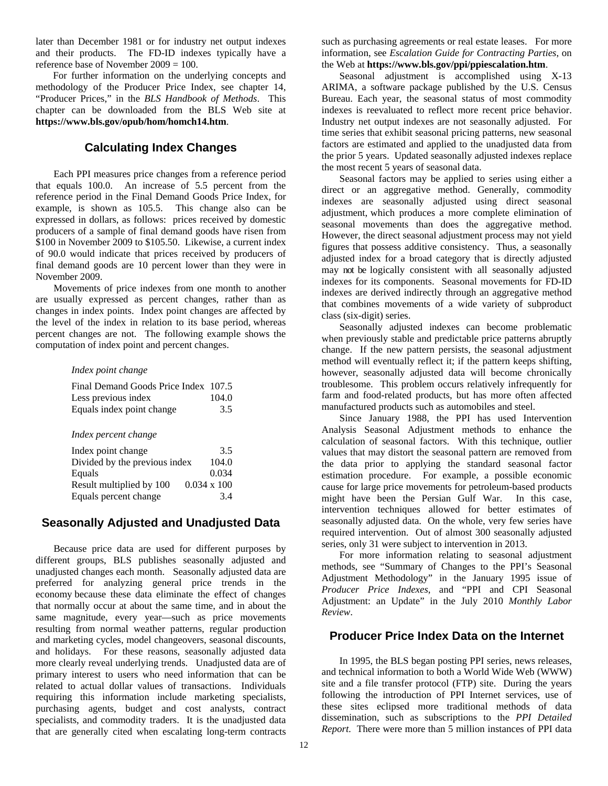later than December 1981 or for industry net output indexes and their products. The FD-ID indexes typically have a reference base of November 2009 = 100.

 For further information on the underlying concepts and methodology of the Producer Price Index, see chapter 14, "Producer Prices," in the *BLS Handbook of Methods*. This chapter can be downloaded from the BLS Web site at **https://www.bls.gov/opub/hom/homch14.htm**.

# **Calculating Index Changes**

Each PPI measures price changes from a reference period that equals 100.0. An increase of 5.5 percent from the reference period in the Final Demand Goods Price Index, for example, is shown as 105.5. This change also can be expressed in dollars, as follows: prices received by domestic producers of a sample of final demand goods have risen from \$100 in November 2009 to \$105.50. Likewise, a current index of 90.0 would indicate that prices received by producers of final demand goods are 10 percent lower than they were in November 2009.

 Movements of price indexes from one month to another are usually expressed as percent changes, rather than as changes in index points. Index point changes are affected by the level of the index in relation to its base period, whereas percent changes are not. The following example shows the computation of index point and percent changes.

#### *Index point change*

| Final Demand Goods Price Index 107.5 |       |
|--------------------------------------|-------|
| Less previous index                  | 104.0 |
| Equals index point change            | 3.5   |

#### *Index percent change*

| Index point change            | 3.5                |
|-------------------------------|--------------------|
| Divided by the previous index | 104.0              |
| Equals                        | 0.034              |
| Result multiplied by 100      | $0.034 \times 100$ |
| Equals percent change         | 3.4                |

# **Seasonally Adjusted and Unadjusted Data**

Because price data are used for different purposes by different groups, BLS publishes seasonally adjusted and unadjusted changes each month. Seasonally adjusted data are preferred for analyzing general price trends in the economy because these data eliminate the effect of changes that normally occur at about the same time, and in about the same magnitude, every year—such as price movements resulting from normal weather patterns, regular production and marketing cycles, model changeovers, seasonal discounts, and holidays. For these reasons, seasonally adjusted data more clearly reveal underlying trends. Unadjusted data are of primary interest to users who need information that can be related to actual dollar values of transactions. Individuals requiring this information include marketing specialists, purchasing agents, budget and cost analysts, contract specialists, and commodity traders. It is the unadjusted data that are generally cited when escalating long-term contracts

such as purchasing agreements or real estate leases.For more information, see *Escalation Guide for Contracting Parties*, on the Web at **https://www.bls.gov/ppi/ppiescalation.htm**.

Seasonal adjustment is accomplished using X-13 ARIMA, a software package published by the U.S. Census Bureau. Each year, the seasonal status of most commodity indexes is reevaluated to reflect more recent price behavior. Industry net output indexes are not seasonally adjusted. For time series that exhibit seasonal pricing patterns, new seasonal factors are estimated and applied to the unadjusted data from the prior 5 years. Updated seasonally adjusted indexes replace the most recent 5 years of seasonal data.

 Seasonal factors may be applied to series using either a direct or an aggregative method. Generally, commodity indexes are seasonally adjusted using direct seasonal adjustment, which produces a more complete elimination of seasonal movements than does the aggregative method. However, the direct seasonal adjustment process may not yield figures that possess additive consistency. Thus, a seasonally adjusted index for a broad category that is directly adjusted may not be logically consistent with all seasonally adjusted indexes for its components. Seasonal movements for FD-ID indexes are derived indirectly through an aggregative method that combines movements of a wide variety of subproduct class (six-digit) series.

Seasonally adjusted indexes can become problematic when previously stable and predictable price patterns abruptly change. If the new pattern persists, the seasonal adjustment method will eventually reflect it; if the pattern keeps shifting, however, seasonally adjusted data will become chronically troublesome. This problem occurs relatively infrequently for farm and food-related products, but has more often affected manufactured products such as automobiles and steel.

Since January 1988, the PPI has used Intervention Analysis Seasonal Adjustment methods to enhance the calculation of seasonal factors. With this technique, outlier values that may distort the seasonal pattern are removed from the data prior to applying the standard seasonal factor estimation procedure. For example, a possible economic cause for large price movements for petroleum-based products might have been the Persian Gulf War. In this case, intervention techniques allowed for better estimates of seasonally adjusted data. On the whole, very few series have required intervention. Out of almost 300 seasonally adjusted series, only 31 were subject to intervention in 2013.

For more information relating to seasonal adjustment methods, see "Summary of Changes to the PPI's Seasonal Adjustment Methodology" in the January 1995 issue of *Producer Price Indexes*, and "PPI and CPI Seasonal Adjustment: an Update" in the July 2010 *Monthly Labor Review*.

# **Producer Price Index Data on the Internet**

In 1995, the BLS began posting PPI series, news releases, and technical information to both a World Wide Web (WWW) site and a file transfer protocol (FTP) site. During the years following the introduction of PPI Internet services, use of these sites eclipsed more traditional methods of data dissemination, such as subscriptions to the *PPI Detailed Report*. There were more than 5 million instances of PPI data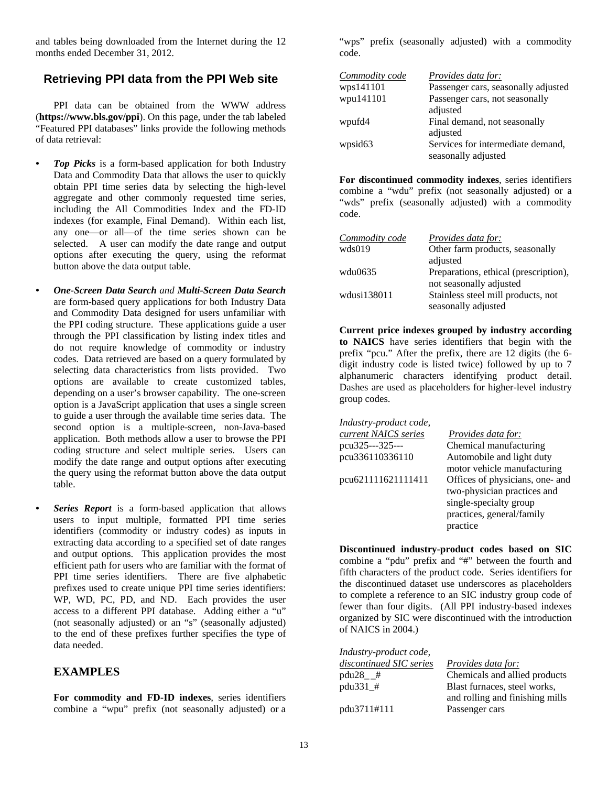and tables being downloaded from the Internet during the 12 months ended December 31, 2012.

### **Retrieving PPI data from the PPI Web site**

PPI data can be obtained from the WWW address (**https://www.bls.gov/ppi**). On this page, under the tab labeled "Featured PPI databases" links provide the following methods of data retrieval:

- *Top Picks* is a form-based application for both Industry Data and Commodity Data that allows the user to quickly obtain PPI time series data by selecting the high-level aggregate and other commonly requested time series, including the All Commodities Index and the FD-ID indexes (for example, Final Demand). Within each list, any one—or all—of the time series shown can be selected. A user can modify the date range and output options after executing the query, using the reformat button above the data output table.
- *One-Screen Data Search and Multi-Screen Data Search*  are form-based query applications for both Industry Data and Commodity Data designed for users unfamiliar with the PPI coding structure. These applications guide a user through the PPI classification by listing index titles and do not require knowledge of commodity or industry codes. Data retrieved are based on a query formulated by selecting data characteristics from lists provided. Two options are available to create customized tables, depending on a user's browser capability. The one-screen option is a JavaScript application that uses a single screen to guide a user through the available time series data. The second option is a multiple-screen, non-Java-based application. Both methods allow a user to browse the PPI coding structure and select multiple series. Users can modify the date range and output options after executing the query using the reformat button above the data output table.
	- *Series Report* is a form-based application that allows users to input multiple, formatted PPI time series identifiers (commodity or industry codes) as inputs in extracting data according to a specified set of date ranges and output options. This application provides the most efficient path for users who are familiar with the format of PPI time series identifiers. There are five alphabetic prefixes used to create unique PPI time series identifiers: WP, WD, PC, PD, and ND. Each provides the user access to a different PPI database. Adding either a "u" (not seasonally adjusted) or an "s" (seasonally adjusted) to the end of these prefixes further specifies the type of data needed.

#### **EXAMPLES**

**For commodity and FD-ID indexes**, series identifiers combine a "wpu" prefix (not seasonally adjusted) or a "wps" prefix (seasonally adjusted) with a commodity code.

| Commodity code      | <i>Provides data for:</i>           |
|---------------------|-------------------------------------|
| wps141101           | Passenger cars, seasonally adjusted |
| wpu141101           | Passenger cars, not seasonally      |
|                     | adjusted                            |
| wpufd4              | Final demand, not seasonally        |
|                     | adjusted                            |
| wpsid <sub>63</sub> | Services for intermediate demand,   |
|                     | seasonally adjusted                 |

**For discontinued commodity indexes**, series identifiers combine a "wdu" prefix (not seasonally adjusted) or a "wds" prefix (seasonally adjusted) with a commodity code.

| Commodity code | <i>Provides data for:</i>             |
|----------------|---------------------------------------|
| wds019         | Other farm products, seasonally       |
|                | adjusted                              |
| wdu0635        | Preparations, ethical (prescription), |
|                | not seasonally adjusted               |
| wdusi138011    | Stainless steel mill products, not    |
|                | seasonally adjusted                   |

 **Current price indexes grouped by industry according to NAICS** have series identifiers that begin with the prefix "pcu." After the prefix, there are 12 digits (the 6 digit industry code is listed twice) followed by up to 7 alphanumeric characters identifying product detail. Dashes are used as placeholders for higher-level industry group codes.

| Industry-product code, |                                 |
|------------------------|---------------------------------|
| current NAICS series   | <i>Provides data for:</i>       |
| pcu325---325---        | Chemical manufacturing          |
| pcu336110336110        | Automobile and light duty       |
|                        | motor vehicle manufacturing     |
| pcu621111621111411     | Offices of physicians, one- and |
|                        | two-physician practices and     |
|                        | single-specialty group          |
|                        | practices, general/family       |
|                        | practice                        |
|                        |                                 |

**Discontinued industry-product codes based on SIC** combine a "pdu" prefix and "#" between the fourth and fifth characters of the product code. Series identifiers for the discontinued dataset use underscores as placeholders to complete a reference to an SIC industry group code of fewer than four digits. (All PPI industry-based indexes organized by SIC were discontinued with the introduction of NAICS in 2004.)

| Industry-product code,  |                                 |
|-------------------------|---------------------------------|
| discontinued SIC series | <i>Provides data for:</i>       |
| $pdu28$ #               | Chemicals and allied products   |
| pdu331_#                | Blast furnaces, steel works,    |
|                         | and rolling and finishing mills |
| pdu3711#111             | Passenger cars                  |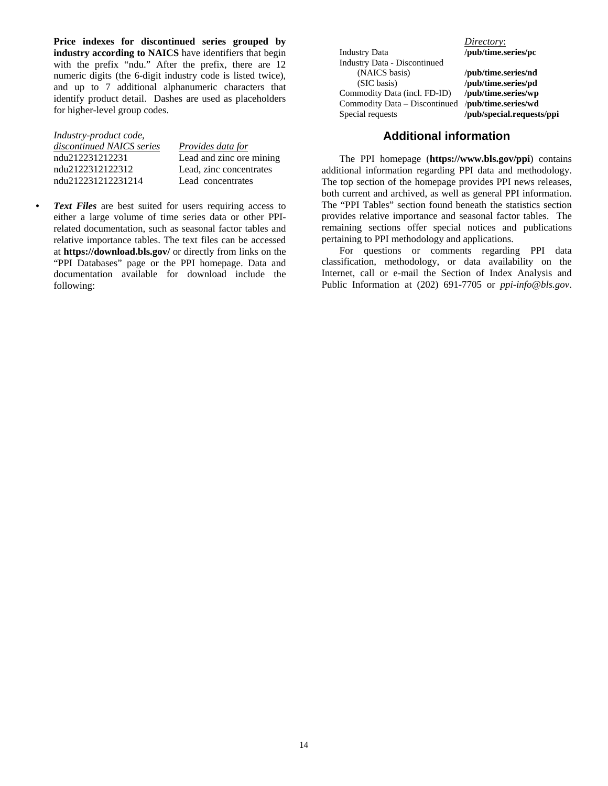**Price indexes for discontinued series grouped by industry according to NAICS** have identifiers that begin with the prefix "ndu." After the prefix, there are 12 numeric digits (the 6-digit industry code is listed twice), and up to 7 additional alphanumeric characters that identify product detail. Dashes are used as placeholders for higher-level group codes.

| Industry-product code,    |                          |
|---------------------------|--------------------------|
| discontinued NAICS series | Provides data for        |
| ndu212231212231           | Lead and zinc ore mining |
| ndu2122312122312          | Lead, zinc concentrates  |
| ndu212231212231214        | Lead concentrates        |

*• Text Files* are best suited for users requiring access to either a large volume of time series data or other PPIrelated documentation, such as seasonal factor tables and relative importance tables. The text files can be accessed at **https://download.bls.gov/** or directly from links on the "PPI Databases" page or the PPI homepage. Data and documentation available for download include the following:

Industry Data **/pub/time.series/pc**  Industry Data - Discontinued (NAICS basis) **/pub/time.series/nd**  (SIC basis) **/pub/time.series/pd**  Commodity Data (incl. FD-ID) **/pub/time.series/wp**  Commodity Data – Discontinued Special requests **/pub/special.requests/ppi**

*Directory*:

#### **Additional information**

The PPI homepage (**https://www.bls.gov/ppi**) contains additional information regarding PPI data and methodology. The top section of the homepage provides PPI news releases, both current and archived, as well as general PPI information. The "PPI Tables" section found beneath the statistics section provides relative importance and seasonal factor tables. The remaining sections offer special notices and publications pertaining to PPI methodology and applications.

For questions or comments regarding PPI data classification, methodology, or data availability on the Internet, call or e-mail the Section of Index Analysis and Public Information at (202) 691-7705 or *ppi-info@bls.gov*.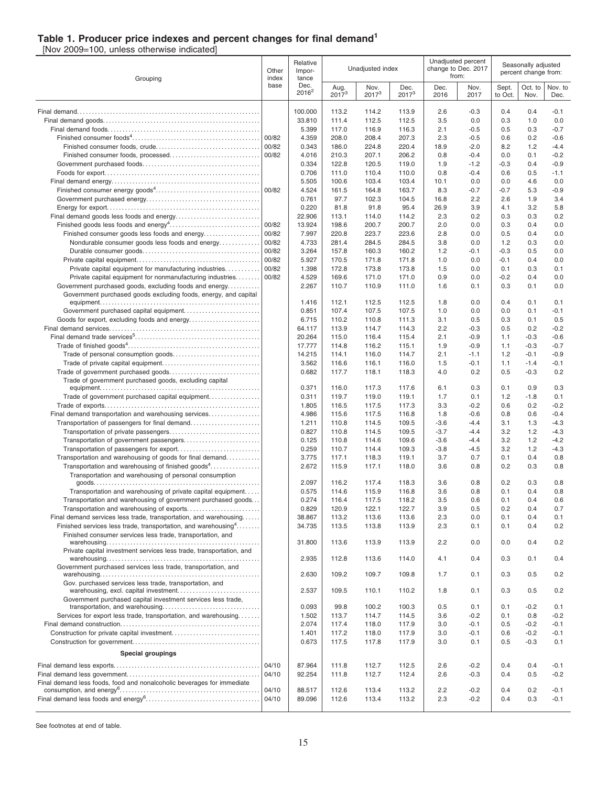#### **Table 1. Producer price indexes and percent changes for final demand<sup>1</sup>**

[Nov 2009=100, unless otherwise indicated]

| Grouping                                                                   |                | Relative<br>Impor-<br>tance |                    | Unadjusted index |                  |                  | Unadjusted percent<br>change to Dec. 2017<br>from: | Seasonally adjusted<br>percent change from: |                  |                  |
|----------------------------------------------------------------------------|----------------|-----------------------------|--------------------|------------------|------------------|------------------|----------------------------------------------------|---------------------------------------------|------------------|------------------|
|                                                                            | base           | Dec.<br>$2016^2$            | Aug.<br>$2017^{3}$ | Nov.<br>$2017^3$ | Dec.<br>$2017^3$ | Dec.<br>2016     | Nov.<br>2017                                       | Sept.<br>to Oct.                            | Oct. to<br>Nov.  | Nov. to<br>Dec.  |
|                                                                            |                | 100.000                     | 113.2              | 114.2            | 113.9            | 2.6              | $-0.3$                                             | 0.4                                         | 0.4              | -0.1             |
|                                                                            |                | 33.810                      | 111.4              | 112.5            | 112.5            | 3.5              | 0.0                                                | 0.3                                         | 1.0              | 0.0              |
|                                                                            |                | 5.399                       | 117.0              | 116.9            | 116.3            | 2.1              | $-0.5$                                             | 0.5                                         | 0.3              | $-0.7$           |
|                                                                            | 00/82          | 4.359                       | 208.0              | 208.4            | 207.3            | 2.3              | $-0.5$                                             | 0.6                                         | 0.2              | $-0.6$           |
|                                                                            | 00/82          | 0.343                       | 186.0              | 224.8            | 220.4            | 18.9             | $-2.0$                                             | 8.2                                         | 1.2              | $-4.4$           |
|                                                                            | 00/82          | 4.016<br>0.334              | 210.3<br>122.8     | 207.1<br>120.5   | 206.2<br>119.0   | 0.8<br>1.9       | $-0.4$<br>$-1.2$                                   | 0.0<br>$-0.3$                               | 0.1<br>0.4       | $-0.2$<br>$-0.9$ |
|                                                                            |                | 0.706                       | 111.0              | 110.4            | 110.0            | 0.8              | $-0.4$                                             | 0.6                                         | 0.5              | $-1.1$           |
|                                                                            |                | 5.505                       | 100.6              | 103.4            | 103.4            | 10.1             | 0.0                                                | 0.0                                         | 4.6              | 0.0              |
|                                                                            |                | 4.524                       | 161.5              | 164.8            | 163.7            | 8.3              | $-0.7$                                             | $-0.7$                                      | 5.3              | $-0.9$           |
|                                                                            |                | 0.761                       | 97.7               | 102.3            | 104.5            | 16.8             | 2.2                                                | 2.6                                         | 1.9              | 3.4              |
|                                                                            |                | 0.220                       | 81.8               | 91.8             | 95.4             | 26.9             | 3.9                                                | 4.1                                         | 3.2              | 5.8              |
|                                                                            |                | 22.906                      | 113.1              | 114.0            | 114.2            | 2.3              | 0.2                                                | 0.3                                         | 0.3              | 0.2              |
| Finished consumer goods less foods and energy                              | 00/82<br>00/82 | 13.924<br>7.997             | 198.6<br>220.8     | 200.7<br>223.7   | 200.7<br>223.6   | 2.0<br>2.8       | 0.0<br>0.0                                         | 0.3<br>0.5                                  | 0.4<br>0.4       | 0.0<br>0.0       |
| Nondurable consumer goods less foods and energy                            | 00/82          | 4.733                       | 281.4              | 284.5            | 284.5            | 3.8              | 0.0                                                | 1.2                                         | 0.3              | 0.0              |
|                                                                            | 00/82          | 3.264                       | 157.8              | 160.3            | 160.2            | 1.2              | $-0.1$                                             | $-0.3$                                      | 0.5              | 0.0              |
|                                                                            | 00/82          | 5.927                       | 170.5              | 171.8            | 171.8            | 1.0              | 0.0                                                | $-0.1$                                      | 0.4              | 0.0              |
| Private capital equipment for manufacturing industries                     | 00/82          | 1.398                       | 172.8              | 173.8            | 173.8            | 1.5              | 0.0                                                | 0.1                                         | 0.3              | 0.1              |
| Private capital equipment for nonmanufacturing industries                  | 00/82          | 4.529                       | 169.6              | 171.0            | 171.0            | 0.9              | 0.0                                                | $-0.2$                                      | 0.4              | 0.0              |
| Government purchased goods, excluding foods and energy                     |                | 2.267                       | 110.7              | 110.9            | 111.0            | 1.6              | 0.1                                                | 0.3                                         | 0.1              | 0.0              |
| Government purchased goods excluding foods, energy, and capital            |                | 1.416                       | 112.1              | 112.5            | 112.5            | 1.8              | 0.0                                                | 0.4                                         | 0.1              | 0.1              |
|                                                                            |                | 0.851                       | 107.4              | 107.5            | 107.5            | 1.0              | 0.0                                                | 0.0                                         | 0.1              | $-0.1$           |
|                                                                            |                | 6.715                       | 110.2              | 110.8            | 111.3            | 3.1              | 0.5                                                | 0.3                                         | 0.1              | 0.5              |
|                                                                            |                | 64.117                      | 113.9              | 114.7            | 114.3            | 2.2              | $-0.3$                                             | 0.5                                         | 0.2              | $-0.2$           |
|                                                                            |                | 20.264                      | 115.0              | 116.4            | 115.4            | 2.1              | $-0.9$                                             | 1.1                                         | $-0.3$           | $-0.6$           |
|                                                                            |                | 17.777                      | 114.8              | 116.2            | 115.1            | 1.9              | $-0.9$                                             | 1.1                                         | $-0.3$           | $-0.7$           |
|                                                                            |                | 14.215                      | 114.1              | 116.0            | 114.7            | 2.1              | $-1.1$                                             | 1.2                                         | $-0.1$           | $-0.9$           |
|                                                                            |                | 3.562<br>0.682              | 116.6<br>117.7     | 116.1<br>118.1   | 116.0            | 1.5<br>4.0       | $-0.1$<br>0.2                                      | 1.1<br>0.5                                  | $-1.4$<br>$-0.3$ | $-0.1$<br>0.2    |
| Trade of government purchased goods, excluding capital                     |                |                             |                    |                  | 118.3            |                  |                                                    |                                             |                  |                  |
|                                                                            |                | 0.371                       | 116.0              | 117.3            | 117.6            | 6.1              | 0.3                                                | 0.1                                         | 0.9              | 0.3              |
| Trade of government purchased capital equipment                            |                | 0.311                       | 119.7              | 119.0            | 119.1            | 1.7              | 0.1                                                | $1.2$                                       | $-1.8$           | 0.1              |
|                                                                            |                | 1.805                       | 116.5              | 117.5            | 117.3            | 3.3              | $-0.2$                                             | 0.6                                         | 0.2              | $-0.2$           |
| Final demand transportation and warehousing services                       |                | 4.986                       | 115.6              | 117.5            | 116.8            | 1.8              | $-0.6$                                             | 0.8                                         | 0.6              | $-0.4$           |
|                                                                            |                | 1.211<br>0.827              | 110.8<br>110.8     | 114.5<br>114.5   | 109.5<br>109.5   | $-3.6$<br>$-3.7$ | $-4.4$<br>$-4.4$                                   | 3.1<br>3.2                                  | 1.3<br>1.2       | $-4.3$<br>$-4.3$ |
|                                                                            |                | 0.125                       | 110.8              | 114.6            | 109.6            | $-3.6$           | $-4.4$                                             | 3.2                                         | 1.2              | $-4.2$           |
|                                                                            |                | 0.259                       | 110.7              | 114.4            | 109.3            | $-3.8$           | $-4.5$                                             | 3.2                                         | 1.2              | $-4.3$           |
| Transportation and warehousing of goods for final demand                   |                | 3.775                       | 117.1              | 118.3            | 119.1            | 3.7              | 0.7                                                | 0.1                                         | 0.4              | 0.8              |
| Transportation and warehousing of finished goods <sup>4</sup><br>.         |                | 2.672                       | 115.9              | 117.1            | 118.0            | 3.6              | 0.8                                                | 0.2                                         | 0.3              | 0.8              |
| Transportation and warehousing of personal consumption                     |                |                             |                    |                  |                  |                  |                                                    |                                             |                  |                  |
| Transportation and warehousing of private capital equipment.               |                | 2.097<br>0.575              | 116.2<br>114.6     | 117.4<br>115.9   | 118.3<br>116.8   | 3.6<br>3.6       | 0.8<br>0.8                                         | 0.2<br>0.1                                  | 0.3<br>0.4       | 0.8<br>0.8       |
| Transportation and warehousing of government purchased goods               |                | 0.274                       | 116.4              | 117.5            | 118.2            | 3.5              | 0.6                                                | 0.1                                         | 0.4              | 0.6              |
| Transportation and warehousing of exports                                  |                | 0.829                       | 120.9              | 122.1            | 122.7            | 3.9              | 0.5                                                | 0.2                                         | 0.4              | 0.7              |
| Final demand services less trade, transportation, and warehousing          |                | 38.867                      | 113.2              | 113.6            | 113.6            | 2.3              | 0.0                                                | 0.1                                         | 0.4              | 0.1              |
| Finished services less trade, transportation, and warehousing <sup>4</sup> |                | 34.735                      | 113.5              | 113.8            | 113.9            | 2.3              | 0.1                                                | 0.1                                         | 0.4              | 0.2              |
| Finished consumer services less trade, transportation, and                 |                | 31.800                      | 113.6              | 113.9            | 113.9            | 2.2              | 0.0                                                | 0.0                                         | 0.4              | 0.2              |
| Private capital investment services less trade, transportation, and        |                |                             |                    |                  |                  |                  |                                                    |                                             |                  |                  |
| Government purchased services less trade, transportation, and              |                | 2.935                       | 112.8              | 113.6            | 114.0            | 4.1              | 0.4                                                | 0.3                                         | 0.1              | 0.4              |
|                                                                            |                | 2.630                       | 109.2              | 109.7            | 109.8            | 1.7              | 0.1                                                | 0.3                                         | 0.5              | 0.2              |
| Gov. purchased services less trade, transportation, and                    |                | 2.537                       | 109.5              | 110.1            | 110.2            | 1.8              | 0.1                                                | 0.3                                         | 0.5              | 0.2              |
| Government purchased capital investment services less trade,               |                | 0.093                       | 99.8               | 100.2            | 100.3            | 0.5              | 0.1                                                | 0.1                                         | $-0.2$           | 0.1              |
| Services for export less trade, transportation, and warehousing            |                | 1.502                       | 113.7              | 114.7            | 114.5            | 3.6              | $-0.2$                                             | 0.1                                         | 0.8              | $-0.2$           |
|                                                                            |                | 2.074                       | 117.4              | 118.0            | 117.9            | 3.0              | $-0.1$                                             | 0.5                                         | $-0.2$           | $-0.1$           |
|                                                                            |                | 1.401                       | 117.2              | 118.0            | 117.9            | 3.0              | $-0.1$                                             | 0.6                                         | $-0.2$           | $-0.1$           |
|                                                                            |                | 0.673                       | 117.5              | 117.8            | 117.9            | 3.0              | 0.1                                                | 0.5                                         | $-0.3$           | 0.1              |
| <b>Special groupings</b>                                                   |                |                             |                    |                  |                  |                  |                                                    |                                             |                  |                  |
|                                                                            | 04/10          | 87.964                      | 111.8              | 112.7            | 112.5            | 2.6              | $-0.2$                                             | 0.4                                         | 0.4              | -0.1             |
|                                                                            | 04/10          | 92.254                      | 111.8              | 112.7            | 112.4            | 2.6              | $-0.3$                                             | 0.4                                         | 0.5              | $-0.2$           |
| Final demand less foods, food and nonalcoholic beverages for immediate     | 04/10          | 88.517                      | 112.6              | 113.4            | 113.2            | 2.2              | $-0.2$                                             | 0.4                                         | 0.2              | $-0.1$           |
|                                                                            | 04/10          | 89.096                      | 112.6              | 113.4            | 113.2            | 2.3              | $-0.2$                                             | 0.4                                         | 0.3              | $-0.1$           |
|                                                                            |                |                             |                    |                  |                  |                  |                                                    |                                             |                  |                  |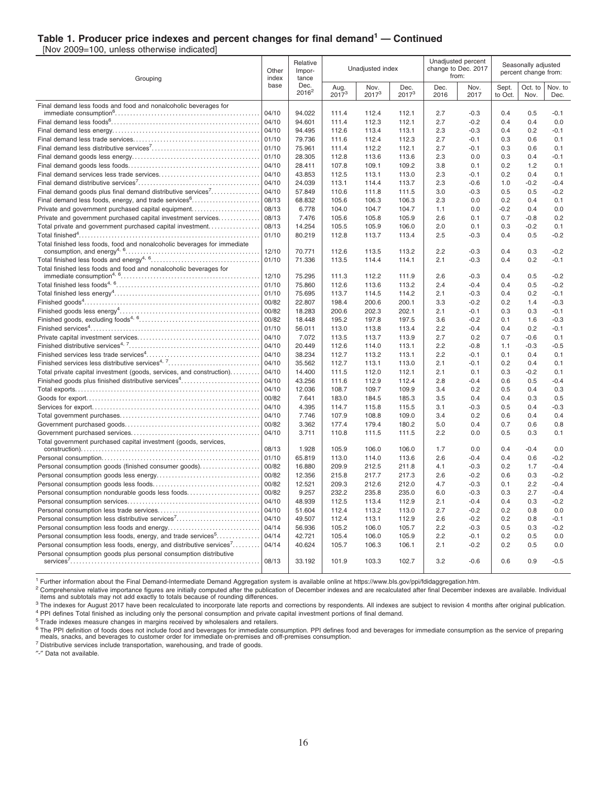#### **Table 1. Producer price indexes and percent changes for final demand<sup>1</sup> — Continued**

[Nov 2009=100, unless otherwise indicated]

| Grouping                                                                 |                | Relative<br>Other<br>Impor-<br>tance<br>Dec. |                    | Unadjusted index |                  |              | Unadjusted percent<br>change to Dec. 2017<br>from: | Seasonally adjusted<br>percent change from: |                 |                  |
|--------------------------------------------------------------------------|----------------|----------------------------------------------|--------------------|------------------|------------------|--------------|----------------------------------------------------|---------------------------------------------|-----------------|------------------|
|                                                                          | base           | $2016^2$                                     | Aug.<br>$2017^{3}$ | Nov.<br>$2017^3$ | Dec.<br>$2017^3$ | Dec.<br>2016 | Nov.<br>2017                                       | Sept.<br>to Oct.                            | Oct. to<br>Nov. | Nov. to<br>Dec.  |
| Final demand less foods and food and nonalcoholic beverages for          |                |                                              |                    |                  |                  |              |                                                    |                                             |                 |                  |
|                                                                          | 04/10<br>04/10 | 94.022<br>94.601                             | 111.4<br>111.4     | 112.4<br>112.3   | 112.1<br>112.1   | 2.7<br>2.7   | $-0.3$<br>$-0.2$                                   | 0.4<br>0.4                                  | 0.5<br>0.4      | $-0.1$<br>0.0    |
|                                                                          | 04/10          | 94.495                                       | 112.6              | 113.4            | 113.1            | 2.3          | $-0.3$                                             | 0.4                                         | 0.2             | $-0.1$           |
|                                                                          | 01/10          | 79.736                                       | 111.6              | 112.4            | 112.3            | 2.7          | $-0.1$                                             | 0.3                                         | 0.6             | 0.1              |
|                                                                          | 01/10          | 75.961                                       | 111.4              | 112.2            | 112.1            | 2.7          | $-0.1$                                             | 0.3                                         | 0.6             | 0.1              |
|                                                                          | 01/10          | 28.305                                       | 112.8              | 113.6            | 113.6            | 2.3          | 0.0                                                | 0.3                                         | 0.4             | $-0.1$           |
|                                                                          | 04/10          | 28.411                                       | 107.8              | 109.1            | 109.2            | 3.8          | 0.1                                                | 0.2                                         | 1.2             | 0.1              |
|                                                                          | 04/10          | 43.853                                       | 112.5              | 113.1            | 113.0            | 2.3          | $-0.1$                                             | 0.2                                         | 0.4             | 0.1              |
|                                                                          | 04/10          | 24.039                                       | 113.1              | 114.4            | 113.7            | 2.3          | $-0.6$                                             | 1.0                                         | $-0.2$          | $-0.4$           |
| Final demand goods plus final demand distributive services <sup>7</sup>  | 04/10          | 57.849                                       | 110.6              | 111.8            | 111.5            | 3.0          | $-0.3$                                             | 0.5                                         | 0.5             | $-0.2$           |
| Final demand less foods, energy, and trade services <sup>6</sup>         | 08/13          | 68.832                                       | 105.6              | 106.3            | 106.3            | 2.3          | 0.0                                                | 0.2                                         | 0.4             | 0.1              |
| Private and government purchased capital equipment                       | 08/13          | 6.778                                        | 104.0              | 104.7            | 104.7            | 1.1          | 0.0                                                | $-0.2$                                      | 0.4             | 0.0              |
| Private and government purchased capital investment services             | 08/13          | 7.476                                        | 105.6              | 105.8            | 105.9            | 2.6          | 0.1                                                | 0.7                                         | $-0.8$          | 0.2              |
| Total private and government purchased capital investment                | 08/13          | 14.254                                       | 105.5              | 105.9            | 106.0            | 2.0          | 0.1                                                | 0.3                                         | $-0.2$          | 0.1              |
|                                                                          | 01/10          | 80.219                                       | 112.8              | 113.7            | 113.4            | 2.5          | $-0.3$                                             | 0.4                                         | 0.5             | $-0.2$           |
| Total finished less foods, food and nonalcoholic beverages for immediate |                |                                              |                    |                  |                  |              |                                                    |                                             |                 |                  |
|                                                                          | 12/10          | 70.771                                       | 112.6              | 113.5            | 113.2            | 2.2          | $-0.3$                                             | 0.4                                         | 0.3             | $-0.2$           |
|                                                                          | 01/10          | 71.336                                       | 113.5              | 114.4            | 114.1            | 2.1          | $-0.3$                                             | 0.4                                         | 0.2             | $-0.1$           |
| Total finished less foods and food and nonalcoholic beverages for        |                |                                              |                    |                  |                  |              |                                                    |                                             |                 |                  |
|                                                                          | 12/10          | 75.295                                       | 111.3              | 112.2            | 111.9            | 2.6          | $-0.3$                                             | 0.4                                         | 0.5             | $-0.2$           |
|                                                                          | 01/10          | 75.860                                       | 112.6              | 113.6            | 113.2            | 2.4          | $-0.4$                                             | 0.4                                         | 0.5             | $-0.2$           |
|                                                                          | 01/10          | 75.695                                       | 113.7              | 114.5            | 114.2            | 2.1          | $-0.3$                                             | 0.4                                         | 0.2             | $-0.1$           |
|                                                                          | 00/82          | 22.807                                       | 198.4              | 200.6            | 200.1            | 3.3<br>2.1   | $-0.2$<br>$-0.1$                                   | 0.2                                         | 1.4<br>0.3      | $-0.3$           |
|                                                                          | 00/82<br>00/82 | 18.283<br>18.448                             | 200.6<br>195.2     | 202.3<br>197.8   | 202.1<br>197.5   | 3.6          | $-0.2$                                             | 0.3<br>0.1                                  | 1.6             | $-0.1$<br>$-0.3$ |
|                                                                          | 01/10          | 56.011                                       | 113.0              | 113.8            | 113.4            | 2.2          | $-0.4$                                             | 0.4                                         | 0.2             | $-0.1$           |
|                                                                          | 04/10          | 7.072                                        | 113.5              | 113.7            | 113.9            | 2.7          | 0.2                                                | 0.7                                         | $-0.6$          | 0.1              |
|                                                                          | 04/10          | 20.449                                       | 112.6              | 114.0            | 113.1            | 2.2          | $-0.8$                                             | 1.1                                         | $-0.3$          | $-0.5$           |
|                                                                          | 04/10          | 38.234                                       | 112.7              | 113.2            | 113.1            | 2.2          | $-0.1$                                             | 0.1                                         | 0.4             | 0.1              |
| Finished services less distributive services <sup>4, 7</sup>             | 04/10          | 35.562                                       | 112.7              | 113.1            | 113.0            | 2.1          | $-0.1$                                             | 0.2                                         | 0.4             | 0.1              |
| Total private capital investment (goods, services, and construction)     | 04/10          | 14.400                                       | 111.5              | 112.0            | 112.1            | 2.1          | 0.1                                                | 0.3                                         | $-0.2$          | 0.1              |
| Finished goods plus finished distributive services <sup>4</sup>          | 04/10          | 43.256                                       | 111.6              | 112.9            | 112.4            | 2.8          | $-0.4$                                             | 0.6                                         | 0.5             | $-0.4$           |
|                                                                          | 04/10          | 12.036                                       | 108.7              | 109.7            | 109.9            | 3.4          | 0.2                                                | 0.5                                         | 0.4             | 0.3              |
|                                                                          | 00/82          | 7.641                                        | 183.0              | 184.5            | 185.3            | 3.5          | 0.4                                                | 0.4                                         | 0.3             | 0.5              |
|                                                                          | 04/10          | 4.395                                        | 114.7              | 115.8            | 115.5            | 3.1          | $-0.3$                                             | 0.5                                         | 0.4             | $-0.3$           |
|                                                                          | 04/10          | 7.746                                        | 107.9              | 108.8            | 109.0            | 3.4          | 0.2                                                | 0.6                                         | 0.4             | 0.4              |
|                                                                          | 00/82          | 3.362                                        | 177.4              | 179.4            | 180.2            | 5.0          | 0.4                                                | 0.7                                         | 0.6             | 0.8              |
|                                                                          | 04/10          | 3.711                                        | 110.8              | 111.5            | 111.5            | 2.2          | 0.0                                                | 0.5                                         | 0.3             | 0.1              |
| Total government purchased capital investment (goods, services,          |                |                                              |                    |                  |                  |              |                                                    |                                             |                 |                  |
|                                                                          | 08/13          | 1.928                                        | 105.9              | 106.0            | 106.0            | 1.7          | 0.0                                                | 0.4                                         | $-0.4$          | 0.0              |
|                                                                          | 01/10          | 65.819                                       | 113.0              | 114.0            | 113.6            | 2.6          | $-0.4$                                             | 0.4                                         | 0.6             | $-0.2$           |
| Personal consumption goods (finished consumer goods)                     | 00/82          | 16.880                                       | 209.9              | 212.5            | 211.8            | 4.1          | $-0.3$                                             | 0.2                                         | 1.7             | $-0.4$           |
|                                                                          | 00/82<br>00/82 | 12.356<br>12.521                             | 215.8<br>209.3     | 217.7<br>212.6   | 217.3<br>212.0   | 2.6<br>4.7   | $-0.2$<br>$-0.3$                                   | 0.6<br>0.1                                  | 0.3<br>2.2      | $-0.2$<br>$-0.4$ |
| Personal consumption nondurable goods less foods                         | 00/82          | 9.257                                        | 232.2              | 235.8            | 235.0            | 6.0          | $-0.3$                                             | 0.3                                         | 2.7             | $-0.4$           |
|                                                                          | 04/10          | 48.939                                       | 112.5              | 113.4            | 112.9            | 2.1          | $-0.4$                                             | 0.4                                         | 0.3             | $-0.2$           |
|                                                                          | 04/10          | 51.604                                       | 112.4              | 113.2            | 113.0            | 2.7          | $-0.2$                                             | 0.2                                         | 0.8             | 0.0              |
| Personal consumption less distributive services <sup>7</sup>             | 04/10          | 49.507                                       | 112.4              | 113.1            | 112.9            | 2.6          | $-0.2$                                             | 0.2                                         | 0.8             | $-0.1$           |
|                                                                          | 04/14          | 56.936                                       | 105.2              | 106.0            | 105.7            | 2.2          | $-0.3$                                             | 0.5                                         | 0.3             | $-0.2$           |
| Personal consumption less foods, energy, and trade services <sup>5</sup> | 04/14          | 42.721                                       | 105.4              | 106.0            | 105.9            | 2.2          | $-0.1$                                             | 0.2                                         | 0.5             | 0.0              |
| Personal consumption less foods, energy, and distributive services'      | 04/14          | 40.624                                       | 105.7              | 106.3            | 106.1            | 2.1          | $-0.2$                                             | 0.2                                         | 0.5             | 0.0              |
| Personal consumption goods plus personal consumption distributive        |                |                                              |                    |                  |                  |              |                                                    |                                             |                 |                  |
|                                                                          | 08/13          | 33.192                                       | 101.9              | 103.3            | 102.7            | 3.2          | $-0.6$                                             | 0.6                                         | 0.9             | $-0.5$           |
|                                                                          |                |                                              |                    |                  |                  |              |                                                    |                                             |                 |                  |

<sup>1</sup> Further information about the Final Demand-Intermediate Demand Aggregation system is available online at https://www.bls.gov/ppi/fdidaggregation.htm.

<sup>2</sup> Comprehensive relative importance figures are initially computed after the publication of December indexes and are recalculated after final December indexes are available. Individual<br>items and subtotals may not add exa

The indexes for August 2017 have been recalculated to incorporate late reports and corrections by respondents. All indexes are subject to revision 4 months after original publication. <sup>4</sup> PPI defines Total finished as including only the personal consumption and private capital investment portions of final demand.

<sup>5</sup> Trade indexes measure changes in margins received by wholesalers and retailers.

<sup>6</sup> The PPI definition of foods does not include food and beverages for immediate consumption. PPI defines food and beverages for immediate consumption as the service of preparing<br>meals, snacks, and beverages to customer o

<sup>7</sup> Distributive services include transportation, warehousing, and trade of goods.

″-″ Data not available.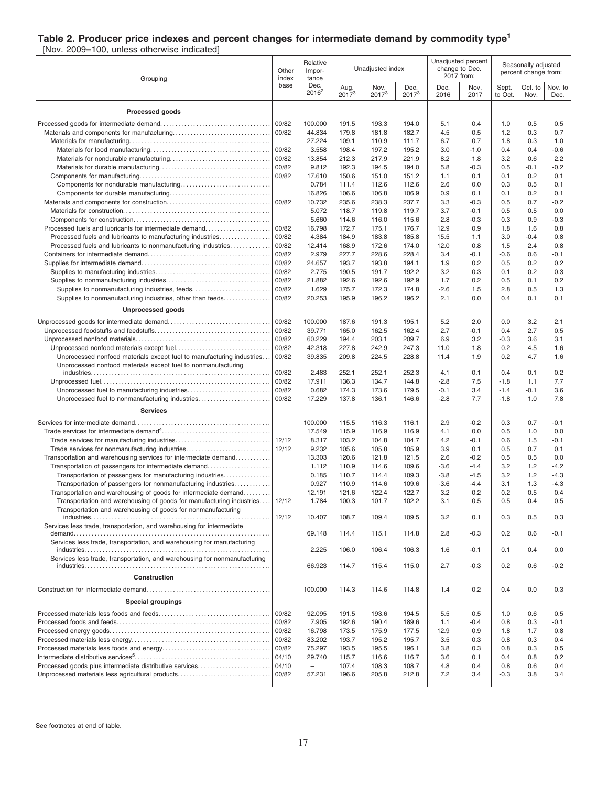#### **Table 2. Producer price indexes and percent changes for intermediate demand by commodity type<sup>1</sup>**

[Nov. 2009=100, unless otherwise indicated]

| Grouping                                                                                                                                |       | Relative<br>Impor-<br>tance |                    | Unadjusted index |                  |              | Unadjusted percent<br>change to Dec.<br>2017 from: | Seasonally adjusted<br>percent change from: |                 |                 |
|-----------------------------------------------------------------------------------------------------------------------------------------|-------|-----------------------------|--------------------|------------------|------------------|--------------|----------------------------------------------------|---------------------------------------------|-----------------|-----------------|
|                                                                                                                                         | base  | Dec.<br>$2016^2$            | Aug.<br>$2017^{3}$ | Nov.<br>$2017^3$ | Dec.<br>$2017^3$ | Dec.<br>2016 | Nov.<br>2017                                       | Sept.<br>to Oct.                            | Oct. to<br>Nov. | Nov. to<br>Dec. |
| Processed goods                                                                                                                         |       |                             |                    |                  |                  |              |                                                    |                                             |                 |                 |
|                                                                                                                                         | 00/82 | 100.000                     | 191.5              | 193.3            | 194.0            | 5.1          | 0.4                                                | 1.0                                         | 0.5             | 0.5             |
|                                                                                                                                         | 00/82 | 44.834                      | 179.8              | 181.8            | 182.7            | 4.5          | 0.5                                                | 1.2                                         | 0.3             | 0.7             |
|                                                                                                                                         |       | 27.224                      | 109.1              | 110.9            | 111.7            | 6.7          | 0.7                                                | 1.8                                         | 0.3             | 1.0             |
|                                                                                                                                         | 00/82 | 3.558                       | 198.4              | 197.2            | 195.2            | 3.0          | $-1.0$                                             | 0.4                                         | 0.4             | $-0.6$          |
|                                                                                                                                         | 00/82 | 13.854                      | 212.3              | 217.9            | 221.9            | 8.2          | 1.8                                                | 3.2                                         | 0.6             | 2.2             |
|                                                                                                                                         | 00/82 | 9.812                       | 192.3              | 194.5            | 194.0            | 5.8          | $-0.3$                                             | 0.5                                         | $-0.1$          | $-0.2$          |
|                                                                                                                                         | 00/82 | 17.610                      | 150.6              | 151.0            | 151.2            | 1.1          | 0.1                                                | 0.1                                         | 0.2             | 0.1             |
|                                                                                                                                         |       | 0.784                       | 111.4              | 112.6            | 112.6            | 2.6          | 0.0                                                | 0.3                                         | 0.5             | 0.1             |
|                                                                                                                                         |       | 16.826                      | 106.6              | 106.8            | 106.9            | 0.9          | 0.1                                                | 0.1                                         | 0.2             | 0.1             |
|                                                                                                                                         | 00/82 | 10.732<br>5.072             | 235.6<br>118.7     | 238.3<br>119.8   | 237.7<br>119.7   | 3.3<br>3.7   | $-0.3$<br>$-0.1$                                   | 0.5<br>0.5                                  | 0.7<br>0.5      | $-0.2$<br>0.0   |
|                                                                                                                                         |       | 5.660                       | 114.6              | 116.0            | 115.6            | 2.8          | -0.3                                               | 0.3                                         | 0.9             | $-0.3$          |
| Processed fuels and lubricants for intermediate demand                                                                                  | 00/82 | 16.798                      | 172.7              | 175.1            | 176.7            | 12.9         | 0.9                                                | 1.8                                         | 1.6             | 0.8             |
| Processed fuels and lubricants to manufacturing industries                                                                              | 00/82 | 4.384                       | 184.9              | 183.8            | 185.8            | 15.5         | 1.1                                                | 3.0                                         | $-0.4$          | 0.8             |
| Processed fuels and lubricants to nonmanufacturing industries                                                                           | 00/82 | 12.414                      | 168.9              | 172.6            | 174.0            | 12.0         | 0.8                                                | 1.5                                         | 2.4             | 0.8             |
|                                                                                                                                         | 00/82 | 2.979                       | 227.7              | 228.6            | 228.4            | 3.4          | -0.1                                               | $-0.6$                                      | 0.6             | -0.1            |
|                                                                                                                                         | 00/82 | 24.657                      | 193.7              | 193.8            | 194.1            | 1.9          | 0.2                                                | 0.5                                         | 0.2             | 0.2             |
|                                                                                                                                         | 00/82 | 2.775                       | 190.5              | 191.7            | 192.2            | 3.2          | 0.3                                                | 0.1                                         | 0.2             | 0.3             |
|                                                                                                                                         | 00/82 | 21.882                      | 192.6              | 192.6            | 192.9            | 1.7          | 0.2                                                | 0.5                                         | 0.1             | 0.2             |
| Supplies to nonmanufacturing industries, feeds                                                                                          | 00/82 | 1.629                       | 175.7              | 172.3            | 174.8            | $-2.6$       | 1.5                                                | 2.8                                         | 0.5             | 1.3             |
| Supplies to nonmanufacturing industries, other than feeds                                                                               | 00/82 | 20.253                      | 195.9              | 196.2            | 196.2            | 2.1          | 0.0                                                | 0.4                                         | 0.1             | 0.1             |
| <b>Unprocessed goods</b>                                                                                                                |       |                             |                    |                  |                  |              |                                                    |                                             |                 |                 |
|                                                                                                                                         | 00/82 | 100.000                     | 187.6              | 191.3            | 195.1            | 5.2          | 2.0                                                | 0.0                                         | 3.2             | 2.1             |
|                                                                                                                                         | 00/82 | 39.771                      | 165.0              | 162.5            | 162.4            | 2.7          | -0.1                                               | 0.4                                         | 2.7             | 0.5             |
|                                                                                                                                         | 00/82 | 60.229                      | 194.4              | 203.1            | 209.7            | 6.9          | 3.2                                                | $-0.3$                                      | 3.6             | 3.1             |
|                                                                                                                                         | 00/82 | 42.318                      | 227.8              | 242.9            | 247.3            | 11.0         | 1.8                                                | 0.2                                         | 4.5             | 1.6             |
| Unprocessed nonfood materials except fuel to manufacturing industries                                                                   | 00/82 | 39.835                      | 209.8              | 224.5            | 228.8            | 11.4         | 1.9                                                | 0.2                                         | 4.7             | 1.6             |
| Unprocessed nonfood materials except fuel to nonmanufacturing                                                                           | 00/82 | 2.483                       | 252.1              | 252.1            | 252.3            | 4.1          | 0.1                                                | 0.4                                         | 0.1             | 0.2             |
|                                                                                                                                         | 00/82 | 17.911                      | 136.3              | 134.7            | 144.8            | $-2.8$       | 7.5                                                | $-1.8$                                      | 1.1             | 7.7             |
|                                                                                                                                         | 00/82 | 0.682                       | 174.3              | 173.6            | 179.5            | $-0.1$       | 3.4                                                | $-1.4$                                      | -0.1            | 3.6             |
| Unprocessed fuel to nonmanufacturing industries                                                                                         | 00/82 | 17.229                      | 137.8              | 136.1            | 146.6            | $-2.8$       | 7.7                                                | $-1.8$                                      | 1.0             | 7.8             |
| <b>Services</b>                                                                                                                         |       |                             |                    |                  |                  |              |                                                    |                                             |                 |                 |
|                                                                                                                                         |       | 100.000                     | 115.5              | 116.3            | 116.1            | 2.9          | $-0.2$                                             | 0.3                                         | 0.7             | $-0.1$          |
|                                                                                                                                         |       | 17.549                      | 115.9              | 116.9            | 116.9            | 4.1          | 0.0                                                | 0.5                                         | 1.0             | 0.0             |
|                                                                                                                                         | 12/12 | 8.317                       | 103.2              | 104.8            | 104.7            | 4.2          | $-0.1$                                             | 0.6                                         | 1.5             | $-0.1$          |
| Trade services for nonmanufacturing industries                                                                                          | 12/12 | 9.232                       | 105.6              | 105.8            | 105.9            | 3.9          | 0.1                                                | 0.5                                         | 0.7             | 0.1             |
| Transportation and warehousing services for intermediate demand                                                                         |       | 13.303                      | 120.6              | 121.8            | 121.5            | 2.6          | $-0.2$                                             | 0.5                                         | 0.5             | 0.0             |
| Transportation of passengers for intermediate demand                                                                                    |       | 1.112                       | 110.9              | 114.6            | 109.6            | $-3.6$       | -4.4                                               | 3.2                                         | 1.2             | $-4.2$          |
| Transportation of passengers for manufacturing industries                                                                               |       | 0.185                       | 110.7              | 114.4            | 109.3            | $-3.8$       | $-4.5$                                             | 3.2                                         | 1.2             | $-4.3$          |
| Transportation of passengers for nonmanufacturing industries                                                                            |       | 0.927                       | 110.9              | 114.6            | 109.6            | $-3.6$       | -4.4                                               | 3.1                                         | 1.3             | $-4.3$          |
| Transportation and warehousing of goods for intermediate demand<br>Transportation and warehousing of goods for manufacturing industries | 12/12 | 12.191<br>1.784             | 121.6<br>100.3     | 122.4<br>101.7   | 122.7<br>102.2   | 3.2<br>3.1   | 0.2<br>0.5                                         | 0.2<br>0.5                                  | 0.5<br>04       | 0.4<br>0.5      |
| Transportation and warehousing of goods for nonmanufacturing                                                                            |       |                             |                    |                  |                  |              |                                                    |                                             |                 |                 |
|                                                                                                                                         | 12/12 | 10.407                      | 108.7              | 109.4            | 109.5            | 3.2          | 0.1                                                | 0.3                                         | 0.5             | 0.3             |
| Services less trade, transportation, and warehousing for intermediate                                                                   |       | 69.148                      | 114.4              | 115.1            | 114.8            | 2.8          | $-0.3$                                             | 0.2                                         | 0.6             | $-0.1$          |
| Services less trade, transportation, and warehousing for manufacturing                                                                  |       |                             |                    |                  |                  |              |                                                    |                                             |                 |                 |
| Services less trade, transportation, and warehousing for nonmanufacturing                                                               |       | 2.225                       | 106.0              | 106.4            | 106.3            | 1.6          | -0.1                                               | 0.1                                         | 0.4             | 0.0             |
|                                                                                                                                         |       | 66.923                      | 114.7              | 115.4            | 115.0            | 2.7          | $-0.3$                                             | 0.2                                         | 0.6             | $-0.2$          |
| Construction                                                                                                                            |       | 100.000                     | 114.3              | 114.6            | 114.8            | 1.4          | 0.2                                                | 0.4                                         | 0.0             | 0.3             |
| <b>Special groupings</b>                                                                                                                |       |                             |                    |                  |                  |              |                                                    |                                             |                 |                 |
|                                                                                                                                         | 00/82 | 92.095                      | 191.5              | 193.6            | 194.5            | 5.5          | 0.5                                                | 1.0                                         | 0.6             | 0.5             |
|                                                                                                                                         | 00/82 | 7.905                       | 192.6              | 190.4            | 189.6            | 1.1          | -0.4                                               | 0.8                                         | 0.3             | $-0.1$          |
|                                                                                                                                         | 00/82 | 16.798                      | 173.5              | 175.9            | 177.5            | 12.9         | 0.9                                                | 1.8                                         | 1.7             | 0.8             |
|                                                                                                                                         | 00/82 | 83.202                      | 193.7              | 195.2            | 195.7            | 3.5          | 0.3                                                | 0.8                                         | 0.3             | 0.4             |
|                                                                                                                                         | 00/82 | 75.297                      | 193.5              | 195.5            | 196.1            | 3.8          | 0.3                                                | 0.8                                         | 0.3             | 0.5             |
|                                                                                                                                         | 04/10 | 29.740                      | 115.7              | 116.6            | 116.7            | 3.6          | 0.1                                                | 0.4                                         | 0.8             | 0.2             |
| Processed goods plus intermediate distributive services                                                                                 | 04/10 | $\overline{\phantom{0}}$    | 107.4              | 108.3            | 108.7            | 4.8          | 0.4                                                | 0.8                                         | 0.6             | 0.4             |
| Unprocessed materials less agricultural products                                                                                        | 00/82 | 57.231                      | 196.6              | 205.8            | 212.8            | 7.2          | 3.4                                                | $-0.3$                                      | 3.8             | 3.4             |
|                                                                                                                                         |       |                             |                    |                  |                  |              |                                                    |                                             |                 |                 |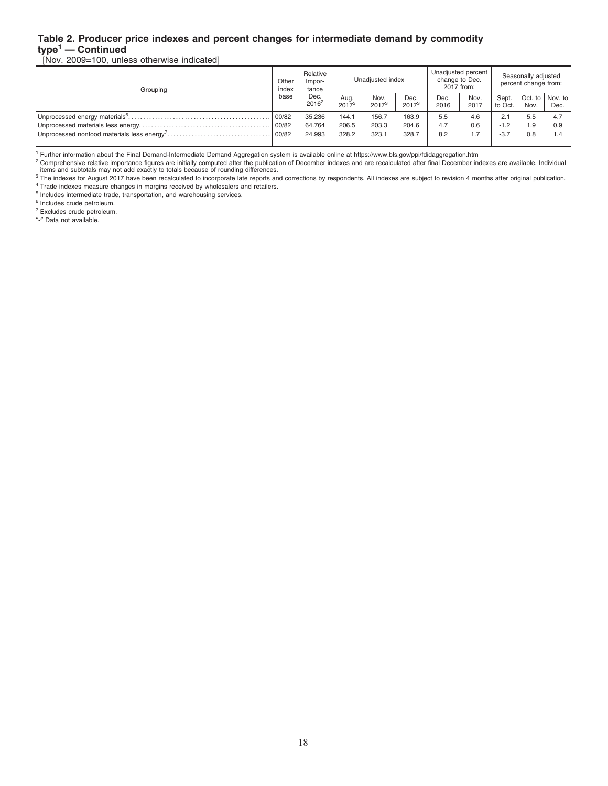#### **Table 2. Producer price indexes and percent changes for intermediate demand by commodity type<sup>1</sup> — Continued**

[Nov. 2009=100, unless otherwise indicated]

| Other<br>index | Relative<br>Impor-<br>tance | Unadiusted index   |                    |                    |              |              | Seasonally adjusted<br>percent change from:        |      |                 |
|----------------|-----------------------------|--------------------|--------------------|--------------------|--------------|--------------|----------------------------------------------------|------|-----------------|
| base           | Dec.<br>$2016^2$            | Aug.<br>$2017^{3}$ | Nov.<br>$2017^{3}$ | Dec.<br>$2017^{3}$ | Dec.<br>2016 | Nov.<br>2017 | Sept.<br>to Oct.                                   | Nov. | Dec.            |
| 00/82          | 35.236                      | 144.1              | 156.7              | 163.9              | 5.5          | 4.6          | 2.1                                                | 5.5  | 4.7             |
|                | 64.764                      | 206.5              | 203.3              | 204.6              | 4.7          | 0.6          | $-1.2$                                             | .9   | 0.9             |
| 100/82         | 24.993                      | 328.2              | 323.1              | 328.7              | 8.2          |              | $-3.7$                                             | 0.8  | 1.4             |
|                |                             |                    |                    |                    |              |              | Unadjusted percent<br>change to Dec.<br>2017 from: |      | Oct. to Nov. to |

<sup>1</sup> Further information about the Final Demand-Intermediate Demand Aggregation system is available online at https://www.bls.gov/ppi/fdidaggregation.htm

<sup>2</sup> Comprehensive relative importance figures are initially computed after the publication of December indexes and are recalculated after final December indexes are available. Individual<br>items and subtotals may not add exa

<sup>3</sup> The indexes for August 2017 have been recalculated to incorporate late reports and corrections by respondents. All indexes are subject to revision 4 months after original publication. <sup>4</sup> Trade indexes measure changes in margins received by wholesalers and retailers.

<sup>5</sup> Includes intermediate trade, transportation, and warehousing services.

<sup>6</sup> Includes crude petroleum.

<sup>7</sup> Excludes crude petroleum.

″-″ Data not available.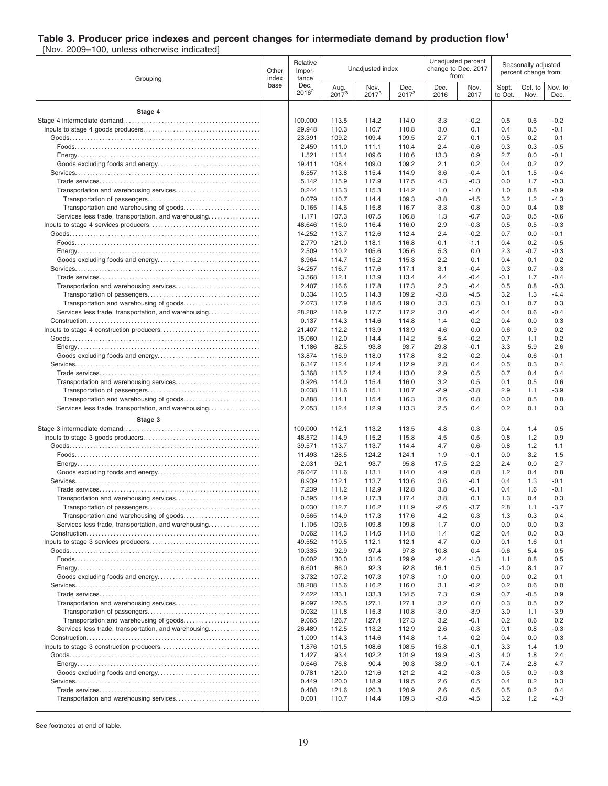#### **Table 3. Producer price indexes and percent changes for intermediate demand by production flow<sup>1</sup>**

[Nov. 2009=100, unless otherwise indicated]

| Grouping                                             | Other<br>index<br>base | Relative<br>Impor-<br>tance |                    | Unadjusted index |                  |              | Unadjusted percent<br>change to Dec. 2017<br>from: | Seasonally adjusted<br>percent change from: |                 |                 |
|------------------------------------------------------|------------------------|-----------------------------|--------------------|------------------|------------------|--------------|----------------------------------------------------|---------------------------------------------|-----------------|-----------------|
|                                                      |                        | Dec.<br>$2016^2$            | Aug.<br>$2017^{3}$ | Nov.<br>$2017^3$ | Dec.<br>$2017^3$ | Dec.<br>2016 | Nov.<br>2017                                       | Sept.<br>to Oct.                            | Oct. to<br>Nov. | Nov. to<br>Dec. |
| Stage 4                                              |                        |                             |                    |                  |                  |              |                                                    |                                             |                 |                 |
|                                                      |                        | 100.000                     | 113.5              | 114.2            | 114.0            | 3.3          | $-0.2$                                             | 0.5                                         | 0.6             | $-0.2$          |
|                                                      |                        | 29.948                      | 110.3              | 110.7            | 110.8            | 3.0          | 0.1                                                | 0.4                                         | 0.5             | $-0.1$          |
|                                                      |                        | 23.391                      | 109.2              | 109.4            | 109.5            | 2.7          | 0.1                                                | 0.5                                         | 0.2             | 0.1             |
|                                                      |                        | 2.459                       | 111.0              | 111.1            | 110.4            | 2.4          | $-0.6$                                             | 0.3                                         | 0.3             | $-0.5$          |
|                                                      |                        | 1.521<br>19.411             | 113.4<br>108.4     | 109.6<br>109.0   | 110.6<br>109.2   | 13.3<br>2.1  | 0.9<br>0.2                                         | 2.7<br>0.4                                  | 0.0<br>0.2      | $-0.1$<br>0.2   |
|                                                      |                        | 6.557                       | 113.8              | 115.4            | 114.9            | 3.6          | $-0.4$                                             | 0.1                                         | 1.5             | $-0.4$          |
|                                                      |                        | 5.142                       | 115.9              | 117.9            | 117.5            | 4.3          | $-0.3$                                             | 0.0                                         | 1.7             | $-0.3$          |
|                                                      |                        | 0.244                       | 113.3              | 115.3            | 114.2            | 1.0          | $-1.0$                                             | 1.0                                         | 0.8             | $-0.9$          |
|                                                      |                        | 0.079                       | 110.7              | 114.4            | 109.3            | $-3.8$       | $-4.5$                                             | 3.2                                         | 1.2             | $-4.3$          |
| Services less trade, transportation, and warehousing |                        | 0.165<br>1.171              | 114.6<br>107.3     | 115.8<br>107.5   | 116.7<br>106.8   | 3.3<br>1.3   | 0.8<br>$-0.7$                                      | 0.0<br>0.3                                  | 0.4<br>0.5      | 0.8<br>$-0.6$   |
|                                                      |                        | 48.646                      | 116.0              | 116.4            | 116.0            | 2.9          | -0.3                                               | 0.5                                         | 0.5             | $-0.3$          |
|                                                      |                        | 14.252                      | 113.7              | 112.6            | 112.4            | 2.4          | $-0.2$                                             | 0.7                                         | 0.0             | $-0.1$          |
|                                                      |                        | 2.779                       | 121.0              | 118.1            | 116.8            | $-0.1$       | $-1.1$                                             | 0.4                                         | 0.2             | $-0.5$          |
|                                                      |                        | 2.509                       | 110.2              | 105.6            | 105.6            | 5.3          | 0.0                                                | 2.3                                         | $-0.7$          | $-0.3$          |
|                                                      |                        | 8.964<br>34.257             | 114.7<br>116.7     | 115.2<br>117.6   | 115.3<br>117.1   | 2.2<br>3.1   | 0.1<br>$-0.4$                                      | 0.4<br>0.3                                  | 0.1<br>0.7      | 0.2<br>$-0.3$   |
|                                                      |                        | 3.568                       | 112.1              | 113.9            | 113.4            | 4.4          | $-0.4$                                             | $-0.1$                                      | 1.7             | $-0.4$          |
|                                                      |                        | 2.407                       | 116.6              | 117.8            | 117.3            | 2.3          | $-0.4$                                             | 0.5                                         | 0.8             | $-0.3$          |
|                                                      |                        | 0.334                       | 110.5              | 114.3            | 109.2            | $-3.8$       | -4.5                                               | 3.2                                         | 1.3             | $-4.4$          |
|                                                      |                        | 2.073                       | 117.9              | 118.6            | 119.0            | 3.3          | 0.3                                                | 0.1                                         | 0.7             | 0.3             |
| Services less trade, transportation, and warehousing |                        | 28.282                      | 116.9              | 117.7            | 117.2            | 3.0          | $-0.4$                                             | 0.4                                         | 0.6             | $-0.4$          |
|                                                      |                        | 0.137<br>21.407             | 114.3<br>112.2     | 114.6<br>113.9   | 114.8<br>113.9   | 1.4<br>4.6   | 0.2<br>0.0                                         | 0.4<br>0.6                                  | 0.0<br>0.9      | 0.3<br>0.2      |
|                                                      |                        | 15.060                      | 112.0              | 114.4            | 114.2            | 5.4          | $-0.2$                                             | 0.7                                         | 1.1             | 0.2             |
|                                                      |                        | 1.186                       | 82.5               | 93.8             | 93.7             | 29.8         | $-0.1$                                             | 3.3                                         | 5.9             | 2.6             |
|                                                      |                        | 13.874                      | 116.9              | 118.0            | 117.8            | 3.2          | $-0.2$                                             | 0.4                                         | 0.6             | $-0.1$          |
|                                                      |                        | 6.347                       | 112.4              | 112.4            | 112.9            | 2.8          | 0.4                                                | 0.5                                         | 0.3             | 0.4             |
|                                                      |                        | 3.368<br>0.926              | 113.2<br>114.0     | 112.4<br>115.4   | 113.0<br>116.0   | 2.9<br>3.2   | 0.5<br>0.5                                         | 0.7<br>0.1                                  | 0.4<br>0.5      | 0.4<br>0.6      |
|                                                      |                        | 0.038                       | 111.6              | 115.1            | 110.7            | $-2.9$       | $-3.8$                                             | 2.9                                         | 1.1             | $-3.9$          |
|                                                      |                        | 0.888                       | 114.1              | 115.4            | 116.3            | 3.6          | 0.8                                                | 0.0                                         | 0.5             | 0.8             |
| Services less trade, transportation, and warehousing |                        | 2.053                       | 112.4              | 112.9            | 113.3            | 2.5          | 0.4                                                | 0.2                                         | 0.1             | 0.3             |
| Stage 3                                              |                        |                             |                    |                  |                  |              |                                                    |                                             |                 |                 |
|                                                      |                        | 100.000                     | 112.1              | 113.2            | 113.5            | 4.8          | 0.3                                                | 0.4                                         | 1.4             | 0.5             |
|                                                      |                        | 48.572                      | 114.9              | 115.2            | 115.8            | 4.5          | 0.5                                                | 0.8                                         | 1.2             | 0.9             |
|                                                      |                        | 39.571<br>11.493            | 113.7<br>128.5     | 113.7<br>124.2   | 114.4<br>124.1   | 4.7<br>1.9   | 0.6<br>-0.1                                        | 0.8<br>0.0                                  | 1.2<br>3.2      | 1.1<br>1.5      |
|                                                      |                        | 2.031                       | 92.1               | 93.7             | 95.8             | 17.5         | 2.2                                                | 2.4                                         | 0.0             | 2.7             |
|                                                      |                        | 26.047                      | 111.6              | 113.1            | 114.0            | 4.9          | 0.8                                                | 1.2                                         | 0.4             | 0.8             |
|                                                      |                        | 8.939                       | 112.1              | 113.7            | 113.6            | 3.6          | $-0.1$                                             | 0.4                                         | 1.3             | $-0.1$          |
| Transportation and warehousing services              |                        | 7.239<br>0.595              | 111.2<br>114.9     | 112.9<br>117.3   | 112.8<br>117.4   | 3.8<br>3.8   | $-0.1$<br>0.1                                      | 0.4<br>1.3                                  | 1.6<br>0.4      | $-0.1$<br>0.3   |
|                                                      |                        | 0.030                       | 112.7              | 116.2            | 111.9            | $-2.6$       | $-3.7$                                             | 2.8                                         | 1.1             | $-3.7$          |
|                                                      |                        | 0.565                       | 114.9              | 117.3            | 117.6            | 4.2          | 0.3                                                | 1.3                                         | 0.3             | 0.4             |
| Services less trade, transportation, and warehousing |                        | 1.105                       | 109.6              | 109.8            | 109.8            | 1.7          | 0.0                                                | 0.0                                         | 0.0             | 0.3             |
|                                                      |                        | 0.062                       | 114.3              | 114.6            | 114.8            | 1.4          | 0.2                                                | 0.4                                         | 0.0             | 0.3             |
|                                                      |                        | 49.552<br>10.335            | 110.5<br>92.9      | 112.1<br>97.4    | 112.1<br>97.8    | 4.7<br>10.8  | 0.0<br>0.4                                         | 0.1<br>$-0.6$                               | 1.6<br>5.4      | 0.1<br>0.5      |
|                                                      |                        | 0.002                       | 130.0              | 131.6            | 129.9            | $-2.4$       | $-1.3$                                             | 1.1                                         | 0.8             | 0.5             |
|                                                      |                        | 6.601                       | 86.0               | 92.3             | 92.8             | 16.1         | 0.5                                                | $-1.0$                                      | 8.1             | 0.7             |
|                                                      |                        | 3.732                       | 107.2              | 107.3            | 107.3            | 1.0          | 0.0                                                | 0.0                                         | 0.2             | 0.1             |
|                                                      |                        | 38.208                      | 115.6              | 116.2            | 116.0            | 3.1          | $-0.2$                                             | 0.2                                         | 0.6             | 0.0             |
|                                                      |                        | 2.622<br>9.097              | 133.1<br>126.5     | 133.3<br>127.1   | 134.5<br>127.1   | 7.3<br>3.2   | 0.9                                                | 0.7                                         | $-0.5$<br>0.5   | 0.9<br>0.2      |
|                                                      |                        | 0.032                       | 111.8              | 115.3            | 110.8            | $-3.0$       | 0.0<br>$-3.9$                                      | 0.3<br>3.0                                  | 1.1             | $-3.9$          |
|                                                      |                        | 9.065                       | 126.7              | 127.4            | 127.3            | 3.2          | $-0.1$                                             | 0.2                                         | 0.6             | 0.2             |
| Services less trade, transportation, and warehousing |                        | 26.489                      | 112.5              | 113.2            | 112.9            | 2.6          | $-0.3$                                             | 0.1                                         | 0.8             | $-0.3$          |
|                                                      |                        | 1.009                       | 114.3              | 114.6            | 114.8            | 1.4          | 0.2                                                | 0.4                                         | 0.0             | 0.3             |
|                                                      |                        | 1.876                       | 101.5              | 108.6            | 108.5            | 15.8         | $-0.1$                                             | 3.3                                         | 1.4             | 1.9             |
|                                                      |                        | 1.427<br>0.646              | 93.4<br>76.8       | 102.2<br>90.4    | 101.9<br>90.3    | 19.9<br>38.9 | $-0.3$<br>$-0.1$                                   | 4.0<br>7.4                                  | 1.8<br>2.8      | 2.4<br>4.7      |
|                                                      |                        | 0.781                       | 120.0              | 121.6            | 121.2            | 4.2          | -0.3                                               | 0.5                                         | 0.9             | $-0.3$          |
|                                                      |                        | 0.449                       | 120.0              | 118.9            | 119.5            | 2.6          | 0.5                                                | 0.4                                         | 0.2             | 0.3             |
|                                                      |                        | 0.408                       | 121.6              | 120.3            | 120.9            | 2.6          | 0.5                                                | 0.5                                         | 0.2             | 0.4             |
|                                                      |                        | 0.001                       | 110.7              | 114.4            | 109.3            | $-3.8$       | $-4.5$                                             | 3.2                                         | 1.2             | $-4.3$          |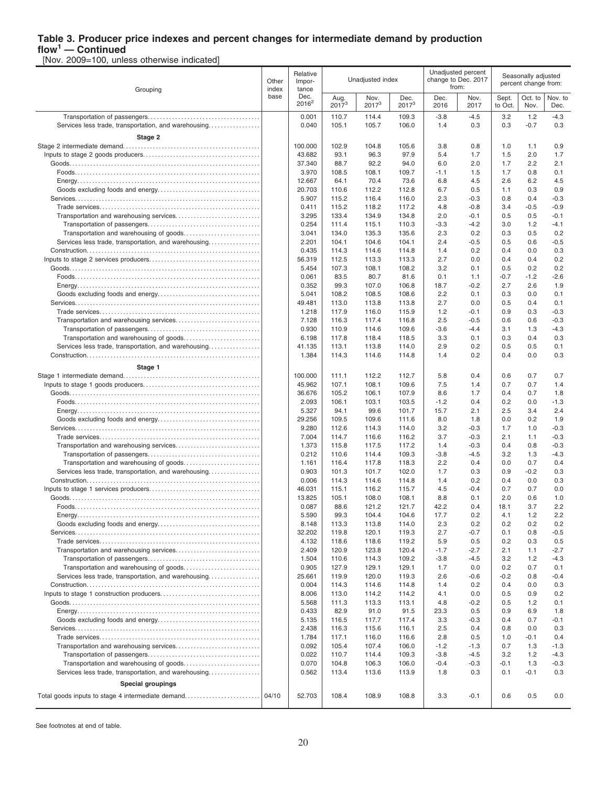# **Table 3. Producer price indexes and percent changes for intermediate demand by production**

**flow<sup>1</sup> — Continued** [Nov. 2009=100, unless otherwise indicated]

| Grouping                                             | Relative<br>Other<br>Impor-<br>index<br>tance |                  |                    | Unadjusted index   |                           |                  | Unadjusted percent<br>change to Dec. 2017<br>from: | Seasonally adjusted<br>percent change from: |                 |                 |
|------------------------------------------------------|-----------------------------------------------|------------------|--------------------|--------------------|---------------------------|------------------|----------------------------------------------------|---------------------------------------------|-----------------|-----------------|
|                                                      | base                                          | Dec.<br>$2016^2$ | Aug.<br>$2017^{3}$ | Nov.<br>$2017^{3}$ | Dec.<br>2017 <sup>3</sup> | Dec.<br>2016     | Nov.<br>2017                                       | Sept.<br>to Oct.                            | Oct. to<br>Nov. | Nov. to<br>Dec. |
|                                                      |                                               | 0.001            | 110.7              | 114.4              | 109.3                     | $-3.8$           | $-4.5$                                             | 3.2                                         | 1.2             | $-4.3$          |
| Services less trade, transportation, and warehousing |                                               | 0.040            | 105.1              | 105.7              | 106.0                     | 1.4              | 0.3                                                | 0.3                                         | $-0.7$          | 0.3             |
| Stage 2                                              |                                               | 100.000          | 102.9              | 104.8              | 105.6                     | 3.8              | 0.8                                                | 1.0                                         | 1.1             | 0.9             |
|                                                      |                                               | 43.682           | 93.1               | 96.3               | 97.9                      | 5.4              | 1.7                                                | 1.5                                         | 2.0             | 1.7             |
|                                                      |                                               | 37.340           | 88.7               | 92.2               | 94.0                      | 6.0              | 2.0                                                | 1.7                                         | 2.2             | 2.1             |
|                                                      |                                               | 3.970            | 108.5              | 108.1              | 109.7                     | $-1.1$           | 1.5                                                | 1.7                                         | 0.8             | 0.1             |
|                                                      |                                               | 12.667           | 64.1               | 70.4               | 73.6                      | 6.8              | 4.5                                                | 2.6                                         | 6.2             | 4.5             |
|                                                      |                                               | 20.703           | 110.6              | 112.2              | 112.8                     | 6.7              | 0.5                                                | 1.1                                         | 0.3             | 0.9             |
|                                                      |                                               | 5.907            | 115.2              | 116.4              | 116.0                     | 2.3              | $-0.3$                                             | 0.8                                         | 0.4             | $-0.3$          |
|                                                      |                                               | 0.411            | 115.2              | 118.2              | 117.2                     | 4.8              | $-0.8$                                             | 3.4                                         | $-0.5$          | $-0.9$          |
|                                                      |                                               | 3.295            | 133.4              | 134.9              | 134.8                     | 2.0              | $-0.1$                                             | 0.5                                         | 0.5             | -0.1            |
|                                                      |                                               | 0.254            | 111.4              | 115.1              | 110.3                     | $-3.3$           | $-4.2$                                             | 3.0                                         | 1.2             | $-4.1$          |
|                                                      |                                               | 3.041            | 134.0              | 135.3              | 135.6                     | 2.3              | 0.2                                                | 0.3                                         | 0.5             | 0.2             |
| Services less trade, transportation, and warehousing |                                               | 2.201            | 104.1              | 104.6              | 104.1                     | 2.4              | $-0.5$                                             | 0.5                                         | 0.6             | $-0.5$          |
|                                                      |                                               | 0.435            | 114.3              | 114.6              | 114.8                     | 1.4              | 0.2                                                | 0.4                                         | 0.0             | 0.3             |
|                                                      |                                               | 56.319<br>5.454  | 112.5<br>107.3     | 113.3<br>108.1     | 113.3                     | 2.7<br>3.2       | 0.0                                                | 0.4                                         | 0.4<br>0.2      | 0.2<br>0.2      |
|                                                      |                                               | 0.061            | 83.5               | 80.7               | 108.2<br>81.6             | 0.1              | 0.1<br>1.1                                         | 0.5<br>-0.7                                 | $-1.2$          | -2.6            |
|                                                      |                                               | 0.352            | 99.3               | 107.0              | 106.8                     | 18.7             | $-0.2$                                             | 2.7                                         | 2.6             | 1.9             |
|                                                      |                                               | 5.041            | 108.2              | 108.5              | 108.6                     | 2.2              | 0.1                                                | 0.3                                         | 0.0             | 0.1             |
|                                                      |                                               | 49.481           | 113.0              | 113.8              | 113.8                     | 2.7              | 0.0                                                | 0.5                                         | 0.4             | 0.1             |
|                                                      |                                               | 1.218            | 117.9              | 116.0              | 115.9                     | 1.2              | $-0.1$                                             | 0.9                                         | 0.3             | $-0.3$          |
|                                                      |                                               | 7.128            | 116.3              | 117.4              | 116.8                     | 2.5              | $-0.5$                                             | 0.6                                         | 0.6             | $-0.3$          |
|                                                      |                                               | 0.930            | 110.9              | 114.6              | 109.6                     | $-3.6$           | $-4.4$                                             | 3.1                                         | 1.3             | -4.3            |
|                                                      |                                               | 6.198            | 117.8              | 118.4              | 118.5                     | 3.3              | 0.1                                                | 0.3                                         | 0.4             | 0.3             |
| Services less trade, transportation, and warehousing |                                               | 41.135           | 113.1              | 113.8              | 114.0                     | 2.9              | 0.2                                                | 0.5                                         | 0.5             | 0.1             |
|                                                      |                                               | 1.384            | 114.3              | 114.6              | 114.8                     | 1.4              | 0.2                                                | 0.4                                         | 0.0             | 0.3             |
| Stage 1                                              |                                               |                  |                    |                    |                           |                  |                                                    |                                             |                 |                 |
|                                                      |                                               | 100.000          | 111.1              | 112.2              | 112.7                     | 5.8              | 0.4                                                | 0.6                                         | 0.7             | 0.7             |
|                                                      |                                               | 45.962           | 107.1              | 108.1              | 109.6                     | 7.5              | 1.4                                                | 0.7                                         | 0.7             | 1.4             |
|                                                      |                                               | 36.676           | 105.2              | 106.1              | 107.9                     | 8.6              | 1.7                                                | 0.4                                         | 0.7             | 1.8             |
|                                                      |                                               | 2.093            | 106.1              | 103.1              | 103.5                     | $-1.2$           | 0.4                                                | 0.2                                         | 0.0             | -1.3            |
|                                                      |                                               | 5.327            | 94.1               | 99.6               | 101.7                     | 15.7             | 2.1                                                | 2.5                                         | 3.4             | 2.4             |
|                                                      |                                               | 29.256           | 109.5              | 109.6              | 111.6                     | 8.0              | 1.8                                                | 0.0                                         | 0.2             | 1.9             |
|                                                      |                                               | 9.280            | 112.6              | 114.3              | 114.0                     | 3.2              | $-0.3$                                             | 1.7                                         | 1.0             | $-0.3$          |
|                                                      |                                               | 7.004            | 114.7              | 116.6              | 116.2                     | 3.7              | $-0.3$                                             | 2.1                                         | 1.1             | $-0.3$          |
|                                                      |                                               | 1.373            | 115.8              | 117.5              | 117.2                     | 1.4              | $-0.3$                                             | 0.4                                         | 0.8             | $-0.3$          |
|                                                      |                                               | 0.212            | 110.6              | 114.4              | 109.3                     | $-3.8$           | $-4.5$                                             | 3.2                                         | 1.3             | $-4.3$          |
|                                                      |                                               | 1.161            | 116.4              | 117.8              | 118.3                     | 2.2              | 0.4                                                | 0.0                                         | 0.7             | 0.4             |
| Services less trade, transportation, and warehousing |                                               | 0.903            | 101.3              | 101.7              | 102.0                     | 1.7              | 0.3                                                | 0.9                                         | $-0.2$          | 0.3             |
|                                                      |                                               | 0.006<br>46.031  | 114.3              | 114.6<br>116.2     | 114.8                     | 1.4<br>4.5       | 0.2<br>$-0.4$                                      | 0.4<br>0.7                                  | 0.0<br>0.7      | 0.3<br>0.0      |
|                                                      |                                               | 13.825           | 115.1<br>105.1     | 108.0              | 115.7<br>108.1            | 8.8              | 0.1                                                | 2.0                                         | 0.6             | 1.0             |
|                                                      |                                               | 0.087            | 88.6               | 121.2              | 121.7                     | 42.2             | 0.4                                                | 18.1                                        | 3.7             | 2.2             |
|                                                      |                                               | 5.590            | 99.3               | 104.4              | 104.6                     | 17.7             | 0.2                                                | 4.1                                         | 1.2             | 2.2             |
|                                                      |                                               | 8.148            | 113.3              | 113.8              | 114.0                     | 2.3              | 0.2                                                | 0.2                                         | 0.2             | 0.2             |
|                                                      |                                               | 32.202           | 119.8              | 120.1              | 119.3                     | 2.7              | $-0.7$                                             | 0.1                                         | 0.8             | -0.5            |
|                                                      |                                               | 4.132            | 118.6              | 118.6              | 119.2                     | 5.9              | 0.5                                                | 0.2                                         | 0.3             | 0.5             |
|                                                      |                                               | 2.409            | 120.9              | 123.8              | 120.4                     | $-1.7$           | $-2.7$                                             | 2.1                                         | 1.1             | -2.7            |
|                                                      |                                               | 1.504            | 110.6              | 114.3              | 109.2                     | $-3.8$           | $-4.5$                                             | 3.2                                         | 1.2             | $-4.3$          |
|                                                      |                                               | 0.905            | 127.9              | 129.1              | 129.1                     | 1.7              | 0.0                                                | 0.2                                         | 0.7             | 0.1             |
| Services less trade, transportation, and warehousing |                                               | 25.661           | 119.9              | 120.0              | 119.3                     | 2.6              | $-0.6$                                             | $-0.2$                                      | 0.8             | $-0.4$          |
|                                                      |                                               | 0.004            | 114.3              | 114.6              | 114.8                     | 1.4              | 0.2                                                | 0.4                                         | 0.0             | 0.3             |
|                                                      |                                               | 8.006            | 113.0              | 114.2              | 114.2                     | 4.1              | 0.0                                                | 0.5                                         | 0.9             | 0.2             |
|                                                      |                                               | 5.568            | 111.3              | 113.3              | 113.1                     | 4.8              | $-0.2$                                             | 0.5                                         | 1.2             | 0.1             |
|                                                      |                                               | 0.433            | 82.9               | 91.0               | 91.5                      | 23.3             | 0.5                                                | 0.9                                         | 6.9             | 1.8             |
|                                                      |                                               | 5.135            | 116.5              | 117.7              | 117.4                     | 3.3              | $-0.3$                                             | 0.4                                         | 0.7             | $-0.1$          |
|                                                      |                                               | 2.438            | 116.3              | 115.6              | 116.1                     | 2.5              | 0.4                                                | 0.8                                         | 0.0             | 0.3             |
|                                                      |                                               | 1.784            | 117.1              | 116.0              | 116.6                     | 2.8              | 0.5                                                | 1.0                                         | -0.1            | 0.4             |
|                                                      |                                               | 0.092            | 105.4              | 107.4              | 106.0                     | $-1.2$<br>$-3.8$ | $-1.3$                                             | 0.7                                         | 1.3             | $-1.3$          |
|                                                      |                                               | 0.022            | 110.7<br>104.8     | 114.4<br>106.3     | 109.3<br>106.0            | $-0.4$           | $-4.5$<br>$-0.3$                                   | 3.2<br>$-0.1$                               | 1.2<br>1.3      | $-4.3$          |
| Services less trade, transportation, and warehousing |                                               | 0.070<br>0.562   | 113.4              | 113.6              | 113.9                     | 1.8              | 0.3                                                | 0.1                                         | $-0.1$          | -0.3<br>0.3     |
|                                                      |                                               |                  |                    |                    |                           |                  |                                                    |                                             |                 |                 |
| Special groupings                                    |                                               |                  |                    |                    |                           |                  |                                                    |                                             |                 |                 |
| Total goods inputs to stage 4 intermediate demand    | 04/10                                         | 52.703           | 108.4              | 108.9              | 108.8                     | 3.3              | $-0.1$                                             | 0.6                                         | 0.5             | 0.0             |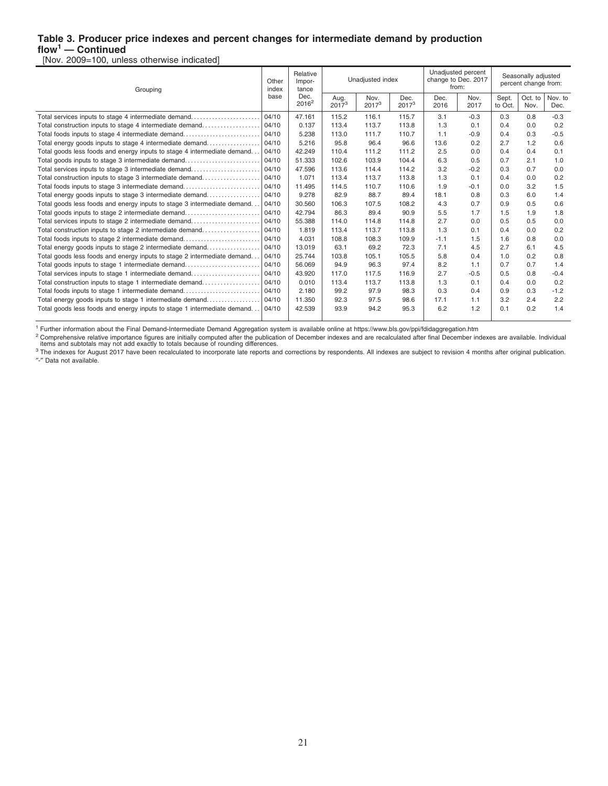#### **Table 3. Producer price indexes and percent changes for intermediate demand by production flow<sup>1</sup> — Continued**

[Nov. 2009=100, unless otherwise indicated]

| Grouping                                                                |       | Relative<br>Impor-<br>tance |                  | Unadjusted index          |                  | Unadjusted percent<br>change to Dec. 2017<br>from: |              | Seasonally adjusted<br>percent change from: |                 |                 |
|-------------------------------------------------------------------------|-------|-----------------------------|------------------|---------------------------|------------------|----------------------------------------------------|--------------|---------------------------------------------|-----------------|-----------------|
|                                                                         | base  | Dec.<br>$2016^2$            | Aug.<br>$2017^3$ | Nov.<br>2017 <sup>3</sup> | Dec.<br>$2017^3$ | Dec.<br>2016                                       | Nov.<br>2017 | Sept.<br>to Oct.                            | Oct. to<br>Nov. | Nov. to<br>Dec. |
| Total services inputs to stage 4 intermediate demand                    | 04/10 | 47.161                      | 115.2            | 116.1                     | 115.7            | 3.1                                                | $-0.3$       | 0.3                                         | 0.8             | $-0.3$          |
| Total construction inputs to stage 4 intermediate demand                | 04/10 | 0.137                       | 113.4            | 113.7                     | 113.8            | 1.3                                                | 0.1          | 0.4                                         | 0.0             | 0.2             |
| Total foods inputs to stage 4 intermediate demand                       | 04/10 | 5.238                       | 113.0            | 111.7                     | 110.7            | 1.1                                                | $-0.9$       | 0.4                                         | 0.3             | $-0.5$          |
| Total energy goods inputs to stage 4 intermediate demand                | 04/10 | 5.216                       | 95.8             | 96.4                      | 96.6             | 13.6                                               | 0.2          | 2.7                                         | 1.2             | 0.6             |
| Total goods less foods and energy inputs to stage 4 intermediate demand | 04/10 | 42.249                      | 110.4            | 111.2                     | 111.2            | 2.5                                                | 0.0          | 0.4                                         | 0.4             | 0.1             |
| Total goods inputs to stage 3 intermediate demand                       | 04/10 | 51.333                      | 102.6            | 103.9                     | 104.4            | 6.3                                                | 0.5          | 0.7                                         | 2.1             | 1.0             |
| Total services inputs to stage 3 intermediate demand                    | 04/10 | 47.596                      | 113.6            | 114.4                     | 114.2            | 3.2                                                | $-0.2$       | 0.3                                         | 0.7             | 0.0             |
| Total construction inputs to stage 3 intermediate demand                | 04/10 | 1.071                       | 113.4            | 113.7                     | 113.8            | 1.3                                                | 0.1          | 0.4                                         | 0.0             | 0.2             |
| Total foods inputs to stage 3 intermediate demand                       | 04/10 | 11.495                      | 114.5            | 110.7                     | 110.6            | 1.9                                                | $-0.1$       | 0.0                                         | 3.2             | 1.5             |
| Total energy goods inputs to stage 3 intermediate demand                | 04/10 | 9.278                       | 82.9             | 88.7                      | 89.4             | 18.1                                               | 0.8          | 0.3                                         | 6.0             | 1.4             |
| Total goods less foods and energy inputs to stage 3 intermediate demand | 04/10 | 30.560                      | 106.3            | 107.5                     | 108.2            | 4.3                                                | 0.7          | 0.9                                         | 0.5             | 0.6             |
| Total goods inputs to stage 2 intermediate demand                       | 04/10 | 42.794                      | 86.3             | 89.4                      | 90.9             | 5.5                                                | 1.7          | 1.5                                         | 1.9             | 1.8             |
| Total services inputs to stage 2 intermediate demand                    | 04/10 | 55.388                      | 114.0            | 114.8                     | 114.8            | 2.7                                                | 0.0          | 0.5                                         | 0.5             | 0.0             |
| Total construction inputs to stage 2 intermediate demand                | 04/10 | 1.819                       | 113.4            | 113.7                     | 113.8            | 1.3                                                | 0.1          | 0.4                                         | 0.0             | 0.2             |
| Total foods inputs to stage 2 intermediate demand                       | 04/10 | 4.031                       | 108.8            | 108.3                     | 109.9            | $-1.1$                                             | 1.5          | 1.6                                         | 0.8             | 0.0             |
| Total energy goods inputs to stage 2 intermediate demand                | 04/10 | 13.019                      | 63.1             | 69.2                      | 72.3             | 7.1                                                | 4.5          | 2.7                                         | 6.1             | 4.5             |
| Total goods less foods and energy inputs to stage 2 intermediate demand | 04/10 | 25.744                      | 103.8            | 105.1                     | 105.5            | 5.8                                                | 0.4          | 1.0                                         | 0.2             | 0.8             |
| Total goods inputs to stage 1 intermediate demand                       | 04/10 | 56.069                      | 94.9             | 96.3                      | 97.4             | 8.2                                                | 1.1          | 0.7                                         | 0.7             | 1.4             |
| Total services inputs to stage 1 intermediate demand                    | 04/10 | 43.920                      | 117.0            | 117.5                     | 116.9            | 2.7                                                | $-0.5$       | 0.5                                         | 0.8             | $-0.4$          |
| Total construction inputs to stage 1 intermediate demand                | 04/10 | 0.010                       | 113.4            | 113.7                     | 113.8            | 1.3                                                | 0.1          | 0.4                                         | 0.0             | 0.2             |
| Total foods inputs to stage 1 intermediate demand                       | 04/10 | 2.180                       | 99.2             | 97.9                      | 98.3             | 0.3                                                | 0.4          | 0.9                                         | 0.3             | $-1.2$          |
| Total energy goods inputs to stage 1 intermediate demand                | 04/10 | 11.350                      | 92.3             | 97.5                      | 98.6             | 17.1                                               | 1.1          | 3.2                                         | 2.4             | 2.2             |
| Total goods less foods and energy inputs to stage 1 intermediate demand | 04/10 | 42.539                      | 93.9             | 94.2                      | 95.3             | 6.2                                                | 1.2          | 0.1                                         | 0.2             | 1.4             |
|                                                                         |       |                             |                  |                           |                  |                                                    |              |                                             |                 |                 |

<sup>1</sup> Further information about the Final Demand-Intermediate Demand Aggregation system is available online at https://www.bls.gov/ppi/fdidaggregation.htm

<sup>2</sup> Comprehensive relative importance figures are initially computed after the publication of December indexes and are recalculated after final December indexes are available. Individual<br>items and subtotals may not add exa

″-″ Data not available.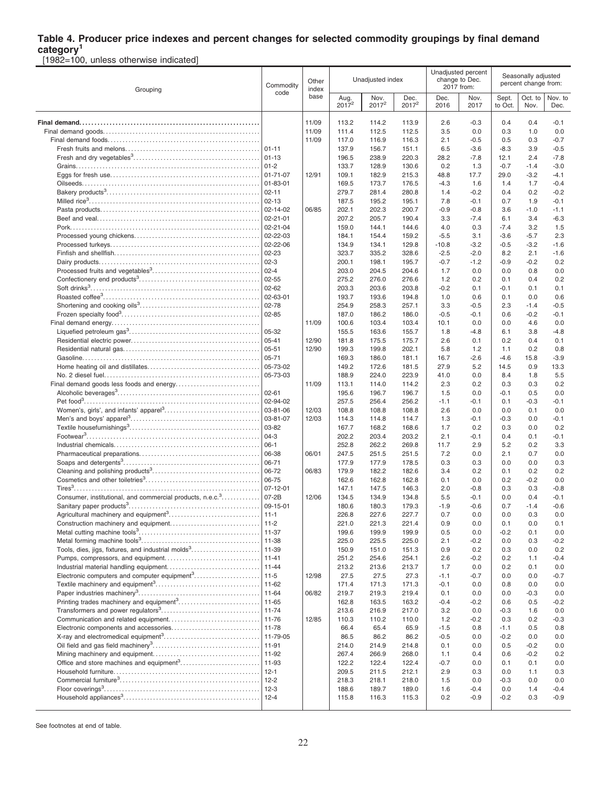# **Table 4. Producer price indexes and percent changes for selected commodity groupings by final demand**

**category<sup>1</sup>** [1982=100, unless otherwise indicated]

| Grouping                                                              |                      | Other<br>index |                  | Unadjusted index |                  | Unadjusted percent<br>change to Dec.<br>2017 from: |                  | Seasonally adjusted<br>percent change from: |                 |                  |
|-----------------------------------------------------------------------|----------------------|----------------|------------------|------------------|------------------|----------------------------------------------------|------------------|---------------------------------------------|-----------------|------------------|
|                                                                       | code                 | base           | Aug.<br>$2017^2$ | Nov.<br>$2017^2$ | Dec.<br>$2017^2$ | Dec.<br>2016                                       | Nov.<br>2017     | Sept.<br>to Oct.                            | Oct. to<br>Nov. | Nov. to<br>Dec.  |
|                                                                       |                      | 11/09          | 113.2            | 114.2            | 113.9            | 2.6                                                | $-0.3$           | 0.4                                         | 0.4             | -0.1             |
|                                                                       |                      | 11/09          | 111.4            | 112.5            | 112.5            | 3.5                                                | 0.0              | 0.3                                         | 1.0             | 0.0              |
|                                                                       |                      | 11/09          | 117.0            | 116.9            | 116.3            | 2.1                                                | $-0.5$           | 0.5                                         | 0.3             | $-0.7$           |
|                                                                       |                      |                | 137.9            | 156.7            | 151.1            | 6.5                                                | $-3.6$           | $-8.3$                                      | 3.9             | $-0.5$           |
|                                                                       | $01 - 13$            |                | 196.5            | 238.9            | 220.3            | 28.2                                               | $-7.8$           | 12.1                                        | 2.4             | $-7.8$           |
|                                                                       | $01 - 2$             |                | 133.7            | 128.9            | 130.6            | 0.2                                                | 1.3              | $-0.7$                                      | $-1.4$          | $-3.0$           |
|                                                                       | 01-71-07             | 12/91          | 109.1            | 182.9            | 215.3            | 48.8                                               | 17.7             | 29.0                                        | $-3.2$          | $-4.1$           |
|                                                                       | 01-83-01             |                | 169.5            | 173.7            | 176.5            | $-4.3$                                             | 1.6              | 1.4                                         | 1.7             | $-0.4$           |
|                                                                       | $02 - 11$            |                | 279.7            | 281.4            | 280.8            | 1.4                                                | $-0.2$           | 0.4                                         | 0.2             | $-0.2$           |
|                                                                       | $02 - 13$            |                | 187.5            | 195.2            | 195.1            | 7.8                                                | $-0.1$           | 0.7                                         | 1.9             | $-0.1$           |
|                                                                       | 02-14-02<br>02-21-01 | 06/85          | 202.1<br>207.2   | 202.3<br>205.7   | 200.7<br>190.4   | $-0.9$<br>3.3                                      | $-0.8$<br>$-7.4$ | 3.6<br>6.1                                  | $-1.0$<br>3.4   | $-1.1$<br>$-6.3$ |
|                                                                       | $ 02 - 21 - 04$      |                | 159.0            | 144.1            | 144.6            | 4.0                                                | 0.3              | $-7.4$                                      | 3.2             | 1.5              |
|                                                                       | 02-22-03             |                | 184.1            | 154.4            | 159.2            | $-5.5$                                             | 3.1              | $-3.6$                                      | $-5.7$          | 2.3              |
|                                                                       | 02-22-06             |                | 134.9            | 134.1            | 129.8            | $-10.8$                                            | $-3.2$           | $-0.5$                                      | $-3.2$          | $-1.6$           |
|                                                                       | 02-23                |                | 323.7            | 335.2            | 328.6            | $-2.5$                                             | $-2.0$           | 8.2                                         | 2.1             | $-1.6$           |
|                                                                       | $02-3$               |                | 200.1            | 198.1            | 195.7            | $-0.7$                                             | $-1.2$           | $-0.9$                                      | $-0.2$          | 0.2              |
|                                                                       | $02 - 4$             |                | 203.0            | 204.5            | 204.6            | 1.7                                                | 0.0              | 0.0                                         | 0.8             | 0.0              |
|                                                                       | 02-55                |                | 275.2            | 276.0            | 276.6            | $1.2$                                              | 0.2              | 0.1                                         | 0.4             | 0.2              |
|                                                                       | $02 - 62$            |                | 203.3            | 203.6            | 203.8            | $-0.2$                                             | 0.1              | $-0.1$                                      | 0.1             | 0.1              |
|                                                                       | 02-63-01             |                | 193.7            | 193.6            | 194.8            | 1.0                                                | 0.6              | 0.1                                         | 0.0             | 0.6              |
|                                                                       | 02-78                |                | 254.9            | 258.3            | 257.1            | 3.3                                                | $-0.5$           | 2.3                                         | $-1.4$          | $-0.5$           |
|                                                                       | 02-85                |                | 187.0            | 186.2            | 186.0            | $-0.5$                                             | $-0.1$           | 0.6                                         | $-0.2$          | $-0.1$           |
|                                                                       |                      | 11/09          | 100.6            | 103.4            | 103.4            | 10.1                                               | 0.0              | 0.0                                         | 4.6             | 0.0              |
|                                                                       | 05-32                |                | 155.5            | 163.6            | 155.7            | 1.8                                                | $-4.8$           | 6.1                                         | 3.8             | $-4.8$           |
|                                                                       | $ 05 - 41$           | 12/90          | 181.8            | 175.5            | 175.7            | 2.6                                                | 0.1              | 0.2                                         | 0.4             | 0.1              |
|                                                                       | 05-51<br>05-71       | 12/90          | 199.3<br>169.3   | 199.8<br>186.0   | 202.1<br>181.1   | 5.8<br>16.7                                        | 1.2<br>$-2.6$    | 1.1<br>$-4.6$                               | 0.2<br>15.8     | 0.8<br>$-3.9$    |
|                                                                       | 05-73-02             |                | 149.2            | 172.6            | 181.5            | 27.9                                               | 5.2              | 14.5                                        | 0.9             | 13.3             |
|                                                                       | 05-73-03             |                | 188.9            | 224.0            | 223.9            | 41.0                                               | 0.0              | 8.4                                         | 1.8             | 5.5              |
|                                                                       |                      | 11/09          | 113.1            | 114.0            | 114.2            | 2.3                                                | 0.2              | 0.3                                         | 0.3             | 0.2              |
|                                                                       | $02 - 61$            |                | 195.6            | 196.7            | 196.7            | 1.5                                                | 0.0              | $-0.1$                                      | 0.5             | 0.0              |
|                                                                       | 02-94-02             |                | 257.5            | 256.4            | 256.2            | $-1.1$                                             | $-0.1$           | 0.1                                         | $-0.3$          | $-0.1$           |
|                                                                       | 03-81-06             | 12/03          | 108.8            | 108.8            | 108.8            | 2.6                                                | 0.0              | 0.0                                         | 0.1             | 0.0              |
|                                                                       | 03-81-07             | 12/03          | 114.3            | 114.8            | 114.7            | 1.3                                                | $-0.1$           | $-0.3$                                      | 0.0             | $-0.1$           |
|                                                                       | 03-82                |                | 167.7            | 168.2            | 168.6            | 1.7                                                | 0.2              | 0.3                                         | 0.0             | 0.2              |
|                                                                       | $04-3$               |                | 202.2            | 203.4            | 203.2            | 2.1                                                | $-0.1$           | 0.4                                         | 0.1             | -0.1             |
|                                                                       | $06-1$               |                | 252.8            | 262.2            | 269.8            | 11.7                                               | 2.9              | 5.2                                         | 0.2             | 3.3              |
|                                                                       | 06-38                | 06/01          | 247.5            | 251.5            | 251.5            | 7.2                                                | 0.0              | 2.1                                         | 0.7             | 0.0              |
|                                                                       | 06-71                |                | 177.9            | 177.9            | 178.5            | 0.3                                                | 0.3              | 0.0                                         | 0.0             | 0.3              |
|                                                                       | 06-72                | 06/83          | 179.9            | 182.2            | 182.6            | 3.4                                                | 0.2              | 0.1                                         | 0.2             | 0.2              |
|                                                                       | 06-75<br>07-12-01    |                | 162.6            | 162.8            | 162.8            | 0.1<br>2.0                                         | 0.0<br>$-0.8$    | 0.2<br>0.3                                  | $-0.2$          | 0.0<br>$-0.8$    |
| Consumer, institutional, and commercial products, n.e.c. <sup>3</sup> | $07-2B$              | 12/06          | 147.1<br>134.5   | 147.5<br>134.9   | 146.3<br>134.8   | 5.5                                                | $-0.1$           | 0.0                                         | 0.3<br>0.4      | $-0.1$           |
|                                                                       | 09-15-01             |                | 180.6            | 180.3            | 179.3            | $-1.9$                                             | $-0.6$           | 0.7                                         | $-1.4$          | $-0.6$           |
|                                                                       |                      |                | 226.8            | 227.6            | 227.7            | 0.7                                                | 0.0              | 0.0                                         | 0.3             | 0.0              |
|                                                                       |                      |                | 221.0            | 221.3            | 221.4            | 0.9                                                | 0.0              | 0.1                                         | 0.0             | 0.1              |
|                                                                       | 11-37                |                | 199.6            | 199.9            | 199.9            | 0.5                                                | 0.0              | $-0.2$                                      | 0.1             | 0.0              |
|                                                                       | 11-38                |                | 225.0            | 225.5            | 225.0            | 2.1                                                | $-0.2$           | 0.0                                         | 0.3             | $-0.2$           |
| Tools, dies, jigs, fixtures, and industrial molds <sup>3</sup>        | 11-39                |                | 150.9            | 151.0            | 151.3            | 0.9                                                | 0.2              | 0.3                                         | 0.0             | 0.2              |
|                                                                       | $11 - 41$            |                | 251.2            | 254.6            | 254.1            | 2.6                                                | $-0.2$           | 0.2                                         | 1.1             | -0.4             |
|                                                                       | $11 - 44$            |                | 213.2            | 213.6            | 213.7            | 1.7                                                | 0.0              | 0.2                                         | 0.1             | 0.0              |
| Electronic computers and computer equipment <sup>3</sup>              | 11-5                 | 12/98          | 27.5             | 27.5             | 27.3             | $-1.1$                                             | -0.7             | 0.0                                         | 0.0             | $-0.7$           |
|                                                                       | $11 - 62$            |                | 171.4            | 171.3            | 171.3            | $-0.1$                                             | 0.0              | 0.8                                         | 0.0             | 0.0              |
|                                                                       | $11 - 64$            | 06/82          | 219.7            | 219.3            | 219.4            | 0.1                                                | 0.0              | 0.0                                         | $-0.3$          | 0.0              |
|                                                                       |                      |                | 162.8            | 163.5            | 163.2            | $-0.4$                                             | $-0.2$           | 0.6                                         | 0.5             | $-0.2$           |
|                                                                       |                      | 12/85          | 213.6<br>110.3   | 216.9<br>110.2   | 217.0<br>110.0   | 3.2<br>1.2                                         | 0.0<br>$-0.2$    | $-0.3$<br>0.3                               | 1.6<br>0.2      | 0.0<br>-0.3      |
| Electronic components and accessories                                 | 11-78                |                | 66.4             | 65.4             | 65.9             | $-1.5$                                             | 0.8              | $-1.1$                                      | 0.5             | 0.8              |
|                                                                       | 11-79-05             |                | 86.5             | 86.2             | 86.2             | $-0.5$                                             | 0.0              | $-0.2$                                      | 0.0             | 0.0              |
|                                                                       | 11-91                |                | 214.0            | 214.9            | 214.8            | 0.1                                                | 0.0              | 0.5                                         | $-0.2$          | 0.0              |
|                                                                       | 11-92                |                | 267.4            | 266.9            | 268.0            | 1.1                                                | 0.4              | 0.6                                         | $-0.2$          | 0.2              |
|                                                                       | 11-93                |                | 122.2            | 122.4            | 122.4            | $-0.7$                                             | 0.0              | 0.1                                         | 0.1             | 0.0              |
|                                                                       | $12 - 1$             |                | 209.5            | 211.5            | 212.1            | 2.9                                                | 0.3              | 0.0                                         | 1.1             | 0.3              |
|                                                                       | $12 - 2$             |                | 218.3            | 218.1            | 218.0            | 1.5                                                | 0.0              | $-0.3$                                      | 0.0             | 0.0              |
|                                                                       | $12-3$               |                | 188.6            | 189.7            | 189.0            | 1.6                                                | $-0.4$           | 0.0                                         | 1.4             | -0.4             |
|                                                                       | $12 - 4$             |                | 115.8            | 116.3            | 115.3            | 0.2                                                | $-0.9$           | $-0.2$                                      | 0.3             | -0.9             |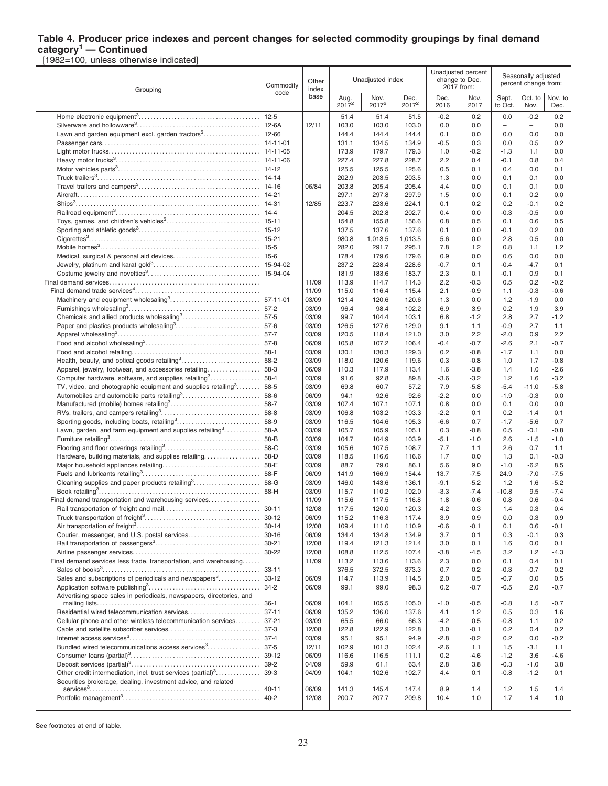#### **Table 4. Producer price indexes and percent changes for selected commodity groupings by final demand category<sup>1</sup> — Continued**

[1982=100, unless otherwise indicated]

| Grouping                                                                                                                  | Commodity              | Other<br>index |                           | Unadjusted index |                  |               | Unadjusted percent<br>change to Dec.<br>2017 from: | Seasonally adjusted<br>percent change from: |                          |                  |
|---------------------------------------------------------------------------------------------------------------------------|------------------------|----------------|---------------------------|------------------|------------------|---------------|----------------------------------------------------|---------------------------------------------|--------------------------|------------------|
|                                                                                                                           | code                   | base           | Aug.<br>2017 <sup>2</sup> | Nov.<br>$2017^2$ | Dec.<br>$2017^2$ | Dec.<br>2016  | Nov.<br>2017                                       | Sept.<br>to Oct.                            | Oct. to<br>Nov.          | Nov. to<br>Dec.  |
|                                                                                                                           | $12 - 5$               |                | 51.4                      | 51.4             | 51.5             | $-0.2$        | 0.2                                                | 0.0                                         | $-0.2$                   | 0.2              |
|                                                                                                                           | 12-6A                  | 12/11          | 103.0                     | 103.0            | 103.0            | 0.0           | 0.0                                                | -                                           | $\overline{\phantom{a}}$ | 0.0              |
|                                                                                                                           | 12-66                  |                | 144.4                     | 144.4            | 144.4            | 0.1           | 0.0                                                | 0.0                                         | 0.0                      | 0.0              |
|                                                                                                                           | 14-11-01               |                | 131.1                     | 134.5            | 134.9            | $-0.5$        | 0.3                                                | 0.0                                         | 0.5                      | 0.2              |
|                                                                                                                           | 14-11-05               |                | 173.9                     | 179.7            | 179.3            | 1.0           | $-0.2$                                             | $-1.3$                                      | 1.1                      | 0.0              |
|                                                                                                                           | 14-11-06<br>14-12      |                | 227.4                     | 227.8<br>125.5   | 228.7<br>125.6   | 2.2<br>0.5    | 0.4<br>0.1                                         | $-0.1$<br>0.4                               | 0.8<br>0.0               | 0.4<br>0.1       |
|                                                                                                                           | $14 - 14$              |                | 125.5<br>202.9            | 203.5            | 203.5            | 1.3           | 0.0                                                | 0.1                                         | 0.1                      | 0.0              |
|                                                                                                                           | 14-16                  | 06/84          | 203.8                     | 205.4            | 205.4            | 4.4           | 0.0                                                | 0.1                                         | 0.1                      | 0.0              |
|                                                                                                                           | $14 - 21$              |                | 297.1                     | 297.8            | 297.9            | 1.5           | 0.0                                                | 0.1                                         | 0.2                      | 0.0              |
|                                                                                                                           | 14-31                  | 12/85          | 223.7                     | 223.6            | 224.1            | 0.1           | 0.2                                                | 0.2                                         | $-0.1$                   | 0.2              |
|                                                                                                                           | $14 - 4$               |                | 204.5                     | 202.8            | 202.7            | 0.4           | 0.0                                                | $-0.3$                                      | $-0.5$                   | 0.0              |
|                                                                                                                           | $15 - 11$              |                | 154.8                     | 155.8            | 156.6            | 0.8           | 0.5                                                | 0.1                                         | 0.6                      | 0.5              |
|                                                                                                                           | $15 - 12$              |                | 137.5                     | 137.6            | 137.6            | 0.1           | 0.0                                                | $-0.1$                                      | 0.2                      | 0.0              |
|                                                                                                                           | $15 - 21$              |                | 980.8                     | 1,013.5          | 1,013.5          | 5.6           | 0.0                                                | 2.8                                         | 0.5                      | 0.0              |
|                                                                                                                           | $15 - 5$               |                | 282.0                     | 291.7            | 295.1            | 7.8           | 1.2                                                | 0.8                                         | 1.1                      | 1.2              |
|                                                                                                                           | $15-6$                 |                | 178.4                     | 179.6            | 179.6            | 0.9           | 0.0                                                | 0.6                                         | 0.0                      | 0.0              |
|                                                                                                                           | 15-94-02               |                | 237.2                     | 228.4            | 228.6            | -0.7          | 0.1                                                | $-0.4$                                      | $-4.7$                   | 0.1              |
|                                                                                                                           | 15-94-04               |                | 181.9                     | 183.6            | 183.7            | 2.3           | 0.1                                                | $-0.1$                                      | 0.9                      | 0.1              |
|                                                                                                                           |                        | 11/09<br>11/09 | 113.9<br>115.0            | 114.7<br>116.4   | 114.3<br>115.4   | 2.2<br>2.1    | $-0.3$<br>$-0.9$                                   | 0.5<br>1.1                                  | 0.2<br>$-0.3$            | $-0.2$<br>$-0.6$ |
|                                                                                                                           | $57 - 11 - 01$         | 03/09          | 121.4                     | 120.6            | 120.6            | 1.3           | 0.0                                                | 1.2                                         | $-1.9$                   | 0.0              |
|                                                                                                                           | $57-2$                 | 03/09          | 96.4                      | 98.4             | 102.2            | 6.9           | 3.9                                                | 0.2                                         | 1.9                      | 3.9              |
|                                                                                                                           | $57-5$                 | 03/09          | 99.7                      | 104.4            | 103.1            | 6.8           | $-1.2$                                             | 2.8                                         | 2.7                      | $-1.2$           |
| Paper and plastics products wholesaling <sup>3</sup>                                                                      | $57-6$                 | 03/09          | 126.5                     | 127.6            | 129.0            | 9.1           | 1.1                                                | $-0.9$                                      | 2.7                      | 1.1              |
|                                                                                                                           | $57 - 7$               | 03/09          | 120.5                     | 118.4            | 121.0            | 3.0           | 2.2                                                | $-2.0$                                      | 0.9                      | 2.2              |
|                                                                                                                           | $57-8$                 | 06/09          | 105.8                     | 107.2            | 106.4            | $-0.4$        | $-0.7$                                             | $-2.6$                                      | 2.1                      | $-0.7$           |
|                                                                                                                           | $58-1$                 | 03/09          | 130.1                     | 130.3            | 129.3            | 0.2           | $-0.8$                                             | $-1.7$                                      | 1.1                      | 0.0              |
|                                                                                                                           | 58-2                   | 03/09          | 118.0                     | 120.6            | 119.6            | 0.3           | $-0.8$                                             | 1.0                                         | 1.7                      | $-0.8$           |
| Apparel, jewelry, footwear, and accessories retailing<br>Computer hardware, software, and supplies retailing <sup>3</sup> | 58-3<br>58-4           | 06/09<br>03/09 | 110.3                     | 117.9<br>92.8    | 113.4<br>89.8    | 1.6<br>$-3.6$ | $-3.8$<br>$-3.2$                                   | 1.4<br>1.2                                  | 1.0<br>1.6               | $-2.6$<br>$-3.2$ |
| TV, video, and photographic equipment and supplies retailing <sup>3</sup>                                                 | 58-5                   | 03/09          | 91.6<br>69.8              | 60.7             | 57.2             | 7.9           | $-5.8$                                             | $-5.4$                                      | $-11.0$                  | $-5.8$           |
| Automobiles and automobile parts retailing <sup>3</sup>                                                                   | 58-6                   | 06/09          | 94.1                      | 92.6             | 92.6             | $-2.2$        | 0.0                                                | $-1.9$                                      | $-0.3$                   | 0.0              |
|                                                                                                                           | 58-7                   | 03/09          | 107.4                     | 107.1            | 107.1            | 0.8           | 0.0                                                | 0.1                                         | 0.0                      | 0.0              |
|                                                                                                                           | 58-8                   | 03/09          | 106.8                     | 103.2            | 103.3            | $-2.2$        | 0.1                                                | 0.2                                         | $-1.4$                   | 0.1              |
| Sporting goods, including boats, retailing <sup>3</sup>                                                                   | 58-9                   | 03/09          | 116.5                     | 104.6            | 105.3            | $-6.6$        | 0.7                                                | $-1.7$                                      | $-5.6$                   | 0.7              |
| Lawn, garden, and farm equipment and supplies retailing <sup>3</sup>                                                      | 58-A                   | 03/09          | 105.7                     | 105.9            | 105.1            | 0.3           | $-0.8$                                             | 0.5                                         | $-0.1$                   | $-0.8$           |
|                                                                                                                           | 58-B                   | 03/09          | 104.7                     | 104.9            | 103.9            | -5.1          | $-1.0$                                             | 2.6                                         | $-1.5$                   | $-1.0$           |
|                                                                                                                           | 58-C                   | 03/09          | 105.6                     | 107.5            | 108.7            | 7.7           | 1.1                                                | 2.6                                         | 0.7                      | 1.1              |
| Hardware, building materials, and supplies retailing                                                                      | 58-D<br>58-E           | 03/09<br>03/09 | 118.5<br>88.7             | 116.6<br>79.0    | 116.6<br>86.1    | 1.7<br>5.6    | 0.0<br>9.0                                         | 1.3<br>$-1.0$                               | 0.1<br>$-6.2$            | $-0.3$<br>8.5    |
|                                                                                                                           | 58-F                   | 06/09          | 141.9                     | 166.9            | 154.4            | 13.7          | $-7.5$                                             | 24.9                                        | $-7.0$                   | $-7.5$           |
| Cleaning supplies and paper products retailing <sup>3</sup>                                                               | 58-G                   | 03/09          | 146.0                     | 143.6            | 136.1            | $-9.1$        | $-5.2$                                             | 1.2                                         | 1.6                      | $-5.2$           |
|                                                                                                                           | 58-H                   | 03/09          | 115.7                     | 110.2            | 102.0            | $-3.3$        | $-7.4$                                             | $-10.8$                                     | 9.5                      | $-7.4$           |
| Final demand transportation and warehousing services                                                                      |                        | 11/09          | 115.6                     | 117.5            | 116.8            | 1.8           | $-0.6$                                             | 0.8                                         | 0.6                      | $-0.4$           |
|                                                                                                                           | $30 - 11$              | 12/08          | 117.5                     | 120.0            | 120.3            | 4.2           | 0.3                                                | 1.4                                         | 0.3                      | 0.4              |
|                                                                                                                           | $30 - 12$              | 06/09          | 115.2                     | 116.3            | 117.4            | 3.9           | 0.9                                                | 0.0                                         | 0.3                      | 0.9              |
|                                                                                                                           | $30 - 14$<br>$30 - 16$ | 12/08<br>06/09 | 109.4                     | 111.0            | 110.9            | $-0.6$        | $-0.1$                                             | 0.1                                         | 0.6                      | $-0.1$           |
|                                                                                                                           | $30 - 21$              | 12/08          | 134.4<br>119.4            | 134.8<br>121.3   | 134.9<br>121.4   | 3.7<br>3.0    | 0.1<br>0.1                                         | 0.3<br>1.6                                  | $-0.1$<br>0.0            | 0.3<br>0.1       |
|                                                                                                                           | 30-22                  | 12/08          | 108.8                     | 112.5            | 107.4            | $-3.8$        | $-4.5$                                             | 3.2                                         | 1.2                      | $-4.3$           |
| Final demand services less trade, transportation, and warehousing                                                         |                        | 11/09          | 113.2                     | 113.6            | 113.6            | 2.3           | 0.0                                                | 0.1                                         | 0.4                      | 0.1              |
|                                                                                                                           | $33 - 11$              |                | 376.5                     | 372.5            | 373.3            | 0.7           | 0.2                                                | $-0.3$                                      | $-0.7$                   | 0.2              |
| Sales and subscriptions of periodicals and newspapers <sup>3</sup>                                                        | $33 - 12$              | 06/09          | 114.7                     | 113.9            | 114.5            | 2.0           | 0.5                                                | $-0.7$                                      | 0.0                      | 0.5              |
|                                                                                                                           | $34 - 2$               | 06/09          | 99.1                      | 99.0             | 98.3             | 0.2           | $-0.7$                                             | $-0.5$                                      | 2.0                      | $-0.7$           |
| Advertising space sales in periodicals, newspapers, directories, and                                                      | $36-1$                 | 06/09          | 104.1                     | 105.5            | 105.0            | $-1.0$        | $-0.5$                                             | $-0.8$                                      | 1.5                      | $-0.7$           |
| Residential wired telecommunication services                                                                              | $37 - 11$              | 06/09          | 135.2                     | 136.0            | 137.6            | 4.1           | 1.2                                                | 0.5                                         | 0.3                      | 1.6              |
| Cellular phone and other wireless telecommunication services                                                              | $37 - 21$              | 03/09          | 65.5                      | 66.0             | 66.3             | $-4.2$        | 0.5                                                | $-0.8$                                      | 1.1                      | 0.2              |
|                                                                                                                           | $37-3$                 | 12/08          | 122.8                     | 122.9            | 122.8            | 3.0           | $-0.1$                                             | 0.2                                         | 0.4                      | 0.2              |
|                                                                                                                           | $37 - 4$               | 03/09          | 95.1                      | 95.1             | 94.9             | $-2.8$        | $-0.2$                                             | 0.2                                         | 0.0                      | $-0.2$           |
| Bundled wired telecommunications access services <sup>3</sup>                                                             | $37-5$                 | 12/11          | 102.9                     | 101.3            | 102.4            | $-2.6$        | 1.1                                                | 1.5                                         | $-3.1$                   | 1.1              |
|                                                                                                                           | $39 - 12$<br>$39 - 2$  | 06/09<br>04/09 | 116.6<br>59.9             | 116.5            | 111.1            | 0.2           | $-4.6$                                             | $-1.2$                                      | 3.6                      | $-4.6$           |
| Other credit intermediation, incl. trust services (partial) <sup>3</sup>                                                  | $39-3$                 | 04/09          | 104.1                     | 61.1<br>102.6    | 63.4<br>102.7    | 2.8<br>4.4    | 3.8<br>0.1                                         | $-0.3$<br>$-0.8$                            | $-1.0$<br>$-1.2$         | 3.8<br>0.1       |
| Securities brokerage, dealing, investment advice, and related                                                             |                        |                |                           |                  |                  |               |                                                    |                                             |                          |                  |
|                                                                                                                           | $40 - 11$              | 06/09          | 141.3                     | 145.4            | 147.4            | 8.9           | 1.4                                                | 1.2                                         | 1.5                      | 1.4              |
|                                                                                                                           | $40 - 2$               | 12/08          | 200.7                     | 207.7            | 209.8            | 10.4          | 1.0                                                | 1.7                                         | 1.4                      | 1.0              |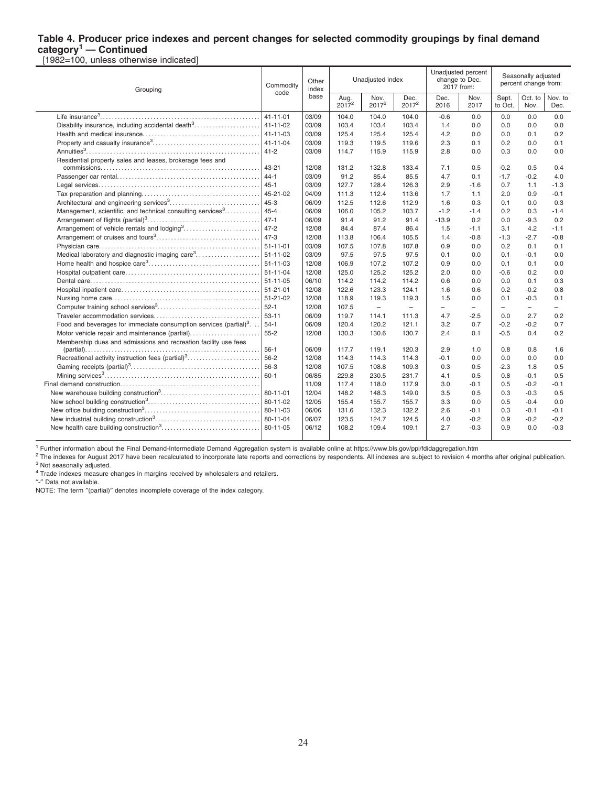#### **Table 4. Producer price indexes and percent changes for selected commodity groupings by final demand category<sup>1</sup> — Continued**

[1982=100, unless otherwise indicated]

| Grouping                                                                       | Other<br>Commodity<br>index<br>code |       | Unadjusted index |                          |                   | Unadjusted percent<br>change to Dec.<br>2017 from: |                          | Seasonally adiusted<br>percent change from: |                          |                          |
|--------------------------------------------------------------------------------|-------------------------------------|-------|------------------|--------------------------|-------------------|----------------------------------------------------|--------------------------|---------------------------------------------|--------------------------|--------------------------|
|                                                                                |                                     | base  | Aug.<br>$2017^2$ | Nov.<br>$2017^2$         | Dec.<br>$2017^2$  | Dec.<br>2016                                       | Nov.<br>2017             | Sept.<br>to Oct.                            | Oct. to<br>Nov.          | Nov. to<br>Dec.          |
|                                                                                | $41 - 11 - 01$                      | 03/09 | 104.0            | 104.0                    | 104.0             | $-0.6$                                             | 0.0                      | 0.0                                         | 0.0                      | 0.0                      |
| Disability insurance, including accidental death <sup>3</sup>                  | $41 - 11 - 02$                      | 03/09 | 103.4            | 103.4                    | 103.4             | 1.4                                                | 0.0                      | 0.0                                         | 0.0                      | 0.0                      |
|                                                                                | 41-11-03                            | 03/09 | 125.4            | 125.4                    | 125.4             | 4.2                                                | 0.0                      | 0.0                                         | 0.1                      | 0.2                      |
|                                                                                | 41-11-04                            | 03/09 | 119.3            | 119.5                    | 119.6             | 2.3                                                | 0.1                      | 0.2                                         | 0.0                      | 0.1                      |
|                                                                                | $41 - 2$                            | 03/09 | 114.7            | 115.9                    | 115.9             | 2.8                                                | 0.0                      | 0.3                                         | 0.0                      | 0.0                      |
| Residential property sales and leases, brokerage fees and                      | 43-21                               | 12/08 | 131.2            | 132.8                    | 133.4             | 7.1                                                | 0.5                      | $-0.2$                                      | 0.5                      | 0.4                      |
|                                                                                | $44 - 1$                            | 03/09 | 91.2             | 85.4                     | 85.5              | 4.7                                                | 0.1                      | $-1.7$                                      | $-0.2$                   | 4.0                      |
|                                                                                | $45 - 1$                            | 03/09 | 127.7            | 128.4                    | 126.3             | 2.9                                                | $-1.6$                   | 0.7                                         | 1.1                      | $-1.3$                   |
|                                                                                | 45-21-02                            | 04/09 | 111.3            | 112.4                    | 113.6             | 1.7                                                | 1.1                      | 2.0                                         | 0.9                      | $-0.1$                   |
|                                                                                | $45 - 3$                            | 06/09 | 112.5            | 112.6                    | 112.9             | 1.6                                                | 0.3                      | 0.1                                         | 0.0                      | 0.3                      |
| Management, scientific, and technical consulting services <sup>3</sup>         | $45 - 4$                            | 06/09 | 106.0            | 105.2                    | 103.7             | $-1.2$                                             | $-1.4$                   | 0.2                                         | 0.3                      | $-1.4$                   |
|                                                                                | $47 - 1$                            | 06/09 | 91.4             | 91.2                     | 91.4              | $-13.9$                                            | 0.2                      | 0.0                                         | $-9.3$                   | 0.2                      |
|                                                                                | $47 - 2$                            | 12/08 | 84.4             | 87.4                     | 86.4              | 1.5                                                | $-1.1$                   | 3.1                                         | 4.2                      | $-1.1$                   |
|                                                                                | $47 - 3$                            | 12/08 | 113.8            | 106.4                    | 105.5             | 1.4                                                | $-0.8$                   | $-1.3$                                      | $-2.7$                   | $-0.8$                   |
|                                                                                |                                     | 03/09 | 107.5            | 107.8                    | 107.8             | 0.9                                                | 0.0                      | 0.2                                         | 0.1                      | 0.1                      |
| Medical laboratory and diagnostic imaging care <sup>3</sup>                    | 51-11-02                            | 03/09 | 97.5             | 97.5                     | 97.5              | 0.1                                                | 0.0                      | 0.1                                         | $-0.1$                   | 0.0                      |
|                                                                                |                                     | 12/08 | 106.9            | 107.2                    | 107.2             | 0.9                                                | 0.0                      | 0.1                                         | 0.1                      | 0.0                      |
|                                                                                | $51 - 11 - 04$                      | 12/08 | 125.0            | 125.2                    | 125.2             | 2.0                                                | 0.0                      | $-0.6$                                      | 0.2                      | 0.0                      |
|                                                                                |                                     | 06/10 | 114.2            | 114.2                    | 114.2             | 0.6                                                | 0.0                      | 0.0                                         | 0.1                      | 0.3                      |
|                                                                                | $51 - 21 - 01$                      | 12/08 | 122.6            | 123.3                    | 124.1             | 1.6                                                | 0.6                      | 0.2                                         | $-0.2$                   | 0.8                      |
|                                                                                |                                     | 12/08 | 118.9            | 119.3                    | 119.3             | 1.5                                                | 0.0                      | 0.1                                         | $-0.3$                   | 0.1                      |
|                                                                                | $52-1$                              | 12/08 | 107.5            | $\overline{\phantom{0}}$ | $\qquad \qquad -$ | $\overline{\phantom{0}}$                           | $\overline{\phantom{0}}$ | $\overline{\phantom{0}}$                    | $\overline{\phantom{a}}$ | $\overline{\phantom{m}}$ |
|                                                                                | $53 - 11$                           | 06/09 | 119.7            | 114.1                    | 111.3             | 4.7                                                | $-2.5$                   | 0.0                                         | 2.7                      | 0.2                      |
| Food and beverages for immediate consumption services (partial) <sup>3</sup> . | $54-1$                              | 06/09 | 120.4            | 120.2                    | 121.1             | 3.2                                                | 0.7                      | $-0.2$                                      | $-0.2$                   | 0.7                      |
| Motor vehicle repair and maintenance (partial)                                 | $55 - 2$                            | 12/08 | 130.3            | 130.6                    | 130.7             | 2.4                                                | 0.1                      | $-0.5$                                      | 0.4                      | 0.2                      |
| Membership dues and admissions and recreation facility use fees                |                                     |       |                  |                          |                   |                                                    |                          |                                             |                          |                          |
|                                                                                | $56-1$                              | 06/09 | 117.7            | 119.1                    | 120.3             | 2.9                                                | 1.0                      | 0.8                                         | 0.8                      | 1.6                      |
|                                                                                | $56 - 2$                            | 12/08 | 114.3            | 114.3                    | 114.3             | $-0.1$                                             | 0.0                      | 0.0                                         | 0.0                      | 0.0                      |
|                                                                                | 56-3                                | 12/08 | 107.5            | 108.8                    | 109.3             | 0.3                                                | 0.5                      | $-2.3$                                      | 1.8                      | 0.5                      |
|                                                                                | $60 - 1$                            | 06/85 | 229.8            | 230.5                    | 231.7             | 4.1                                                | 0.5                      | 0.8                                         | $-0.1$                   | 0.5                      |
|                                                                                |                                     | 11/09 | 117.4            | 118.0                    | 117.9             | 3.0                                                | $-0.1$                   | 0.5                                         | $-0.2$                   | $-0.1$                   |
|                                                                                | 80-11-01                            | 12/04 | 148.2            | 148.3                    | 149.0             | 3.5                                                | 0.5                      | 0.3                                         | $-0.3$                   | 0.5                      |
|                                                                                | 80-11-02                            | 12/05 | 155.4            | 155.7                    | 155.7             | 3.3                                                | 0.0                      | 0.5                                         | $-0.4$                   | 0.0                      |
|                                                                                | 80-11-03                            | 06/06 | 131.6            | 132.3                    | 132.2             | 2.6                                                | $-0.1$                   | 0.3                                         | $-0.1$                   | $-0.1$                   |
|                                                                                | 80-11-04                            | 06/07 | 123.5            | 124.7                    | 124.5             | 4.0                                                | $-0.2$                   | 0.9                                         | $-0.2$                   | $-0.2$                   |
|                                                                                | 80-11-05                            | 06/12 | 108.2            | 109.4                    | 109.1             | 2.7                                                | $-0.3$                   | 0.9                                         | 0.0                      | $-0.3$                   |

<sup>1</sup> Further information about the Final Demand-Intermediate Demand Aggregation system is available online at https://www.bls.gov/ppi/fdidaggregation.htm

<sup>2</sup> The indexes for August 2017 have been recalculated to incorporate late reports and corrections by respondents. All indexes are subject to revision 4 months after original publication. <sup>3</sup> Not seasonally adjusted.

<sup>4</sup> Trade indexes measure changes in margins received by wholesalers and retailers.

″-″ Data not available.

NOTE: The term ″(partial)″ denotes incomplete coverage of the index category.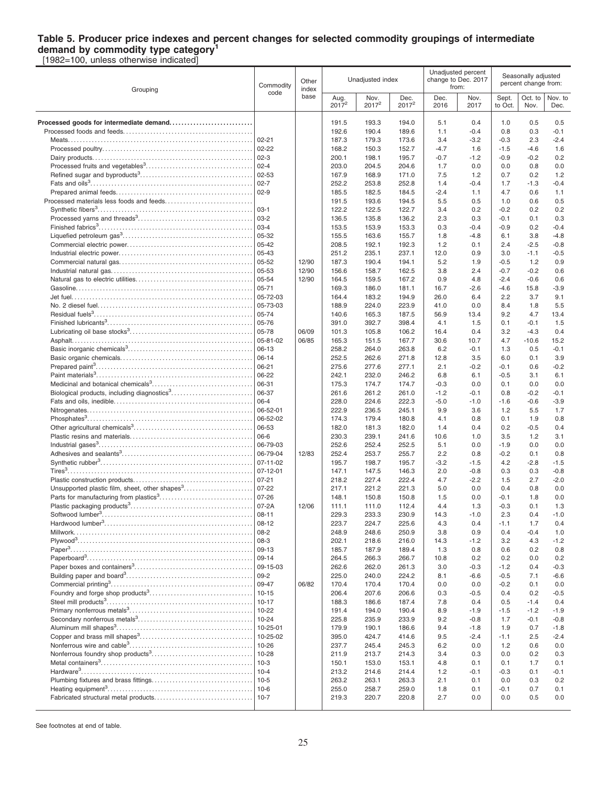## **Table 5. Producer price indexes and percent changes for selected commodity groupings of intermediate demand by commodity type category<sup>1</sup>**

[1982=100, unless otherwise indicated]

| Grouping                                                   | Commodity            | Other<br>index |                  | Unadjusted index |                  |              | Unadjusted percent<br>change to Dec. 2017<br>from: | Seasonally adjusted<br>percent change from: |                  |                 |  |
|------------------------------------------------------------|----------------------|----------------|------------------|------------------|------------------|--------------|----------------------------------------------------|---------------------------------------------|------------------|-----------------|--|
|                                                            | code                 | base           | Aug.<br>$2017^2$ | Nov.<br>$2017^2$ | Dec.<br>$2017^2$ | Dec.<br>2016 | Nov.<br>2017                                       | Sept.<br>to Oct.                            | Oct. to<br>Nov.  | Nov. to<br>Dec. |  |
| Processed goods for intermediate demand                    |                      |                | 191.5            | 193.3            | 194.0            | 5.1          | 0.4                                                | 1.0                                         | 0.5              | 0.5             |  |
|                                                            |                      |                | 192.6            | 190.4            | 189.6            | 1.1          | $-0.4$                                             | 0.8                                         | 0.3              | -0.1            |  |
|                                                            | $02 - 21$            |                | 187.3            | 179.3            | 173.6            | 3.4          | $-3.2$                                             | $-0.3$                                      | 2.3              | $-2.4$          |  |
|                                                            | $02 - 22$            |                | 168.2            | 150.3            | 152.7            | $-4.7$       | 1.6                                                | $-1.5$                                      | $-4.6$           | 1.6             |  |
|                                                            | $ 02-3 $             |                | 200.1            | 198.1            | 195.7            | $-0.7$       | $-1.2$                                             | $-0.9$                                      | $-0.2$           | 0.2             |  |
|                                                            | $ 02 - 4$            |                | 203.0            | 204.5            | 204.6            | 1.7          | 0.0                                                | 0.0                                         | 0.8              | 0.0             |  |
|                                                            | $02 - 53$            |                | 167.9            | 168.9            | 171.0            | 7.5          | 1.2                                                | 0.7                                         | 0.2              | 1.2             |  |
|                                                            | $ 02 - 7 $           |                | 252.2            | 253.8            | 252.8            | 1.4          | $-0.4$                                             | 1.7                                         | $-1.3$           | $-0.4$          |  |
|                                                            | $ 02-9$              |                | 185.5            | 182.5            | 184.5            | $-2.4$       | 1.1                                                | 4.7                                         | 0.6              | 1.1             |  |
|                                                            |                      |                | 191.5            | 193.6            | 194.5            | 5.5          | 0.5                                                | 1.0                                         | 0.6              | 0.5             |  |
|                                                            | 03-1                 |                | 122.2            | 122.5            | 122.7            | 3.4          | 0.2                                                | $-0.2$                                      | 0.2              | 0.2             |  |
|                                                            | $ 03-2 $             |                | 136.5            | 135.8            | 136.2            | 2.3          | 0.3                                                | $-0.1$                                      | 0.1              | 0.3             |  |
|                                                            | $03 - 4$             |                | 153.5            | 153.9            | 153.3            | 0.3          | $-0.4$                                             | $-0.9$                                      | 0.2              | $-0.4$          |  |
|                                                            | 05-32                |                | 155.5            | 163.6            | 155.7            | 1.8          | $-4.8$                                             | 6.1                                         | 3.8              | $-4.8$          |  |
|                                                            | 05-42                |                | 208.5            | 192.1            | 192.3            | 1.2          | 0.1                                                | 2.4                                         | $-2.5$           | $-0.8$          |  |
|                                                            | 05-43                |                | 251.2            | 235.1            | 237.1            | 12.0         | 0.9                                                | 3.0                                         | $-1.1$           | $-0.5$          |  |
|                                                            | 05-52<br>05-53       | 12/90          | 187.3            | 190.4            | 194.1            | 5.2          | 1.9                                                | $-0.5$                                      | 1.2              | 0.9             |  |
|                                                            | 05-54                | 12/90<br>12/90 | 156.6<br>164.5   | 158.7<br>159.5   | 162.5<br>167.2   | 3.8<br>0.9   | 2.4<br>4.8                                         | $-0.7$<br>$-2.4$                            | $-0.2$<br>$-0.6$ | 0.6<br>0.6      |  |
|                                                            | $ 05 - 71$           |                | 169.3            | 186.0            | 181.1            | 16.7         | $-2.6$                                             | $-4.6$                                      | 15.8             | $-3.9$          |  |
|                                                            | 05-72-03             |                | 164.4            | 183.2            | 194.9            | 26.0         | 6.4                                                | 2.2                                         | 3.7              | 9.1             |  |
|                                                            | 05-73-03             |                | 188.9            | 224.0            | 223.9            | 41.0         | 0.0                                                | 8.4                                         | 1.8              | 5.5             |  |
|                                                            | 05-74                |                | 140.6            | 165.3            | 187.5            | 56.9         | 13.4                                               | 9.2                                         | 4.7              | 13.4            |  |
|                                                            | 05-76                |                | 391.0            | 392.7            | 398.4            | 4.1          | 1.5                                                | 0.1                                         | $-0.1$           | 1.5             |  |
|                                                            | 05-78                | 06/09          | 101.3            | 105.8            | 106.2            | 16.4         | 0.4                                                | 3.2                                         | $-4.3$           | 0.4             |  |
|                                                            | 05-81-02             | 06/85          | 165.3            | 151.5            | 167.7            | 30.6         | 10.7                                               | 4.7                                         | $-10.6$          | 15.2            |  |
|                                                            | 06-13                |                | 258.2            | 264.0            | 263.8            | 6.2          | $-0.1$                                             | 1.3                                         | 0.5              | $-0.1$          |  |
|                                                            | 06-14                |                | 252.5            | 262.6            | 271.8            | 12.8         | 3.5                                                | 6.0                                         | 0.1              | 3.9             |  |
|                                                            | 06-21                |                | 275.6            | 277.6            | 277.1            | 2.1          | $-0.2$                                             | $-0.1$                                      | 0.6              | $-0.2$          |  |
|                                                            | 06-22                |                | 242.1            | 232.0            | 246.2            | 6.8          | 6.1                                                | $-0.5$                                      | 3.1              | 6.1             |  |
|                                                            | 06-31                |                | 175.3            | 174.7            | 174.7            | $-0.3$       | 0.0                                                | 0.1                                         | 0.0              | 0.0             |  |
| Biological products, including diagnostics <sup>3</sup>    | 06-37                |                | 261.6            | 261.2            | 261.0            | $-1.2$       | $-0.1$                                             | 0.8                                         | $-0.2$           | -0.1            |  |
|                                                            | 06-4                 |                | 228.0            | 224.6            | 222.3            | $-5.0$       | $-1.0$                                             | $-1.6$                                      | $-0.6$           | $-3.9$          |  |
|                                                            | 06-52-01<br>06-52-02 |                | 222.9            | 236.5<br>179.4   | 245.1            | 9.9          | 3.6                                                | 1.2                                         | 5.5              | 1.7             |  |
|                                                            | 06-53                |                | 174.3<br>182.0   | 181.3            | 180.8<br>182.0   | 4.1<br>1.4   | 0.8<br>0.4                                         | 0.1<br>0.2                                  | 1.9<br>$-0.5$    | 0.8<br>0.4      |  |
|                                                            | 06-6                 |                | 230.3            | 239.1            | 241.6            | 10.6         | 1.0                                                | 3.5                                         | 1.2              | 3.1             |  |
|                                                            | 06-79-03             |                | 252.6            | 252.4            | 252.5            | 5.1          | 0.0                                                | $-1.9$                                      | 0.0              | 0.0             |  |
|                                                            | 06-79-04             | 12/83          | 252.4            | 253.7            | 255.7            | 2.2          | 0.8                                                | $-0.2$                                      | 0.1              | 0.8             |  |
|                                                            | 07-11-02             |                | 195.7            | 198.7            | 195.7            | $-3.2$       | $-1.5$                                             | 4.2                                         | $-2.8$           | $-1.5$          |  |
|                                                            | 07-12-01             |                | 147.1            | 147.5            | 146.3            | 2.0          | $-0.8$                                             | 0.3                                         | 0.3              | $-0.8$          |  |
|                                                            | $07 - 21$            |                | 218.2            | 227.4            | 222.4            | 4.7          | $-2.2$                                             | 1.5                                         | 2.7              | $-2.0$          |  |
| Unsupported plastic film, sheet, other shapes <sup>3</sup> | 07-22                |                | 217.1            | 221.2            | 221.3            | 5.0          | 0.0                                                | 0.4                                         | 0.8              | 0.0             |  |
|                                                            | $07 - 26$            |                | 148.1            | 150.8            | 150.8            | 1.5          | 0.0                                                | $-0.1$                                      | 1.8              | 0.0             |  |
|                                                            | 07-2A                | 12/06          | 111.1            | 111.0            | 112.4            | 4.4          | 1.3                                                | $-0.3$                                      | 0.1              | 1.3             |  |
| Softwood lumber <sup>3</sup>                               | $08 - 11$            |                | 229.3            | 233.3            | 230.9            | 14.3         | $-1.0$                                             | 2.3                                         | 0.4              | $-1.0$          |  |
|                                                            | 08-12                |                | 223.7            | 224.7            | 225.6            | 4.3          | 0.4                                                | $-1.1$                                      | 1.7              | 0.4             |  |
|                                                            | $ 08-2 $             |                | 248.9            | 248.6            | 250.9            | 3.8          | 0.9                                                | 0.4                                         | $-0.4$           | 1.0             |  |
|                                                            | $ 08-3 $             |                | 202.1<br>185.7   | 218.6<br>187.9   | 216.0<br>189.4   | 14.3<br>1.3  | $-1.2$<br>0.8                                      | 3.2<br>0.6                                  | 4.3<br>0.2       | $-1.2$<br>0.8   |  |
|                                                            | $ 09-14$             |                | 264.5            | 266.3            | 266.7            | 10.8         | 0.2                                                | 0.2                                         | 0.0              | 0.2             |  |
|                                                            | 09-15-03             |                | 262.6            | 262.0            | 261.3            | 3.0          | $-0.3$                                             | $-1.2$                                      | 0.4              | $-0.3$          |  |
|                                                            | $ 09-2 $             |                | 225.0            | 240.0            | 224.2            | 8.1          | $-6.6$                                             | $-0.5$                                      | 7.1              | -6.6            |  |
|                                                            | 09-47                | 06/82          | 170.4            | 170.4            | 170.4            | 0.0          | 0.0                                                | $-0.2$                                      | 0.1              | 0.0             |  |
|                                                            | $10 - 15$            |                | 206.4            | 207.6            | 206.6            | 0.3          | $-0.5$                                             | 0.4                                         | 0.2              | $-0.5$          |  |
|                                                            | $10-17$              |                | 188.3            | 186.6            | 187.4            | 7.8          | 0.4                                                | 0.5                                         | $-1.4$           | 0.4             |  |
|                                                            | 10-22                |                | 191.4            | 194.0            | 190.4            | 8.9          | $-1.9$                                             | $-1.5$                                      | $-1.2$           | $-1.9$          |  |
|                                                            | $10 - 24$            |                | 225.8            | 235.9            | 233.9            | 9.2          | $-0.8$                                             | 1.7                                         | $-0.1$           | $-0.8$          |  |
|                                                            | 10-25-01             |                | 179.9            | 190.1            | 186.6            | 9.4          | $-1.8$                                             | 1.9                                         | 0.7              | $-1.8$          |  |
|                                                            | 10-25-02             |                | 395.0            | 424.7            | 414.6            | 9.5          | $-2.4$                                             | $-1.1$                                      | 2.5              | $-2.4$          |  |
|                                                            |                      |                | 237.7            | 245.4            | 245.3            | 6.2          | 0.0                                                | 1.2                                         | 0.6              | 0.0             |  |
|                                                            | $10 - 28$            |                | 211.9            | 213.7            | 214.3            | 3.4          | 0.3                                                | 0.0                                         | 0.2              | 0.3             |  |
|                                                            |                      |                | 150.1            | 153.0            | 153.1            | 4.8          | 0.1                                                | 0.1                                         | 1.7              | 0.1             |  |
|                                                            |                      |                | 213.2            | 214.6            | 214.4            | 1.2          | $-0.1$                                             | $-0.3$                                      | 0.1              | -0.1            |  |
|                                                            |                      |                | 263.2            | 263.1            | 263.3            | 2.1          | 0.1                                                | 0.0                                         | 0.3              | 0.2             |  |
|                                                            | $10-7$               |                | 255.0<br>219.3   | 258.7<br>220.7   | 259.0<br>220.8   | 1.8<br>2.7   | 0.1<br>0.0                                         | $-0.1$<br>0.0                               | 0.7<br>0.5       | 0.1<br>0.0      |  |
|                                                            |                      |                |                  |                  |                  |              |                                                    |                                             |                  |                 |  |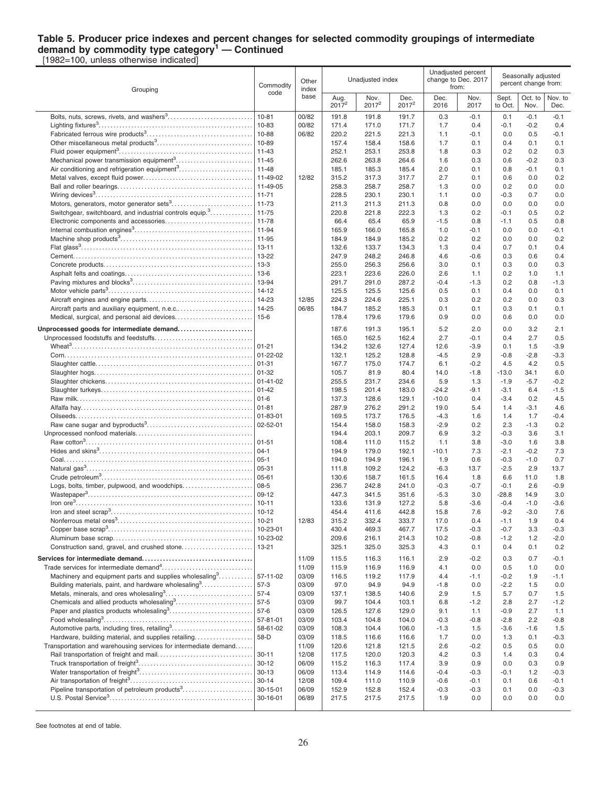#### **Table 5. Producer price indexes and percent changes for selected commodity groupings of intermediate demand by commodity type category<sup>1</sup> — Continued** [1982=100, unless otherwise indicated]

Grouping Commodity code **Other** index base Unadiusted index Unadjusted percent change to Dec. 2017 from: Seasonally adjusted percent change from: Aug. 2017 **Nov.** 2017<sup>2</sup> Dec. 2017<sup>2</sup> Dec. 2016 Nov. 2017 **Sept.** to Oct Oct. to Nov. Nov. to Dec. Bolts, nuts, screws, rivets, and washers<sup>3</sup>……………………………| 10-81 |00/82 | 191.8 191.8 191.7 | 0.3 -0.1 | 0.1 -0.1 -0.1 00/82 171.4 171.0 171.7 | 1.7 0.4 | -0.1 -0.2 0.4 | -0.1 -0.2 0.4 | -0.1 -0.2 0.4 Fabricated ferrous wire products<sup>3</sup> . . . . . . . . . . . . . . . . . . . . . . . . . . . . . . . . . . . 10-88 06/82 220.2 221.5 221.3 1.1 -0.1 0.0 0.5 -0.1 Other miscellaneous metal products<sup>3</sup> . . . . . . . . . . . . . . . . . . . . . . . . . . . . . . . . 10-89 157.4 158.4 158.6 1.7 0.1 0.4 0.1 0.1 Fluid power equipment<sup>3</sup> . . . . . . . . . . . . . . . . . . . . . . . . . . . . . . . . . . . . . . . . . . . . . 11-43 252.1 253.1 253.8 1.8 0.3 0.2 0.2 0.3 Mechanical power transmission equipment<sup>3</sup> . . . . . . . . . . . . . . . . . . . . . . . . . . 11-45 262.6 263.8 264.6 1.6 0.3 0.6 -0.2 0.3 Air conditioning and refrigeration equipment<sup>3</sup>..................................11-48 | 185.1 185.3 185.4 2.0 0.1 0.8 -0.1 0.1 Metal valves, except fluid power. . . . . . . . . . . . . . . . . . . . . . . . . . . . . . . . . . . . . 11-49-02 12/82 315.2 317.3 317.7 2.7 0.1 0.6 0.0 0.2 Ball and roller bearings. . . . . . . . . . . . . . . . . . . . . . . . . . . . . . . . . . . . . . . . . . . . . 11-49-05 258.3 258.7 258.7 1.3 0.0 0.2 0.0 0.0 Wiring devices<sup>3</sup> . . . . . . . . . . . . . . . . . . . . . . . . . . . . . . . . . . . . . . . . . . . . . . . . . . . . . 11-71 228.5 230.1 230.1 1.1 0.0 -0.3 0.7 0.0 Motors, generators, motor generator sets<sup>3</sup> . . . . . . . . . . . . . . . . . . . . . . . . . . . 11-73 211.3 211.3 211.3 0.8 0.0 0.0 0.0 0.0 Switchgear, switchboard, and industrial controls equip.<sup>3</sup>. . . . . . . . . . . . . . . 11-75 220.8 221.8 222.3 1.3 0.2 -0.1 0.5 0.2 Electronic components and accessories. . . . . . . . . . . . . . . . . . . . . . . . . . . . . 11-78 66.4 65.4 65.9 -1.5 0.8 -1.1 0.5 0.8 Internal combustion engines<sup>3</sup> . . . . . . . . . . . . . . . . . . . . . . . . . . . . . . . . . . . . . . . . 11-94 165.9 166.0 165.8 1.0 -0.1 0.0 0.0 -0.1 Machine shop products<sup>3</sup> . . . . . . . . . . . . . . . . . . . . . . . . . . . . . . . . . . . . . . . . . . . . 11-95 184.9 184.9 185.2 0.2 0.2 0.0 0.0 0.2 Flat glass<sup>3</sup>……………………………………………………………] 13-11 | | 132.6 133.7 134.3 | 1.3 0.4 | 0.7 0.1 0.4 Cement. . . . . . . . . . . . . . . . . . . . . . . . . . . . . . . . . . . . . . . . . . . . . . . . . . . . . . . . . . . . 13-22 247.9 248.2 246.8 4.6 -0.6 0.3 0.6 0.4 Concrete products. . . . . . . . . . . . . . . . . . . . . . . . . . . . . . . . . . . . . . . . . . . . . . . . . . 13-3 255.0 256.3 256.6 3.0 0.1 0.3 0.0 0.3 Asphalt felts and coatings. . . . . . . . . . . . . . . . . . . . . . . . . . . . . . . . . . . . . . . . . . . 13-6 223.1 223.6 226.0 2.6 1.1 0.2 1.0 1.1 Paving mixtures and blocks<sup>3</sup> . . . . . . . . . . . . . . . . . . . . . . . . . . . . . . . . . . . . . . . . 13-94 291.7 291.0 287.2 -0.4 -1.3 0.2 0.8 -1.3 Motor vehicle parts<sup>3</sup> . . . . . . . . . . . . . . . . . . . . . . . . . . . . . . . . . . . . . . . . . . . . . . . . 14-12 125.5 125.5 125.6 0.5 0.1 0.4 0.0 0.1 Aircraft engines and engine parts. . . . . . . . . . . . . . . . . . . . . . . . . . . . . . . . . . . . 14-23 12/85 224.3 224.6 225.1 0.3 0.2 0.2 0.0 0.3 Aircraft parts and auxiliary equipment, n.e.c.. . . . . . . . . . . . . . . . . . . . . . . . . 14-25 06/85 184.7 185.2 185.3 0.1 0.1 0.3 0.1 0.1 Medical, surgical, and personal aid devices. . . . . . . . . . . . . . . . . . . . . . . . . . 15-6 178.4 179.6 179.6 0.9 0.0 0.6 0.0 0.0 **Unprocessed goods for intermediate demand. . . . . . . . . . . . . . . . . . . . . . . . .** 187.6 191.3 195.1 5.2 2.0 0.0 3.2 2.1 Unprocessed foodstuffs and feedstuffs. . . . . . . . . . . . . . . . . . . . . . . . . . . . . . . . . 165.0 162.5 162.4 2.7 -0.1 0.4 2.7 0.5 Wheat<sup>3</sup> . . . . . . . . . . . . . . . . . . . . . . . . . . . . . . . . . . . . . . . . . . . . . . . . . . . . . . . . . . . . . 01-21 134.2 132.6 127.4 12.6 -3.9 0.1 1.5 -3.9  $Com... \ \, \ldots \ \, \ldots \ \, \ldots \ \, \ldots \ \, \ldots \ \, \ldots \ \, \ldots \ \, \ldots \ \, \ldots \ \, \ldots \ \, \ldots \ \, \ldots \ \, \ldots \ \, \ldots \ \, \ldots \ \, \ldots \ \, \ldots \ \, \ldots \ \, \ldots \ \, \ldots \ \, \ldots \ \, \ldots \ \, \ldots \ \, \ldots \ \, \ldots \ \, \ldots \ \, \ldots \ \, \ldots \ \, \ldots \ \, \ldots \ \, \ldots \$ Slaughter cattle. . . . . . . . . . . . . . . . . . . . . . . . . . . . . . . . . . . . . . . . . . . . . . . . . . . . . 01-31 167.7 175.0 174.7 6.1 -0.2 4.5 4.2 0.5 Slaughter hogs. . . . . . . . . . . . . . . . . . . . . . . . . . . . . . . . . . . . . . . . . . . . . . . . . . . . . 01-32 105.7 81.9 80.4 14.0 -1.8 -13.0 34.1 6.0 Slaughter chickens. . . . . . . . . . . . . . . . . . . . . . . . . . . . . . . . . . . . . . . . . . . . . . . . . 01-41-02 255.5 231.7 234.6 5.9 1.3 -1.9 -5.7 -0.2 Slaughter turkeys. . . . . . . . . . . . . . . . . . . . . . . . . . . . . . . . . . . . . . . . . . . . . . . . . . . 01-42 198.5 201.4 183.0 -24.2 -9.1 -3.1 6.4 -1.5 Raw milk. . . . . . . . . . . . . . . . . . . . . . . . . . . . . . . . . . . . . . . . . . . . . . . . . . . . . . . . . . . 01-6 137.3 128.6 129.1 -10.0 0.4 -3.4 0.2 4.5 Alfalfa hay. . . . . . . . . . . . . . . . . . . . . . . . . . . . . . . . . . . . . . . . . . . . . . . . . . . . . . . . . . 01-81 287.9 276.2 291.2 19.0 5.4 1.4 -3.1 4.6 Oilseeds. . . . . . . . . . . . . . . . . . . . . . . . . . . . . . . . . . . . . . . . . . . . . . . . . . . . . . . . . . . 01-83-01 169.5 173.7 176.5 -4.3 1.6 1.4 1.7 -0.4 Raw cane sugar and byproducts<sup>3</sup> . . . . . . . . . . . . . . . . . . . . . . . . . . . . . . . . . . . 02-52-01 154.4 158.0 158.3 -2.9 0.2 2.3 -1.3 0.2 Unprocessed nonfood materials. . . . . . . . . . . . . . . . . . . . . . . . . . . . . . . . . . . . . . . 194.4 203.1 209.7 6.9 3.2 -0.3 3.6 3.1 Raw cotton<sup>3</sup> . . . . . . . . . . . . . . . . . . . . . . . . . . . . . . . . . . . . . . . . . . . . . . . . . . . . . . . . 01-51 108.4 111.0 115.2 1.1 3.8 -3.0 1.6 3.8 Hides and skins<sup>3</sup> . . . . . . . . . . . . . . . . . . . . . . . . . . . . . . . . . . . . . . . . . . . . . . . . . . . 04-1 194.9 179.0 192.1 -10.1 7.3 -2.1 -0.2 7.3 Coal. . . . . . . . . . . . . . . . . . . . . . . . . . . . . . . . . . . . . . . . . . . . . . . . . . . . . . . . . . . . . . . 05-1 194.0 194.9 196.1 1.9 0.6 -0.3 -1.0 0.7 Natural gas<sup>3</sup> . . . . . . . . . . . . . . . . . . . . . . . . . . . . . . . . . . . . . . . . . . . . . . . . . . . . . . . . 05-31 111.8 109.2 124.2 -6.3 13.7 -2.5 2.9 13.7 Crude petroleum<sup>3</sup> . . . . . . . . . . . . . . . . . . . . . . . . . . . . . . . . . . . . . . . . . . . . . . . . . . . 05-61 130.6 158.7 161.5 16.4 1.8 6.6 11.0 1.8 Logs, bolts, timber, pulpwood, and woodchips. . . . . . . . . . . . . . . . . . . . . . . 08-5 236.7 242.8 241.0 -0.3 -0.7 -0.1 2.6 -0.9 Wastepaper<sup>3</sup> . . . . . . . . . . . . . . . . . . . . . . . . . . . . . . . . . . . . . . . . . . . . . . . . . . . . . . . 09-12 447.3 341.5 351.6 -5.3 3.0 -28.8 14.9 3.0 Iron ore<sup>3</sup> . . . . . . . . . . . . . . . . . . . . . . . . . . . . . . . . . . . . . . . . . . . . . . . . . . . . . . . . . . . 10-11 133.6 131.9 127.2 5.8 -3.6 -0.4 -1.0 -3.6 Iron and steel scrap<sup>3</sup> . . . . . . . . . . . . . . . . . . . . . . . . . . . . . . . . . . . . . . . . . . . . . . . 10-12 454.4 411.6 442.8 15.8 7.6 -9.2 -3.0 7.6 Nonferrous metal ores<sup>3</sup> . . . . . . . . . . . . . . . . . . . . . . . . . . . . . . . . . . . . . . . . . . . . . 10-21 12/83 315.2 332.4 333.7 17.0 0.4 -1.1 1.9 0.4 Copper base scrap<sup>3</sup> . . . . . . . . . . . . . . . . . . . . . . . . . . . . . . . . . . . . . . . . . . . . . . . . 10-23-01 430.4 469.3 467.7 17.5 -0.3 -0.7 3.3 -0.3 Aluminum base scrap. . . . . . . . . . . . . . . . . . . . . . . . . . . . . . . . . . . . . . . . . . . . . . . 10-23-02 209.6 216.1 214.3 10.2 -0.8 -1.2 1.2 -2.0 Construction sand, gravel, and crushed stone. . . . . . . . . . . . . . . . . . . . . . . . 13-21 325.1 325.0 325.3 4.3 0.1 0.4 0.1 0.2 **Services for intermediate demand. . . . . . . . . . . . . . . . . . . . . . . . . . . . . . . . . . . . .** 11/09 115.5 116.3 116.1 2.9 -0.2 0.3 0.7 -0.1 Trade services for intermediate demand<sup>4</sup>............................| | 11/09 | 115.9 116.9 | 116.9 | 4.1 0.0 | 0.5 1.0 0.0 Machinery and equipment parts and supplies wholesaling  $3, 3, 3, 4, 5, 6$ . . . . . . . . . . . . 57-11-02 | 03/09 | 116.5 119.2 117.9 | 4.4 -1.1 | -0.2 1.9 -1.1 Building materials, paint, and hardware wholesaling<sup>3</sup> . . . . . . . . . . . . . . . . . 57-3 03/09 97.0 94.9 94.9 -1.8 0.0 -2.2 1.5 0.0 Metals, minerals, and ores wholesaling<sup>3</sup> . . . . . . . . . . . . . . . . . . . . . . . . . . . . . 57-4 03/09 137.1 138.5 140.6 2.9 1.5 5.7 0.7 1.5 Chemicals and allied products wholesaling<sup>3</sup> . . . . . . . . . . . . . . . . . . . . . . . . . . 57-5 03/09 99.7 104.4 103.1 6.8 -1.2 2.8 2.7 -1.2 Paper and plastics products wholesaling<sup>3</sup> . . . . . . . . . . . . . . . . . . . . . . . . . . . . 57-6 03/09 126.5 127.6 129.0 9.1 1.1 -0.9 2.7 1.1 Food wholesaling<sup>3</sup> . . . . . . . . . . . . . . . . . . . . . . . . . . . . . . . . . . . . . . . . . . . . . . . . . . 57-81-01 03/09 103.4 104.8 104.0 -0.3 -0.8 -2.8 2.2 -0.8 Automotive parts, including tires, retailing<sup>3</sup>.................................. 58-61-02 | 03/09 | 108.3 104.4 106.0 | -1.3 1.5 | -3.6 -1.6 1.5 Hardware, building material, and supplies retailing. . . . . . . . . . . . . . . . . . . 58-D 03/09 118.5 116.6 116.6 1.7 0.0 1.3 0.1 -0.3 Transportation and warehousing services for intermediate demand. . . . . | 11/09 | 120.6 121.8 121.5 | 2.6 -0.2 | 0.5 0.5 0.0 Rail transportation of freight and mail. . . . . . . . . . . . . . . . . . . . . . . . . . . . . . . . 30-11 12/08 117.5 120.0 120.3 4.2 0.3 1.4 0.3 0.4 Truck transportation of freight<sup>3</sup> . . . . . . . . . . . . . . . . . . . . . . . . . . . . . . . . . . . . . . 30-12 06/09 115.2 116.3 117.4 3.9 0.9 0.0 0.3 0.9 Water transportation of freight<sup>3</sup> . . . . . . . . . . . . . . . . . . . . . . . . . . . . . . . . . . . . . . 30-13 06/09 113.4 114.9 114.6 -0.4 -0.3 -0.1 1.2 -0.3 Air transportation of freight<sup>3</sup> . . . . . . . . . . . . . . . . . . . . . . . . . . . . . . . . . . . . . . . . . 30-14 12/08 109.4 111.0 110.9 -0.6 -0.1 0.1 0.6 -0.1 Pipeline transportation of petroleum products<sup>3</sup>................................. 30-15-01 | 06/09 | 152.9 152.8 152.4 | -0.3 -0.3 | 0.1 0.0 -0.3 U.S. Postal Service<sup>3</sup> . . . . . . . . . . . . . . . . . . . . . . . . . . . . . . . . . . . . . . . . . . . . . . . . 30-16-01 06/89 217.5 217.5 217.5 1.9 0.0 0.0 0.0 0.0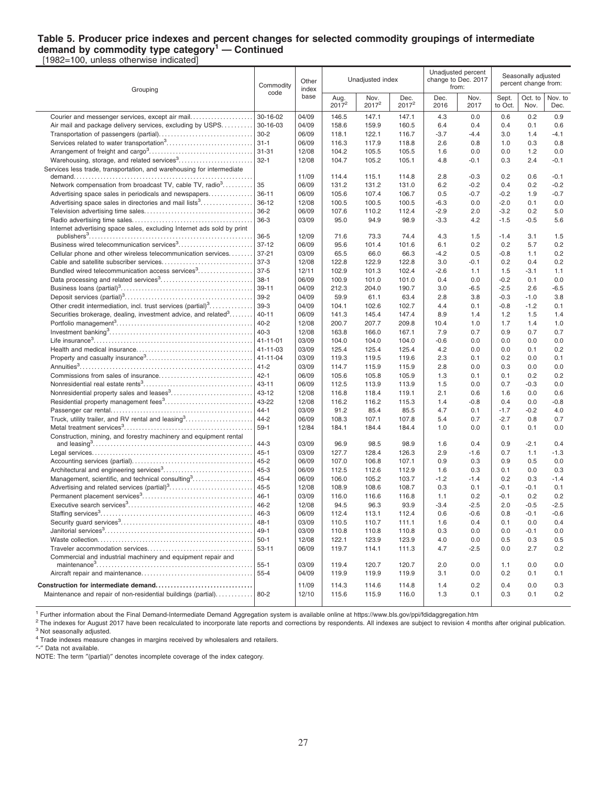## **Table 5. Producer price indexes and percent changes for selected commodity groupings of intermediate demand by commodity type category<sup>1</sup> — Continued**

[1982=100, unless otherwise indicated]

| Grouping                                                                   | Commodity | Other<br>index | Unadjusted index |                           |                           |              | Unadjusted percent<br>change to Dec. 2017<br>from: | Seasonally adjusted<br>percent change from: |                 |                 |
|----------------------------------------------------------------------------|-----------|----------------|------------------|---------------------------|---------------------------|--------------|----------------------------------------------------|---------------------------------------------|-----------------|-----------------|
|                                                                            | code      | base           | Aug.<br>$2017^2$ | Nov.<br>2017 <sup>2</sup> | Dec.<br>2017 <sup>2</sup> | Dec.<br>2016 | Nov.<br>2017                                       | Sept.<br>to Oct.                            | Oct. to<br>Nov. | Nov. to<br>Dec. |
| Courier and messenger services, except air mail                            | 30-16-02  | 04/09          | 146.5            | 147.1                     | 147.1                     | 4.3          | 0.0                                                | 0.6                                         | 0.2             | 0.9             |
| Air mail and package delivery services, excluding by USPS                  | 30-16-03  | 04/09          | 158.6            | 159.9                     | 160.5                     | 6.4          | 0.4                                                | 0.4                                         | 0.1             | 0.6             |
|                                                                            | $30 - 2$  | 06/09          | 118.1            | 122.1                     | 116.7                     | $-3.7$       | $-4.4$                                             | 3.0                                         | 1.4             | -4.1            |
|                                                                            | $31 - 1$  | 06/09          | 116.3            | 117.9                     | 118.8                     | 2.6          | 0.8                                                | 1.0                                         | 0.3             | 0.8             |
|                                                                            | 31-31     | 12/08          | 104.2            | 105.5                     | 105.5                     | 1.6          | 0.0                                                | 0.0                                         | 1.2             | 0.0             |
| Warehousing, storage, and related services <sup>3</sup>                    | $32 - 1$  | 12/08          | 104.7            | 105.2                     | 105.1                     | 4.8          | $-0.1$                                             | 0.3                                         | 2.4             | $-0.1$          |
| Services less trade, transportation, and warehousing for intermediate      |           | 11/09          | 114.4            | 115.1                     | 114.8                     | 2.8          | $-0.3$                                             | 0.2                                         | 0.6             | $-0.1$          |
| Network compensation from broadcast TV, cable TV, radio <sup>3</sup>       | 35        | 06/09          | 131.2            | 131.2                     | 131.0                     | 6.2          | $-0.2$                                             | 0.4                                         | 0.2             | $-0.2$          |
| Advertising space sales in periodicals and newspapers                      | $36 - 11$ | 06/09          | 105.6            | 107.4                     | 106.7                     | 0.5          | $-0.7$                                             | $-0.2$                                      | 1.9             | $-0.7$          |
| Advertising space sales in directories and mail lists <sup>3</sup>         | $36-12$   | 12/08          | 100.5            | 100.5                     | 100.5                     | $-6.3$       | 0.0                                                | $-2.0$                                      | 0.1             | 0.0             |
|                                                                            | $36 - 2$  | 06/09          | 107.6            | 110.2                     | 112.4                     | $-2.9$       | 2.0                                                | $-3.2$                                      | 0.2             | 5.0             |
|                                                                            | $36-3$    | 03/09          | 95.0             | 94.9                      | 98.9                      | $-3.3$       | 4.2                                                | $-1.5$                                      | $-0.5$          | 5.6             |
| Internet advertising space sales, excluding Internet ads sold by print     | $36 - 5$  | 12/09          | 71.6             | 73.3                      | 74.4                      | 4.3          | 1.5                                                | $-1.4$                                      | 3.1             | 1.5             |
| Business wired telecommunication services <sup>3</sup>                     | $37 - 12$ | 06/09          | 95.6             | 101.4                     | 101.6                     | 6.1          | 0.2                                                | 0.2                                         | 5.7             | 0.2             |
| Cellular phone and other wireless telecommunication services               | 37-21     | 03/09          | 65.5             | 66.0                      | 66.3                      | $-4.2$       | 0.5                                                | $-0.8$                                      | 1.1             | 0.2             |
|                                                                            | $37-3$    | 12/08          | 122.8            | 122.9                     | 122.8                     | 3.0          | -0.1                                               | 0.2                                         | 0.4             | 0.2             |
| Bundled wired telecommunication access services <sup>3</sup>               | $37-5$    | 12/11          | 102.9            | 101.3                     | 102.4                     | $-2.6$       | 1.1                                                | 1.5                                         | $-3.1$          | 1.1             |
|                                                                            | $38-1$    | 06/09          | 100.9            | 101.0                     | 101.0                     | 0.4          | 0.0                                                | $-0.2$                                      | 0.1             | 0.0             |
|                                                                            | $39 - 11$ | 04/09          | 212.3            | 204.0                     | 190.7                     | 3.0          | $-6.5$                                             | $-2.5$                                      | 2.6             | -6.5            |
|                                                                            | $39-2$    | 04/09          | 59.9             | 61.1                      | 63.4                      | 2.8          | 3.8                                                | $-0.3$                                      | $-1.0$          | 3.8             |
| Other credit intermediation, incl. trust services $(\text{partial})^3$     | 39-3      | 04/09          | 104.1            | 102.6                     | 102.7                     | 4.4          | 0.1                                                | $-0.8$                                      | $-1.2$          | 0.1             |
| Securities brokerage, dealing, investment advice, and related <sup>3</sup> | $40 - 11$ | 06/09          | 141.3            | 145.4                     | 147.4                     | 8.9          | 1.4                                                | 1.2                                         | 1.5             | 1.4             |
|                                                                            | 40-2      | 12/08          | 200.7            | 207.7                     | 209.8                     | 10.4         | 1.0                                                | 1.7                                         | 1.4             | 1.0             |
|                                                                            | $40 - 3$  | 12/08          | 163.8            | 166.0                     | 167.1                     | 7.9          | 0.7                                                | 0.9                                         | 0.7             | 0.7             |
|                                                                            |           | 03/09          | 104.0            | 104.0                     | 104.0                     | $-0.6$       | 0.0                                                | 0.0                                         | 0.0             | 0.0             |
|                                                                            | 41-11-03  | 03/09          | 125.4            | 125.4                     | 125.4                     | 4.2          | 0.0                                                | 0.0                                         | 0.1             | 0.2             |
|                                                                            |           | 03/09          | 119.3            | 119.5                     | 119.6                     | 2.3          | 0.1                                                | 0.2                                         | 0.0             | 0.1             |
|                                                                            | 41-2      | 03/09          | 114.7            | 115.9                     | 115.9                     | 2.8          | 0.0                                                | 0.3                                         | 0.0             | 0.0             |
|                                                                            | $ 42-1 $  | 06/09          | 105.6            | 105.8                     | 105.9                     | 1.3          | 0.1                                                | 0.1                                         | 0.2             | 0.2             |
|                                                                            | $43 - 11$ | 06/09          | 112.5            | 113.9                     | 113.9                     | 1.5          | 0.0                                                | 0.7                                         | $-0.3$          | 0.0             |
|                                                                            | 43-12     | 12/08          | 116.8            | 118.4                     | 119.1                     | 2.1          | 0.6                                                | 1.6                                         | 0.0             | 0.6             |
|                                                                            | 43-22     | 12/08          | 116.2            | 116.2                     | 115.3                     | 1.4          | $-0.8$                                             | 0.4                                         | 0.0             | -0.8            |
|                                                                            | $44 - 1$  | 03/09          | 91.2             | 85.4                      | 85.5                      | 4.7          | 0.1                                                | $-1.7$                                      | $-0.2$          | 4.0             |
|                                                                            | $44 - 2$  | 06/09          | 108.3            | 107.1                     | 107.8                     | 5.4          | 0.7                                                | $-2.7$                                      | 0.8             | 0.7             |
|                                                                            | 59-1      | 12/84          | 184.1            | 184.4                     | 184.4                     | 1.0          | 0.0                                                | 0.1                                         | 0.1             | 0.0             |
| Construction, mining, and forestry machinery and equipment rental          | $44 - 3$  | 03/09          | 96.9             | 98.5                      | 98.9                      | 1.6          | 0.4                                                | 0.9                                         | $-2.1$          | 0.4             |
|                                                                            | 45-1      | 03/09          | 127.7            | 128.4                     | 126.3                     | 2.9          | $-1.6$                                             | 0.7                                         | 1.1             | $-1.3$          |
|                                                                            | $45 - 2$  | 06/09          | 107.0            | 106.8                     | 107.1                     | 0.9          | 0.3                                                | 0.9                                         | 0.5             | 0.0             |
|                                                                            | $45 - 3$  | 06/09          | 112.5            | 112.6                     | 112.9                     | 1.6          | 0.3                                                | 0.1                                         | 0.0             | 0.3             |
| Management, scientific, and technical consulting <sup>3</sup>              | $45 - 4$  | 06/09          | 106.0            | 105.2                     | 103.7                     | $-1.2$       | $-1.4$                                             | 0.2                                         | 0.3             | $-1.4$          |
|                                                                            | $45 - 5$  | 12/08          | 108.9            | 108.6                     | 108.7                     | 0.3          | 0.1                                                | $-0.1$                                      | $-0.1$          | 0.1             |
|                                                                            | $46 - 1$  | 03/09          | 116.0            | 116.6                     | 116.8                     | 1.1          | 0.2                                                | $-0.1$                                      | 0.2             | 0.2             |
|                                                                            | 46-2      | 12/08          | 94.5             | 96.3                      | 93.9                      | $-3.4$       | $-2.5$                                             | 2.0                                         | $-0.5$          | $-2.5$          |
|                                                                            | 46-3      | 06/09          | 112.4            | 113.1                     | 112.4                     | 0.6          | $-0.6$                                             | 0.8                                         | $-0.1$          | $-0.6$          |
|                                                                            | $48 - 1$  | 03/09          | 110.5            | 110.7                     | 111.1                     | 1.6          | 0.4                                                | 0.1                                         | 0.0             | 0.4             |
|                                                                            |           | 03/09          | 110.8            | 110.8                     | 110.8                     | 0.3          | 0.0                                                | 0.0                                         | $-0.1$          | 0.0             |
|                                                                            | 50-1      | 12/08          | 122.1            | 123.9                     | 123.9                     | 4.0          | 0.0                                                | 0.5                                         | 0.3             | 0.5             |
|                                                                            | 53-11     | 06/09          | 119.7            | 114.1                     | 111.3                     | 4.7          | $-2.5$                                             | 0.0                                         | 2.7             | 0.2             |
| Commercial and industrial machinery and equipment repair and               |           |                |                  |                           |                           |              |                                                    |                                             |                 |                 |
|                                                                            | 55-1      | 03/09          | 119.4            | 120.7                     | 120.7                     | 2.0          | 0.0                                                | 1.1                                         | 0.0             | 0.0             |
|                                                                            |           | 04/09          | 119.9            | 119.9                     | 119.9                     | 3.1          | 0.0                                                | 0.2                                         | 0.1             | 0.1             |
|                                                                            |           | 11/09          | 114.3            | 114.6                     | 114.8                     | 1.4          | 0.2                                                | 0.4                                         | 0.0             | 0.3             |
| Maintenance and repair of non-residential buildings (partial)  80-2        |           | 12/10          | 115.6            | 115.9                     | 116.0                     | 1.3          | 0.1                                                | 0.3                                         | 0.1             | 0.2             |

<sup>1</sup> Further information about the Final Demand-Intermediate Demand Aggregation system is available online at https://www.bls.gov/ppi/fdidaggregation.htm

<sup>2</sup> The indexes for August 2017 have been recalculated to incorporate late reports and corrections by respondents. All indexes are subject to revision 4 months after original publication. <sup>3</sup> Not seasonally adjusted.

<sup>4</sup> Trade indexes measure changes in margins received by wholesalers and retailers.

″-″ Data not available.

NOTE: The term ″(partial)″ denotes incomplete coverage of the index category.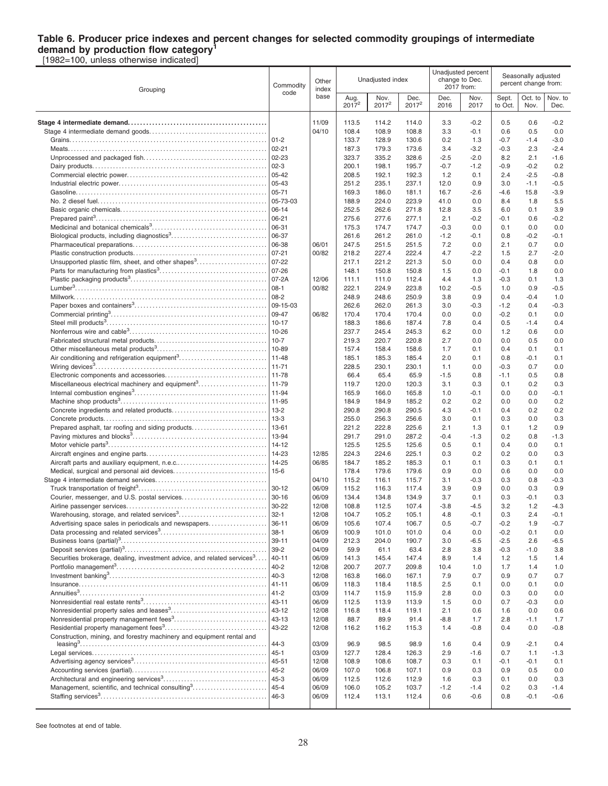#### **Table 6. Producer price indexes and percent changes for selected commodity groupings of intermediate demand by production flow category<sup>1</sup>**

[1982=100, unless otherwise indicated]

| Grouping                                                                            | Commodity<br>code     | Other<br>index |                  | Unadjusted index |                  |               | Unadjusted percent<br>change to Dec.<br>2017 from: | Seasonally adjusted<br>percent change from: |                 |                  |
|-------------------------------------------------------------------------------------|-----------------------|----------------|------------------|------------------|------------------|---------------|----------------------------------------------------|---------------------------------------------|-----------------|------------------|
|                                                                                     |                       | base           | Aug.<br>$2017^2$ | Nov.<br>$2017^2$ | Dec.<br>$2017^2$ | Dec.<br>2016  | Nov.<br>2017                                       | Sept.<br>to Oct.                            | Oct. to<br>Nov. | Nov. to<br>Dec.  |
|                                                                                     |                       | 11/09          | 113.5            | 114.2            | 114.0            | 3.3           | $-0.2$                                             | 0.5                                         | 0.6             | $-0.2$           |
|                                                                                     |                       | 04/10          | 108.4            | 108.9            | 108.8            | 3.3           | $-0.1$                                             | 0.6                                         | 0.5             | 0.0              |
|                                                                                     | 01-2                  |                | 133.7            | 128.9            | 130.6            | 0.2           | 1.3                                                | $-0.7$                                      | $-1.4$          | $-3.0$           |
|                                                                                     | $02 - 21$             |                | 187.3            | 179.3            | 173.6            | 3.4           | $-3.2$                                             | $-0.3$                                      | 2.3             | $-2.4$           |
|                                                                                     |                       |                | 323.7            | 335.2            | 328.6            | $-2.5$        | $-2.0$                                             | 8.2                                         | 2.1             | $-1.6$           |
|                                                                                     |                       |                | 200.1            | 198.1            | 195.7            | $-0.7$        | $-1.2$                                             | $-0.9$                                      | $-0.2$          | 0.2              |
|                                                                                     |                       |                | 208.5            | 192.1            | 192.3            | 1.2           | 0.1                                                | 2.4                                         | $-2.5$          | $-0.8$           |
|                                                                                     | $ 05 - 43$            |                | 251.2            | 235.1            | 237.1            | 12.0          | 0.9                                                | 3.0                                         | $-1.1$          | $-0.5$           |
|                                                                                     |                       |                | 169.3            | 186.0            | 181.1            | 16.7          | $-2.6$                                             | $-4.6$                                      | 15.8            | $-3.9$           |
|                                                                                     | $ 05 - 73 - 03$       |                | 188.9            | 224.0            | 223.9            | 41.0          | 0.0                                                | 8.4                                         | 1.8             | 5.5              |
|                                                                                     | $ 06-14$              |                | 252.5            | 262.6            | 271.8            | 12.8          | 3.5                                                | 6.0                                         | 0.1             | 3.9              |
|                                                                                     | 06-21                 |                | 275.6            | 277.6            | 277.1            | 2.1           | $-0.2$                                             | $-0.1$                                      | 0.6             | $-0.2$           |
|                                                                                     | 06-31                 |                | 175.3            | 174.7            | 174.7            | $-0.3$        | 0.0                                                | 0.1                                         | 0.0             | 0.0              |
|                                                                                     | 06-37                 |                | 261.6            | 261.2            | 261.0            | $-1.2$        | $-0.1$                                             | 0.8                                         | $-0.2$          | -0.1             |
|                                                                                     | 06-38                 | 06/01          | 247.5            | 251.5            | 251.5            | 7.2           | 0.0                                                | 2.1                                         | 0.7             | 0.0              |
|                                                                                     | $07 - 21$             | 00/82          | 218.2            | 227.4            | 222.4            | 4.7           | $-2.2$                                             | 1.5                                         | 2.7             | $-2.0$           |
| Unsupported plastic film, sheet, and other shapes <sup>3</sup>                      | $ 07-22$              |                | 217.1            | 221.2            | 221.3            | 5.0           | 0.0                                                | 0.4                                         | 0.8             | 0.0              |
|                                                                                     | $ 07-26$              |                | 148.1            | 150.8            | 150.8            | 1.5           | 0.0                                                | $-0.1$                                      | 1.8             | 0.0              |
|                                                                                     | $ 07-2A$              | 12/06          | 111.1            | 111.0            | 112.4            | 4.4           | 1.3                                                | -0.3                                        | 0.1             | 1.3              |
|                                                                                     |                       | 00/82          | 222.1            | 224.9            | 223.8            | 10.2          | $-0.5$                                             | 1.0                                         | 0.9             | $-0.5$           |
|                                                                                     | $ 08-2 $              |                | 248.9            | 248.6            | 250.9            | 3.8           | 0.9                                                | 0.4                                         | $-0.4$          | 1.0              |
|                                                                                     |                       |                | 262.6<br>170.4   | 262.0            | 261.3            | 3.0           | $-0.3$                                             | $-1.2$                                      | 0.4             | $-0.3$           |
|                                                                                     |                       | 06/82          | 188.3            | 170.4<br>186.6   | 170.4<br>187.4   | 0.0<br>7.8    | 0.0<br>0.4                                         | $-0.2$<br>0.5                               | 0.1<br>$-1.4$   | 0.0<br>0.4       |
|                                                                                     |                       |                | 237.7            | 245.4            | 245.3            | 6.2           | 0.0                                                | 1.2                                         | 0.6             | 0.0              |
|                                                                                     | $10-7$                |                | 219.3            | 220.7            | 220.8            | 2.7           | 0.0                                                | 0.0                                         | 0.5             | 0.0              |
|                                                                                     | $ 10-89$              |                | 157.4            | 158.4            | 158.6            | 1.7           | 0.1                                                | 0.4                                         | 0.1             | 0.1              |
| Air conditioning and refrigeration equipment <sup>3</sup>                           | $11 - 48$             |                | 185.1            | 185.3            | 185.4            | 2.0           | 0.1                                                | 0.8                                         | $-0.1$          | 0.1              |
|                                                                                     | 11-71                 |                | 228.5            | 230.1            | 230.1            | 1.1           | 0.0                                                | $-0.3$                                      | 0.7             | 0.0              |
|                                                                                     | $11 - 78$             |                | 66.4             | 65.4             | 65.9             | $-1.5$        | 0.8                                                | $-1.1$                                      | 0.5             | 0.8              |
|                                                                                     |                       |                | 119.7            | 120.0            | 120.3            | 3.1           | 0.3                                                | 0.1                                         | 0.2             | 0.3              |
|                                                                                     | 11-94                 |                | 165.9            | 166.0            | 165.8            | 1.0           | $-0.1$                                             | 0.0                                         | 0.0             | -0.1             |
|                                                                                     |                       |                | 184.9            | 184.9            | 185.2            | 0.2           | 0.2                                                | 0.0                                         | 0.0             | 0.2              |
|                                                                                     |                       |                | 290.8            | 290.8            | 290.5            | 4.3           | $-0.1$                                             | 0.4                                         | 0.2             | 0.2              |
|                                                                                     |                       |                | 255.0            | 256.3            | 256.6            | 3.0           | 0.1                                                | 0.3                                         | 0.0             | 0.3              |
|                                                                                     |                       |                | 221.2            | 222.8            | 225.6            | 2.1           | 1.3                                                | 0.1                                         | 1.2             | 0.9              |
|                                                                                     |                       |                | 291.7            | 291.0            | 287.2            | $-0.4$        | $-1.3$                                             | 0.2                                         | 0.8             | $-1.3$           |
|                                                                                     |                       |                | 125.5            | 125.5            | 125.6            | 0.5           | 0.1                                                | 0.4                                         | 0.0             | 0.1              |
|                                                                                     |                       | 12/85          | 224.3            | 224.6            | 225.1            | 0.3           | 0.2                                                | 0.2                                         | 0.0             | 0.3              |
|                                                                                     | $14 - 25$             | 06/85          | 184.7            | 185.2            | 185.3            | 0.1           | 0.1                                                | 0.3                                         | 0.1             | 0.1              |
|                                                                                     | 15-6                  |                | 178.4            | 179.6            | 179.6            | 0.9           | 0.0                                                | 0.6                                         | 0.0             | 0.0              |
|                                                                                     |                       | 04/10          | 115.2            | 116.1            | 115.7            | 3.1           | $-0.3$                                             | 0.3                                         | 0.8             | $-0.3$           |
|                                                                                     | $30 - 12$             | 06/09          | 115.2            | 116.3            | 117.4            | 3.9           | 0.9                                                | 0.0                                         | 0.3             | 0.9              |
|                                                                                     | $30 - 16$             | 06/09          | 134.4            | 134.8            | 134.9            | 3.7           | 0.1                                                | 0.3                                         | $-0.1$          | 0.3              |
| Warehousing, storage, and related services <sup>3</sup> .                           | $30 - 22$<br>$32 - 1$ | 12/08<br>12/08 | 108.8            | 112.5            | 107.4            | $-3.8$<br>4.8 | $-4.5$                                             | 3.2<br>0.3                                  | 1.2<br>2.4      | $-4.3$<br>$-0.1$ |
| Advertising space sales in periodicals and newspapers                               | 36-11                 | 06/09          | 104.7            | 105.2<br>107.4   | 105.1<br>106.7   |               | $-0.1$                                             |                                             |                 |                  |
|                                                                                     |                       | 06/09          | 105.6<br>100.9   | 101.0            | 101.0            | 0.5<br>0.4    | $-0.7$<br>0.0                                      | $-0.2$<br>$-0.2$                            | 1.9<br>0.1      | $-0.7$<br>0.0    |
|                                                                                     |                       | 04/09          | 212.3            | 204.0            | 190.7            | 3.0           | $-6.5$                                             | $-2.5$                                      | 2.6             | -6.5             |
|                                                                                     |                       | 04/09          | 59.9             | 61.1             | 63.4             | 2.8           | 3.8                                                | $-0.3$                                      | $-1.0$          | 3.8              |
| Securities brokerage, dealing, investment advice, and related services <sup>3</sup> | $ 40-11$              | 06/09          | 141.3            | 145.4            | 147.4            | 8.9           | 1.4                                                | 1.2                                         | 1.5             | 1.4              |
|                                                                                     | $ 40-2 $              | 12/08          | 200.7            | 207.7            | 209.8            | 10.4          | 1.0                                                | 1.7                                         | 1.4             | 1.0              |
|                                                                                     | 40-3                  | 12/08          | 163.8            | 166.0            | 167.1            | 7.9           | 0.7                                                | 0.9                                         | 0.7             | 0.7              |
|                                                                                     | 41-11                 | 06/09          | 118.3            | 118.4            | 118.5            | 2.5           | 0.1                                                | 0.0                                         | 0.1             | 0.0              |
|                                                                                     | 41-2                  | 03/09          | 114.7            | 115.9            | 115.9            | 2.8           | 0.0                                                | 0.3                                         | 0.0             | 0.0              |
|                                                                                     | 43-11                 | 06/09          | 112.5            | 113.9            | 113.9            | 1.5           | 0.0                                                | 0.7                                         | $-0.3$          | 0.0              |
|                                                                                     | 43-12                 | 12/08          | 116.8            | 118.4            | 119.1            | 2.1           | 0.6                                                | 1.6                                         | 0.0             | 0.6              |
|                                                                                     | 43-13                 | 12/08          | 88.7             | 89.9             | 91.4             | $-8.8$        | 1.7                                                | 2.8                                         | $-1.1$          | 1.7              |
|                                                                                     | 43-22                 | 12/08          | 116.2            | 116.2            | 115.3            | 1.4           | $-0.8$                                             | 0.4                                         | 0.0             | $-0.8$           |
| Construction, mining, and forestry machinery and equipment rental and               |                       |                |                  |                  |                  |               |                                                    |                                             |                 |                  |
|                                                                                     |                       | 03/09          | 96.9             | 98.5             | 98.9             | 1.6           | 0.4                                                | 0.9                                         | $-2.1$          | 0.4              |
|                                                                                     |                       | 03/09          | 127.7            | 128.4            | 126.3            | 2.9           | $-1.6$                                             | 0.7                                         | 1.1             | $-1.3$           |
|                                                                                     | $ 45-51$              | 12/08          | 108.9            | 108.6            | 108.7            | 0.3           | 0.1                                                | -0.1                                        | $-0.1$          | 0.1              |
|                                                                                     | 45-2                  | 06/09          | 107.0            | 106.8            | 107.1            | 0.9           | 0.3                                                | 0.9                                         | 0.5             | 0.0              |
|                                                                                     | 45-3                  | 06/09          | 112.5            | 112.6            | 112.9            | 1.6           | 0.3                                                | 0.1                                         | 0.0             | 0.3              |
| Management, scientific, and technical consulting <sup>3</sup>                       | $ 45-4$               | 06/09          | 106.0            | 105.2            | 103.7            | $-1.2$        | $-1.4$                                             | 0.2                                         | 0.3             | $-1.4$           |
|                                                                                     | 46-3                  | 06/09          | 112.4            | 113.1            | 112.4            | 0.6           | $-0.6$                                             | 0.8                                         | $-0.1$          | $-0.6$           |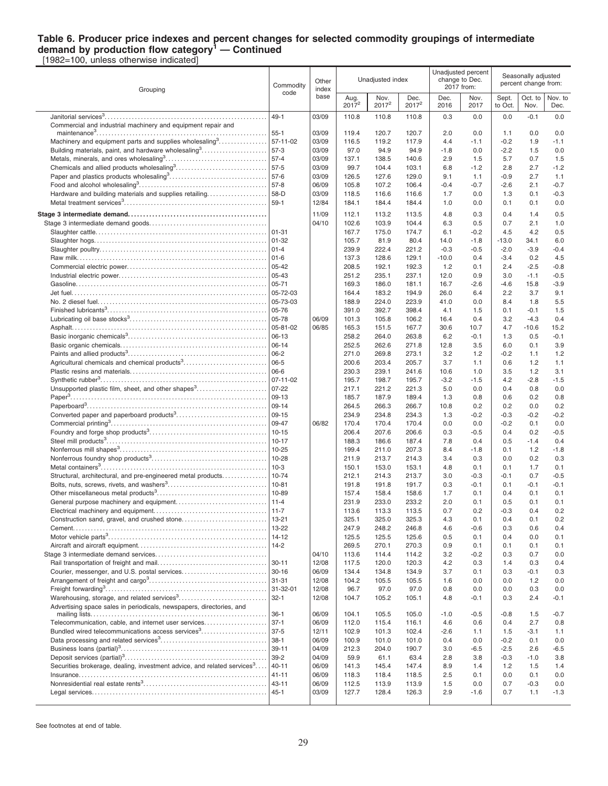#### **Table 6. Producer price indexes and percent changes for selected commodity groupings of intermediate demand by production flow category<sup>1</sup> — Continued**

[1982=100, unless otherwise indicated]

| Grouping                                                                            | Commodity<br>code      | Other<br>index | Unadjusted index |                           |                  |              | Unadjusted percent<br>change to Dec.<br>2017 from: | Seasonally adjusted<br>percent change from: |                 |                  |
|-------------------------------------------------------------------------------------|------------------------|----------------|------------------|---------------------------|------------------|--------------|----------------------------------------------------|---------------------------------------------|-----------------|------------------|
|                                                                                     |                        | base           | Aug.<br>$2017^2$ | Nov.<br>2017 <sup>2</sup> | Dec.<br>$2017^2$ | Dec.<br>2016 | Nov.<br>2017                                       | Sept.<br>to Oct.                            | Oct. to<br>Nov. | Nov. to<br>Dec.  |
| Janitorial services $3$                                                             | $49 - 1$               | 03/09          | 110.8            | 110.8                     | 110.8            | 0.3          | 0.0                                                | 0.0                                         | $-0.1$          | 0.0              |
| Commercial and industrial machinery and equipment repair and                        | $55 - 1$               | 03/09          | 119.4            | 120.7                     | 120.7            | 2.0          | 0.0                                                | 1.1                                         | 0.0             | 0.0              |
| Machinery and equipment parts and supplies wholesaling <sup>3</sup>                 | $57 - 11 - 02$         | 03/09          | 116.5            | 119.2                     | 117.9            | 4.4          | $-1.1$                                             | $-0.2$                                      | 1.9             | $-1.1$           |
| Building materials, paint, and hardware wholesaling <sup>3</sup>                    | $57-3$                 | 03/09          | 97.0             | 94.9                      | 94.9             | $-1.8$       | 0.0                                                | $-2.2$                                      | 1.5             | 0.0              |
|                                                                                     | $57 - 4$               | 03/09          | 137.1            | 138.5                     | 140.6            | 2.9          | 1.5                                                | 5.7                                         | 0.7             | 1.5              |
|                                                                                     | $57-5$                 | 03/09          | 99.7             | 104.4                     | 103.1            | 6.8          | $-1.2$                                             | 2.8                                         | 2.7             | $-1.2$           |
|                                                                                     | $57-6$                 | 03/09          | 126.5            | 127.6                     | 129.0            | 9.1          | 1.1                                                | $-0.9$                                      | 2.7             | 1.1              |
|                                                                                     | $57-8$                 | 06/09          | 105.8            | 107.2                     | 106.4            | $-0.4$       | $-0.7$                                             | $-2.6$                                      | 2.1             | $-0.7$           |
| Hardware and building materials and supplies retailing                              | 58-D                   | 03/09          | 118.5            | 116.6                     | 116.6            | 1.7          | 0.0                                                | 1.3                                         | 0.1             | $-0.3$           |
|                                                                                     | $59-1$                 | 12/84          | 184.1            | 184.4                     | 184.4            | 1.0          | 0.0                                                | 0.1                                         | 0.1             | 0.0              |
|                                                                                     |                        | 11/09<br>04/10 | 112.1            | 113.2                     | 113.5            | 4.8          | 0.3                                                | 0.4                                         | 1.4             | 0.5              |
|                                                                                     | $01 - 31$              |                | 102.6<br>167.7   | 103.9<br>175.0            | 104.4<br>174.7   | 6.3<br>6.1   | 0.5<br>$-0.2$                                      | 0.7<br>4.5                                  | 2.1<br>4.2      | 1.0<br>0.5       |
|                                                                                     | $01 - 32$              |                | 105.7            | 81.9                      | 80.4             | 14.0         | $-1.8$                                             | $-13.0$                                     | 34.1            | 6.0              |
|                                                                                     |                        |                | 239.9            | 222.4                     | 221.2            | $-0.3$       | $-0.5$                                             | $-2.0$                                      | $-3.9$          | $-0.4$           |
|                                                                                     |                        |                | 137.3            | 128.6                     | 129.1            | $-10.0$      | 0.4                                                | $-3.4$                                      | 0.2             | 4.5              |
|                                                                                     | $05 - 42$              |                | 208.5            | 192.1                     | 192.3            | 1.2          | 0.1                                                | 2.4                                         | $-2.5$          | $-0.8$           |
|                                                                                     | 05-43                  |                | 251.2            | 235.1                     | 237.1            | 12.0         | 0.9                                                | 3.0                                         | $-1.1$          | $-0.5$           |
|                                                                                     | $05 - 71$<br>05-72-03  |                | 169.3            | 186.0                     | 181.1            | 16.7         | $-2.6$                                             | $-4.6$<br>2.2                               | 15.8            | $-3.9$           |
|                                                                                     | 05-73-03               |                | 164.4<br>188.9   | 183.2<br>224.0            | 194.9<br>223.9   | 26.0<br>41.0 | 6.4<br>0.0                                         | 8.4                                         | 3.7<br>1.8      | 9.1<br>5.5       |
|                                                                                     | 05-76                  |                | 391.0            | 392.7                     | 398.4            | 4.1          | 1.5                                                | 0.1                                         | $-0.1$          | 1.5              |
|                                                                                     | 05-78                  | 06/09          | 101.3            | 105.8                     | 106.2            | 16.4         | 0.4                                                | 3.2                                         | $-4.3$          | 0.4              |
|                                                                                     | 05-81-02               | 06/85          | 165.3            | 151.5                     | 167.7            | 30.6         | 10.7                                               | 4.7                                         | $-10.6$         | 15.2             |
|                                                                                     | 06-13                  |                | 258.2            | 264.0                     | 263.8            | 6.2          | $-0.1$                                             | 1.3                                         | 0.5             | -0.1             |
|                                                                                     | $06 - 14$              |                | 252.5            | 262.6                     | 271.8            | 12.8         | 3.5                                                | 6.0                                         | 0.1             | 3.9              |
| Agricultural chemicals and chemical products <sup>3</sup>                           | $06 - 2$<br>$06 - 5$   |                | 271.0<br>200.6   | 269.8<br>203.4            | 273.1<br>205.7   | 3.2<br>3.7   | 1.2<br>1.1                                         | $-0.2$<br>0.6                               | 1.1<br>1.2      | 1.2<br>1.1       |
|                                                                                     | 06-6                   |                | 230.3            | 239.1                     | 241.6            | 10.6         | 1.0                                                | 3.5                                         | 1.2             | 3.1              |
|                                                                                     | $07 - 11 - 02$         |                | 195.7            | 198.7                     | 195.7            | $-3.2$       | $-1.5$                                             | 4.2                                         | $-2.8$          | $-1.5$           |
| Unsupported plastic film, sheet, and other shapes <sup>3</sup>                      | $07 - 22$              |                | 217.1            | 221.2                     | 221.3            | 5.0          | 0.0                                                | 0.4                                         | 0.8             | 0.0              |
|                                                                                     | 09-13                  |                | 185.7            | 187.9                     | 189.4            | 1.3          | 0.8                                                | 0.6                                         | 0.2             | 0.8              |
|                                                                                     | $09 - 14$              |                | 264.5            | 266.3                     | 266.7            | 10.8         | 0.2                                                | 0.2                                         | 0.0             | 0.2              |
|                                                                                     | $09-15$<br>09-47       | 06/82          | 234.9<br>170.4   | 234.8<br>170.4            | 234.3<br>170.4   | 1.3<br>0.0   | $-0.2$<br>0.0                                      | $-0.3$<br>$-0.2$                            | $-0.2$<br>0.1   | $-0.2$<br>0.0    |
|                                                                                     | $10 - 15$              |                | 206.4            | 207.6                     | 206.6            | 0.3          | $-0.5$                                             | 0.4                                         | 0.2             | $-0.5$           |
|                                                                                     | $10 - 17$              |                | 188.3            | 186.6                     | 187.4            | 7.8          | 0.4                                                | 0.5                                         | $-1.4$          | 0.4              |
|                                                                                     | $10 - 25$              |                | 199.4            | 211.0                     | 207.3            | 8.4          | $-1.8$                                             | 0.1                                         | 1.2             | $-1.8$           |
|                                                                                     | 10-28                  |                | 211.9            | 213.7                     | 214.3            | 3.4          | 0.3                                                | 0.0                                         | 0.2             | 0.3              |
|                                                                                     | $10-3$                 |                | 150.1            | 153.0                     | 153.1            | 4.8          | 0.1                                                | 0.1                                         | 1.7             | 0.1              |
| Structural, architectural, and pre-engineered metal products                        | $10 - 74$<br>$10 - 81$ |                | 212.1<br>191.8   | 214.3<br>191.8            | 213.7<br>191.7   | 3.0<br>0.3   | $-0.3$<br>$-0.1$                                   | $-0.1$<br>0.1                               | 0.7<br>$-0.1$   | $-0.5$<br>$-0.1$ |
|                                                                                     | 10-89                  |                | 157.4            | 158.4                     | 158.6            | 1.7          | 0.1                                                | 0.4                                         | 0.1             | 0.1              |
|                                                                                     | $11 - 4$               |                | 231.9            | 233.0                     | 233.2            | 2.0          | 0.1                                                | 0.5                                         | 0.1             | 0.1              |
|                                                                                     | $11 - 7$               |                | 113.6            | 113.3                     | 113.5            | 0.7          | 0.2                                                | $-0.3$                                      | 0.4             | 0.2              |
|                                                                                     | 13-21                  |                | 325.1            | 325.0                     | 325.3            | 4.3          | 0.1                                                | 0.4                                         | 0.1             | 0.2              |
|                                                                                     | 13-22                  |                | 247.9            | 248.2                     | 246.8            | 4.6          | $-0.6$                                             | 0.3                                         | 0.6             | 0.4              |
|                                                                                     | $14 - 12$<br>$14-2$    |                | 125.5<br>269.5   | 125.5<br>270.1            | 125.6<br>270.3   | 0.5<br>0.9   | 0.1<br>0.1                                         | 0.4<br>0.1                                  | 0.0<br>0.1      | 0.1<br>0.1       |
|                                                                                     |                        | 04/10          | 113.6            | 114.4                     | 114.2            | 3.2          | $-0.2$                                             | 0.3                                         | 0.7             | 0.0              |
|                                                                                     | $30 - 11$              | 12/08          | 117.5            | 120.0                     | 120.3            | 4.2          | 0.3                                                | 1.4                                         | 0.3             | 0.4              |
| Courier, messenger, and U.S. postal services                                        | $30 - 16$              | 06/09          | 134.4            | 134.8                     | 134.9            | 3.7          | 0.1                                                | 0.3                                         | $-0.1$          | 0.3              |
|                                                                                     | 31-31                  | 12/08          | 104.2            | 105.5                     | 105.5            | 1.6          | 0.0                                                | 0.0                                         | 1.2             | 0.0              |
|                                                                                     | $31 - 32 - 01$         | 12/08          | 96.7             | 97.0                      | 97.0             | 0.8          | 0.0                                                | 0.0                                         | 0.3             | 0.0              |
| Warehousing, storage, and related services <sup>3</sup>                             | $32 - 1$               | 12/08          | 104.7            | 105.2                     | 105.1            | 4.8          | $-0.1$                                             | 0.3                                         | 2.4             | -0.1             |
| Advertising space sales in periodicals, newspapers, directories, and                | $36-1$                 | 06/09          | 104.1            | 105.5                     | 105.0            | $-1.0$       | $-0.5$                                             | $-0.8$                                      | 1.5             | -0.7             |
| Telecommunication, cable, and internet user services                                | $37-1$                 | 06/09          | 112.0            | 115.4                     | 116.1            | 4.6          | 0.6                                                | 0.4                                         | 2.7             | 0.8              |
| Bundled wired telecommunications access services <sup>3</sup>                       | $37 - 5$               | 12/11          | 102.9            | 101.3                     | 102.4            | $-2.6$       | 1.1                                                | 1.5                                         | $-3.1$          | 1.1              |
|                                                                                     | $38-1$                 | 06/09          | 100.9            | 101.0                     | 101.0            | 0.4          | 0.0                                                | $-0.2$                                      | 0.1             | 0.0              |
|                                                                                     | $39 - 11$<br>$39 - 2$  | 04/09          | 212.3            | 204.0                     | 190.7            | 3.0          | $-6.5$                                             | $-2.5$                                      | 2.6             | -6.5             |
| Securities brokerage, dealing, investment advice, and related services <sup>3</sup> | $40 - 11$              | 04/09<br>06/09 | 59.9<br>141.3    | 61.1<br>145.4             | 63.4<br>147.4    | 2.8<br>8.9   | 3.8<br>1.4                                         | $-0.3$<br>1.2                               | $-1.0$<br>1.5   | 3.8<br>1.4       |
|                                                                                     | $41 - 11$              | 06/09          | 118.3            | 118.4                     | 118.5            | 2.5          | 0.1                                                | 0.0                                         | 0.1             | 0.0              |
|                                                                                     | $43 - 11$              | 06/09          | 112.5            | 113.9                     | 113.9            | 1.5          | 0.0                                                | 0.7                                         | $-0.3$          | 0.0              |
|                                                                                     | $45 - 1$               | 03/09          | 127.7            | 128.4                     | 126.3            | 2.9          | $-1.6$                                             | 0.7                                         | 1.1             | $-1.3$           |
|                                                                                     |                        |                |                  |                           |                  |              |                                                    |                                             |                 |                  |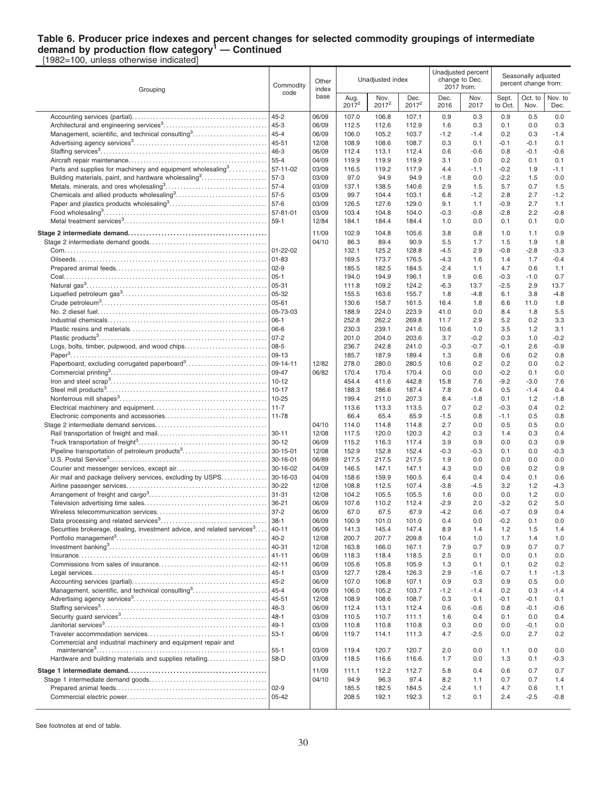#### **Table 6. Producer price indexes and percent changes for selected commodity groupings of intermediate demand by production flow category<sup>1</sup> — Continued** [1982=100, unless otherwise indicated]

Grouping Commodity code **Other** index base Unadiusted index Unadjusted percent change to Dec. 2017 from: Seasonally adjusted percent change from: Aug. 2017 **Nov.** 2017<sup>2</sup> Dec 2017<sup>2</sup> Dec. 2016 Nov. 2017 **Sept.** to Oct Oct. to Nov. Nov. to Dec. Accounting services (partial). . . . . . . . . . . . . . . . . . . . . . . . . . . . . . . . . . . . . . . . . . . . . 45-2 06/09 107.0 106.8 107.1 0.9 0.3 0.9 0.5 0.0 Architectural and engineering services<sup>3</sup> . . . . . . . . . . . . . . . . . . . . . . . . . . . . . . . . . . . 45-3 06/09 112.5 112.6 112.9 1.6 0.3 0.1 0.0 0.3 Management, scientific, and technical consulting<sup>3</sup> . . . . . . . . . . . . . . . . . . . . . . . . . 45-4 06/09 106.0 105.2 103.7 -1.2 -1.4 0.2 0.3 -1.4 Advertising agency services<sup>3</sup> . . . . . . . . . . . . . . . . . . . . . . . . . . . . . . . . . . . . . . . . . . . . . 45-51 12/08 108.9 108.6 108.7 0.3 0.1 -0.1 -0.1 0.1 Staffing services<sup>3</sup> . . . . . . . . . . . . . . . . . . . . . . . . . . . . . . . . . . . . . . . . . . . . . . . . . . . . . . . . 46-3 06/09 112.4 113.1 112.4 0.6 -0.6 0.8 -0.1 -0.6 Aircraft repair maintenance. . . . . . . . . . . . . . . . . . . . . . . . . . . . . . . . . . . . . . . . . . . . . . 55-4 04/09 119.9 119.9 119.9 3.1 0.0 0.2 0.1 0.1 Parts and supplies for machinery and equipment wholesaling<sup>3</sup>........... | 57-11-02  $\|$  03/09  $\|$  116.5 119.2 117.9  $\|$  4.4 -1.1 | -0.2 1.9 -1.1 Building materials, paint, and hardware wholesaling<sup>3</sup> . . . . . . . . . . . . . . . . . . . . . . 57-3 03/09 97.0 94.9 94.9 -1.8 0.0 -2.2 1.5 0.0 Metals, minerals, and ores wholesaling<sup>3</sup> . . . . . . . . . . . . . . . . . . . . . . . . . . . . . . . . . . 57-4 03/09 137.1 138.5 140.6 2.9 1.5 5.7 0.7 1.5 Chemicals and allied products wholesaling<sup>3</sup>...............................| 57-5  $\qquad$  | 03/09 | 99.7 104.4 103.1 | 6.8 -1.2 | 2.8 2.7 -1.2 Paper and plastics products wholesaling<sup>3</sup> . . . . . . . . . . . . . . . . . . . . . . . . . . . . . . . . . 57-6 03/09 126.5 127.6 129.0 9.1 1.1 -0.9 2.7 1.1 Food wholesaling<sup>3</sup> . . . . . . . . . . . . . . . . . . . . . . . . . . . . . . . . . . . . . . . . . . . . . . . . . . . . . . . 57-81-01 03/09 103.4 104.8 104.0 -0.3 -0.8 -2.8 2.2 -0.8 Metal treatment services<sup>3</sup> . . . . . . . . . . . . . . . . . . . . . . . . . . . . . . . . . . . . . . . . . . . . . . . . 59-1 12/84 184.1 184.4 184.4 1.0 0.0 0.1 0.1 0.0 **Stage 2 intermediate demand. . . . . . . . . . . . . . . . . . . . . . . . . . . . . . . . . . . . . . . . . . . . . .** 11/09 102.9 104.8 105.6 3.8 0.8 1.0 1.1 0.9 Stage 2 intermediate demand goods. . . . . . . . . . . . . . . . . . . . . . . . . . . . . . . . . . . . . . . 04/10 86.3 89.4 90.9 5.5 1.7 1.5 1.9 1.8 Corn. . . . . . . . . . . . . . . . . . . . . . . . . . . . . . . . . . . . . . . . . . . . . . . . . . . . . . . . . . . . . . . . . . . . 01-22-02 132.1 125.2 128.8 -4.5 2.9 -0.8 -2.8 -3.3 Oilseeds. . . . . . . . . . . . . . . . . . . . . . . . . . . . . . . . . . . . . . . . . . . . . . . . . . . . . . . . . . . . . . . . 01-83 169.5 173.7 176.5 -4.3 1.6 1.4 1.7 -0.4 Prepared animal feeds. . . . . . . . . . . . . . . . . . . . . . . . . . . . . . . . . . . . . . . . . . . . . . . . . . . 02-9 185.5 182.5 184.5 -2.4 1.1 4.7 0.6 1.1 Coal. . . . . . . . . . . . . . . . . . . . . . . . . . . . . . . . . . . . . . . . . . . . . . . . . . . . . . . . . . . . . . . . . . . . 05-1 194.0 194.9 196.1 1.9 0.6 -0.3 -1.0 0.7 Natural gas<sup>3</sup> . . . . . . . . . . . . . . . . . . . . . . . . . . . . . . . . . . . . . . . . . . . . . . . . . . . . . . . . . . . . 05-31 111.8 109.2 124.2 -6.3 13.7 -2.5 2.9 13.7 Liquefied petroleum gas<sup>3</sup> . . . . . . . . . . . . . . . . . . . . . . . . . . . . . . . . . . . . . . . . . . . . . . . . 05-32 155.5 163.6 155.7 1.8 -4.8 6.1 3.8 -4.8 Crude petroleum<sup>3</sup> . . . . . . . . . . . . . . . . . . . . . . . . . . . . . . . . . . . . . . . . . . . . . . . . . . . . . . . 05-61 130.6 158.7 161.5 16.4 1.8 6.6 11.0 1.8 No. 2 diesel fuel. . . . . . . . . . . . . . . . . . . . . . . . . . . . . . . . . . . . . . . . . . . . . . . . . . . . . . . . . 05-73-03 188.9 224.0 223.9 41.0 0.0 8.4 1.8 5.5 Industrial chemicals. . . . . . . . . . . . . . . . . . . . . . . . . . . . . . . . . . . . . . . . . . . . . . . . . . . . . 06-1 252.8 262.2 269.8 11.7 2.9 5.2 0.2 3.3 Plastic resins and materials. . . . . . . . . . . . . . . . . . . . . . . . . . . . . . . . . . . . . . . . . . . . . . 06-6 230.3 239.1 241.6 10.6 1.0 3.5 1.2 3.1 Plastic products<sup>3</sup> . . . . . . . . . . . . . . . . . . . . . . . . . . . . . . . . . . . . . . . . . . . . . . . . . . . . . . . . 07-2 201.0 204.0 203.6 3.7 -0.2 0.3 1.0 -0.2 Logs, bolts, timber, pulpwood, and wood chips. . . . . . . . . . . . . . . . . . . . . . . . . . . 08-5 236.7 242.8 241.0 -0.3 -0.7 -0.1 2.6 -0.9 Paper<sup>3</sup> . . . . . . . . . . . . . . . . . . . . . . . . . . . . . . . . . . . . . . . . . . . . . . . . . . . . . . . . . . . . . . . . . . 09-13 185.7 187.9 189.4 1.3 0.8 0.6 0.2 0.8 Paperboard, excluding corrugated paperboard<sup>3</sup> . . . . . . . . . . . . . . . . . . . . . . . . . . . 09-14-11 12/82 278.0 280.0 280.5 10.6 0.2 0.2 0.0 0.2 Commercial printing<sup>3</sup> . . . . . . . . . . . . . . . . . . . . . . . . . . . . . . . . . . . . . . . . . . . . . . . . . . . . 09-47 06/82 170.4 170.4 170.4 0.0 0.0 -0.2 0.1 0.0 Iron and steel scrap<sup>3</sup> . . . . . . . . . . . . . . . . . . . . . . . . . . . . . . . . . . . . . . . . . . . . . . . . . . . . 10-12 454.4 411.6 442.8 15.8 7.6 -9.2 -3.0 7.6 Steel mill products<sup>3</sup> . . . . . . . . . . . . . . . . . . . . . . . . . . . . . . . . . . . . . . . . . . . . . . . . . . . . . . 10-17 188.3 186.6 187.4 7.8 0.4 0.5 -1.4 0.4 Nonferrous mill shapes<sup>3</sup> . . . . . . . . . . . . . . . . . . . . . . . . . . . . . . . . . . . . . . . . . . . . . . . . . 10-25 199.4 211.0 207.3 8.4 -1.8 0.1 1.2 -1.8 Electrical machinery and equipment. . . . . . . . . . . . . . . . . . . . . . . . . . . . . . . . . . . . . . 11-7 113.6 113.3 113.5 0.7 0.2 -0.3 0.4 0.2 Electronic components and accessories. . . . . . . . . . . . . . . . . . . . . . . . . . . . . . . . . . 11-78 66.4 65.4 65.9 -1.5 0.8 -1.1 0.5 0.8 Stage 2 intermediate demand services. . . . . . . . . . . . . . . . . . . . . . . . . . . . . . . . . . . . . 04/10 114.0 114.8 114.8 2.7 0.0 0.5 0.5 0.0 Rail transportation of freight and mail. . . . . . . . . . . . . . . . . . . . . . . . . . . . . . . . . . . . . 30-11 12/08 117.5 120.0 120.3 4.2 0.3 1.4 0.3 0.4 Truck transportation of freight<sup>3</sup> . . . . . . . . . . . . . . . . . . . . . . . . . . . . . . . . . . . . . . . . . . . 30-12 06/09 115.2 116.3 117.4 3.9 0.9 0.0 0.3 0.9 Pipeline transportation of petroleum products<sup>3</sup> . . . . . . . . . . . . . . . . . . . . . . . . . . . . 30-15-01 12/08 152.9 152.8 152.4 -0.3 -0.3 0.1 0.0 -0.3 U.S. Postal Service<sup>3</sup> . . . . . . . . . . . . . . . . . . . . . . . . . . . . . . . . . . . . . . . . . . . . . . . . . . . . . 30-16-01 06/89 217.5 217.5 217.5 1.9 0.0 0.0 0.0 0.0 Courier and messenger services, except air. . . . . . . . . . . . . . . . . . . . . . . . . . . . . . 30-16-02 04/09 146.5 147.1 147.1 4.3 0.0 0.6 0.2 0.9 Air mail and package delivery services, excluding by USPS. . . . . . . . . . . . . 30-16-03  $\vert$  0.409 | 158.6 159.9 160.5 | 6.4 0.4 0.4 0.4 0.1 0.6 Airline passenger services. . . . . . . . . . . . . . . . . . . . . . . . . . . . . . . . . . . . . . . . . . . . . . . 30-22 12/08 108.8 112.5 107.4 -3.8 -4.5 3.2 1.2 -4.3 Arrangement of freight and cargo<sup>3</sup> . . . . . . . . . . . . . . . . . . . . . . . . . . . . . . . . . . . . . . . 31-31 12/08 104.2 105.5 105.5 1.6 0.0 0.0 1.2 0.0 Television advertising time sales. . . . . . . . . . . . . . . . . . . . . . . . . . . . . . . . . . . . . . . . . 36-21 06/09 107.6 110.2 112.4 -2.9 2.0 -3.2 0.2 5.0 Wireless telecommunication services. . . . . . . . . . . . . . . . . . . . . . . . . . . . . . . . . . . . . 37-2 06/09 67.0 67.5 67.9 -4.2 0.6 -0.7 0.9 0.4 Data processing and related services<sup>3</sup> . . . . . . . . . . . . . . . . . . . . . . . . . . . . . . . . . . . . 38-1 06/09 100.9 101.0 101.0 0.4 0.0 -0.2 0.1 0.0 Securities brokerage, dealing, investment advice, and related services<sup>3</sup>... ....|40-11 |06/09 | 141.3 145.4 147.4 | 8.9 1.4 | 1.2 1.5 1.4 Portfolio management<sup>3</sup> . . . . . . . . . . . . . . . . . . . . . . . . . . . . . . . . . . . . . . . . . . . . . . . . . . 40-2 12/08 200.7 207.7 209.8 10.4 1.0 1.7 1.4 1.0 Investment banking<sup>3</sup> . . . . . . . . . . . . . . . . . . . . . . . . . . . . . . . . . . . . . . . . . . . . . . . . . . . . . 40-31 12/08 163.8 166.0 167.1 7.9 0.7 0.9 0.7 0.7 Insurance. . . . . . . . . . . . . . . . . . . . . . . . . . . . . . . . . . . . . . . . . . . . . . . . . . . . . . . . . . . . . . . 41-11 06/09 118.3 118.4 118.5 2.5 0.1 0.0 0.1 0.0 Commissions from sales of insurance. . . . . . . . . . . . . . . . . . . . . . . . . . . . . . . . . . . . 42-11 06/09 105.6 105.8 105.9 1.3 0.1 0.1 0.2 0.2 Legal services. . . . . . . . . . . . . . . . . . . . . . . . . . . . . . . . . . . . . . . . . . . . . . . . . . . . . . . . . . . 45-1 03/09 127.7 128.4 126.3 2.9 -1.6 0.7 1.1 -1.3 Accounting services (partial). . . . . . . . . . . . . . . . . . . . . . . . . . . . . . . . . . . . . . . . . . . . . 45-2 06/09 107.0 106.8 107.1 0.9 0.3 0.9 0.5 0.0 Management, scientific, and technical consulting<sup>3</sup> . . . . . . . . . . . . . . . . . . . . . . . . . 45-4 06/09 106.0 105.2 103.7 -1.2 -1.4 0.2 0.3 -1.4 Advertising agency services<sup>3</sup> . . . . . . . . . . . . . . . . . . . . . . . . . . . . . . . . . . . . . . . . . . . . . 45-51 12/08 108.9 108.6 108.7 0.3 0.1 -0.1 -0.1 0.1 Staffing services<sup>3</sup> . . . . . . . . . . . . . . . . . . . . . . . . . . . . . . . . . . . . . . . . . . . . . . . . . . . . . . . . 46-3 06/09 112.4 113.1 112.4 0.6 -0.6 0.8 -0.1 -0.6 Security guard services<sup>3</sup> . . . . . . . . . . . . . . . . . . . . . . . . . . . . . . . . . . . . . . . . . . . . . . . . . 48-1 03/09 110.5 110.7 111.1 1.6 0.4 0.1 0.0 0.4 Janitorial services<sup>3</sup> . . . . . . . . . . . . . . . . . . . . . . . . . . . . . . . . . . . . . . . . . . . . . . . . . . . . . . 49-1 03/09 110.8 110.8 110.8 0.3 0.0 0.0 -0.1 0.0 Traveler accommodation services. . . . . . . . . . . . . . . . . . . . . . . . . . . . . . . . . . . . . . . . 53-1 06/09 119.7 114.1 111.3 4.7 -2.5 0.0 2.7 0.2 Commercial and industrial machinery and equipment repair and maintenance<sup>3</sup> . . . . . . . . . . . . . . . . . . . . . . . . . . . . . . . . . . . . . . . . . . . . . . . . . . . . . . . . . 55-1 03/09 119.4 120.7 120.7 2.0 0.0 1.1 0.0 0.0 Hardware and building materials and supplies retailing. . . . . . . . . . . . . . . . . . . . 58-D 03/09 118.5 116.6 116.6 1.7 0.0 1.3 0.1 -0.3 **Stage 1 intermediate demand. . . . . . . . . . . . . . . . . . . . . . . . . . . . . . . . . . . . . . . . . . . . . .** 11/09 111.1 112.2 112.7 5.8 0.4 0.6 0.7 0.7 Stage 1 intermediate demand goods. . . . . . . . . . . . . . . . . . . . . . . . . . . . . . . . . . . . . . . 04/10 94.9 96.3 97.4 8.2 1.1 0.7 0.7 1.4 Prepared animal feeds. . . . . . . . . . . . . . . . . . . . . . . . . . . . . . . . . . . . . . . . . . . . . . . . . . . 02-9 185.5 182.5 184.5 -2.4 1.1 4.7 0.6 1.1 Commercial electric power. . . . . . . . . . . . . . . . . . . . . . . . . . . . . . . . . . . . . . . . . . . . . . . 05-42 208.5 192.1 192.3 1.2 0.1 2.4 -2.5 -0.8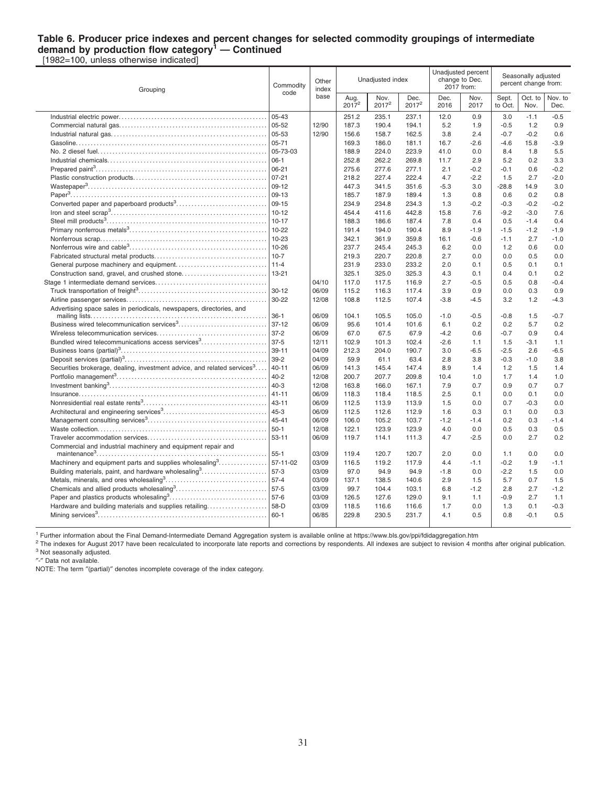#### **Table 6. Producer price indexes and percent changes for selected commodity groupings of intermediate demand by production flow category<sup>1</sup> — Continued** [1982=100, unless otherwise indicated]

Grouping Commodity code **Other** index base Unadjusted index Unadjusted percent change to Dec. 2017 from: Seasonally adjusted percent change from: Aug. 2017 **Nov.** 2017<sup>2</sup> Dec 2017<sup>2</sup> Dec. 2016 Nov. 2017 **Sept.** to Oct Oct. to Nov. Nov. to Dec. Industrial electric power. . . . . . . . . . . . . . . . . . . . . . . . . . . . . . . . . . . . . . . . . . . . . . . . . . 05-43 251.2 235.1 237.1 12.0 0.9 3.0 -1.1 -0.5 Commercial natural gas. . . . . . . . . . . . . . . . . . . . . . . . . . . . . . . . . . . . . . . . . . . . . . . . . . 05-52 12/90 187.3 190.4 194.1 5.2 1.9 -0.5 1.2 0.9 Industrial natural gas. . . . . . . . . . . . . . . . . . . . . . . . . . . . . . . . . . . . . . . . . . . . . . . . . . . . 05-53 12/90 156.6 158.7 162.5 3.8 2.4 -0.7 -0.2 0.6 Gasoline. . . . . . . . . . . . . . . . . . . . . . . . . . . . . . . . . . . . . . . . . . . . . . . . . . . . . . . . . . . . . . . . 05-71 169.3 186.0 181.1 16.7 -2.6 -4.6 15.8 -3.9 No. 2 diesel fuel. . . . . . . . . . . . . . . . . . . . . . . . . . . . . . . . . . . . . . . . . . . . . . . . . . . . . . . . . 05-73-03 188.9 224.0 223.9 41.0 0.0 8.4 1.8 5.5 Industrial chemicals. . . . . . . . . . . . . . . . . . . . . . . . . . . . . . . . . . . . . . . . . . . . . . . . . . . . . 06-1 252.8 262.2 269.8 11.7 2.9 5.2 0.2 3.3 Prepared paint<sup>3</sup> . . . . . . . . . . . . . . . . . . . . . . . . . . . . . . . . . . . . . . . . . . . . . . . . . . . . . . . . . 06-21 275.6 277.6 277.1 2.1 -0.2 -0.1 0.6 -0.2 Plastic construction products. . . . . . . . . . . . . . . . . . . . . . . . . . . . . . . . . . . . . . . . . . . . . 07-21 218.2 227.4 222.4 4.7 -2.2 1.5 2.7 -2.0 Wastepaper<sup>3</sup> . . . . . . . . . . . . . . . . . . . . . . . . . . . . . . . . . . . . . . . . . . . . . . . . . . . . . . . . . . . . 09-12 447.3 341.5 351.6 -5.3 3.0 -28.8 14.9 3.0 Paper<sup>3</sup> . . . . . . . . . . . . . . . . . . . . . . . . . . . . . . . . . . . . . . . . . . . . . . . . . . . . . . . . . . . . . . . . . . 09-13 185.7 187.9 189.4 1.3 0.8 0.6 0.2 0.8 Converted paper and paperboard products<sup>3</sup> . . . . . . . . . . . . . . . . . . . . . . . . . . . . . . 09-15 234.9 234.8 234.3 1.3 -0.2 -0.3 -0.2 -0.2 Iron and steel scrap<sup>3</sup> . . . . . . . . . . . . . . . . . . . . . . . . . . . . . . . . . . . . . . . . . . . . . . . . . . . . 10-12 454.4 411.6 442.8 15.8 7.6 -9.2 -3.0 7.6 Steel mill products<sup>3</sup> . . . . . . . . . . . . . . . . . . . . . . . . . . . . . . . . . . . . . . . . . . . . . . . . . . . . . . 10-17 188.3 186.6 187.4 7.8 0.4 0.5 -1.4 0.4 Primary nonferrous metals<sup>3</sup> . . . . . . . . . . . . . . . . . . . . . . . . . . . . . . . . . . . . . . . . . . . . . . 10-22 191.4 194.0 190.4 8.9 -1.9 -1.5 -1.2 -1.9 Nonferrous scrap. . . . . . . . . . . . . . . . . . . . . . . . . . . . . . . . . . . . . . . . . . . . . . . . . . . . . . . . 10-23 342.1 361.9 359.8 16.1 -0.6 -1.1 2.7 -1.0 Nonferrous wire and cable<sup>3</sup> . . . . . . . . . . . . . . . . . . . . . . . . . . . . . . . . . . . . . . . . . . . . . . 10-26 237.7 245.4 245.3 6.2 0.0 1.2 0.6 0.0 Fabricated structural metal products. . . . . . . . . . . . . . . . . . . . . . . . . . . . . . . . . . . . . . 10-7 219.3 220.7 220.8 2.7 0.0 0.0 0.5 0.0 General purpose machinery and equipment. . . . . . . . . . . . . . . . . . . . . . . . . . . . . . 11-4 231.9 233.0 233.2 2.0 0.1 0.5 0.1 0.1 Construction sand, gravel, and crushed stone. . . . . . . . . . . . . . . . . . . . . . . . . . . . 13-21 325.1 325.0 325.3 4.3 0.1 0.4 0.1 0.2 Stage 1 intermediate demand services. . . . . . . . . . . . . . . . . . . . . . . . . . . . . . . . . . . . . 04/10 117.0 117.5 116.9 2.7 -0.5 0.5 0.8 -0.4 Truck transportation of freight<sup>3</sup> . . . . . . . . . . . . . . . . . . . . . . . . . . . . . . . . . . . . . . . . . . . 30-12 06/09 115.2 116.3 117.4 3.9 0.9 0.0 0.3 0.9 Airline passenger services. . . . . . . . . . . . . . . . . . . . . . . . . . . . . . . . . . . . . . . . . . . . . . . 30-22 12/08 108.8 112.5 107.4 -3.8 -4.5 3.2 1.2 -4.3 Advertising space sales in periodicals, newspapers, directories, and mailing lists. . . . . . . . . . . . . . . . . . . . . . . . . . . . . . . . . . . . . . . . . . . . . . . . . . . . . . . . . . . 36-1 06/09 104.1 105.5 105.0 -1.0 -0.5 -0.8 1.5 -0.7 Business wired telecommunication services<sup>3</sup> . . . . . . . . . . . . . . . . . . . . . . . . . . . . . . 37-12 06/09 95.6 101.4 101.6 6.1 0.2 0.2 5.7 0.2 Wireless telecommunication services. . . . . . . . . . . . . . . . . . . . . . . . . . . . . . . . . . . . . 37-2 06/09 67.0 67.5 67.9 -4.2 0.6 -0.7 0.9 0.4 Bundled wired telecommunications access services<sup>3</sup>...................| 37-5 | 12/11 | 102.9 101.3 102.4 | -2.6 1.1 | 1.5 -3.1 1.1 Business loans (partial)<sup>3</sup> . . . . . . . . . . . . . . . . . . . . . . . . . . . . . . . . . . . . . . . . . . . . . . . . . 39-11 04/09 212.3 204.0 190.7 3.0 -6.5 -2.5 2.6 -6.5 Deposit services (partial)<sup>3</sup> . . . . . . . . . . . . . . . . . . . . . . . . . . . . . . . . . . . . . . . . . . . . . . . . 39-2 04/09 59.9 61.1 63.4 2.8 3.8 -0.3 -1.0 3.8 Securities brokerage, dealing, investment advice, and related services $3 \ldots$ ....|40-11 |06/09 | 141.3 145.4 147.4 | 8.9 1.4 | 1.2 1.5 1.4 Portfolio management<sup>3</sup> . . . . . . . . . . . . . . . . . . . . . . . . . . . . . . . . . . . . . . . . . . . . . . . . . . 40-2 12/08 200.7 207.7 209.8 10.4 1.0 1.7 1.4 1.0 Investment banking<sup>3</sup> . . . . . . . . . . . . . . . . . . . . . . . . . . . . . . . . . . . . . . . . . . . . . . . . . . . . . 40-3 12/08 163.8 166.0 167.1 7.9 0.7 0.9 0.7 0.7 Insurance. . . . . . . . . . . . . . . . . . . . . . . . . . . . . . . . . . . . . . . . . . . . . . . . . . . . . . . . . . . . . . . 41-11 06/09 118.3 118.4 118.5 2.5 0.1 0.0 0.1 0.0 Nonresidential real estate rents<sup>3</sup> . . . . . . . . . . . . . . . . . . . . . . . . . . . . . . . . . . . . . . . . . 43-11 06/09 112.5 113.9 113.9 1.5 0.0 0.7 -0.3 0.0 Architectural and engineering services<sup>3</sup> . . . . . . . . . . . . . . . . . . . . . . . . . . . . . . . . . . . 45-3 06/09 112.5 112.6 112.9 1.6 0.3 0.1 0.0 0.3 Management consulting services<sup>3</sup> . . . . . . . . . . . . . . . . . . . . . . . . . . . . . . . . . . . . . . . . 45-41 06/09 106.0 105.2 103.7 -1.2 -1.4 0.2 0.3 -1.4 Waste collection. . . . . . . . . . . . . . . . . . . . . . . . . . . . . . . . . . . . . . . . . . . . . . . . . . . . . . . . . 50-1 12/08 122.1 123.9 123.9 4.0 0.0 0.5 0.3 0.5 Traveler accommodation services. . . . . . . . . . . . . . . . . . . . . . . . . . . . . . . . . . . . . . . . 53-11 06/09 119.7 114.1 111.3 4.7 -2.5 0.0 2.7 0.2 Commercial and industrial machinery and equipment repair and maintenance<sup>3</sup> . . . . . . . . . . . . . . . . . . . . . . . . . . . . . . . . . . . . . . . . . . . . . . . . . . . . . . . . . 55-1 03/09 119.4 120.7 120.7 2.0 0.0 1.1 0.0 0.0 Machinery and equipment parts and supplies wholesaling<sup>3</sup>..............|57-11-02 | 03/09 | 116.5 119.2 117.9 | 4.4 -1.1 | -0.2 1.9 -1.1 Building materials, paint, and hardware wholesaling<sup>3</sup> . . . . . . . . . . . . . . . . . . . . . . 57-3 03/09 97.0 94.9 94.9 -1.8 0.0 -2.2 1.5 0.0 Metals, minerals, and ores wholesaling<sup>3</sup> . . . . . . . . . . . . . . . . . . . . . . . . . . . . . . . . . . 57-4 03/09 137.1 138.5 140.6 2.9 1.5 5.7 0.7 1.5 Chemicals and allied products wholesaling<sup>3</sup>...............................| 57-5  $\qquad$  | 03/09 | 99.7 104.4 103.1 | 6.8 -1.2 | 2.8 2.7 -1.2 Paper and plastics products wholesaling<sup>3</sup> . . . . . . . . . . . . . . . . . . . . . . . . . . . . . . . . . 57-6 03/09 126.5 127.6 129.0 9.1 1.1 -0.9 2.7 1.1 Hardware and building materials and supplies retailing. . . . . . . . . . . . . . . . . . . . 58-D 03/09 118.5 116.6 116.6 1.7 0.0 1.3 0.1 -0.3 Mining services<sup>3</sup> . . . . . . . . . . . . . . . . . . . . . . . . . . . . . . . . . . . . . . . . . . . . . . . . . . . . . . . . . 60-1 06/85 229.8 230.5 231.7 4.1 0.5 0.8 -0.1 0.5

<sup>1</sup> Further information about the Final Demand-Intermediate Demand Aggregation system is available online at https://www.bls.gov/ppi/fdidaggregation.htm

<sup>2</sup> The indexes for August 2017 have been recalculated to incorporate late reports and corrections by respondents. All indexes are subject to revision 4 months after original publication. <sup>3</sup> Not seasonally adjusted.

″-″ Data not available.

NOTE: The term ″(partial)″ denotes incomplete coverage of the index category.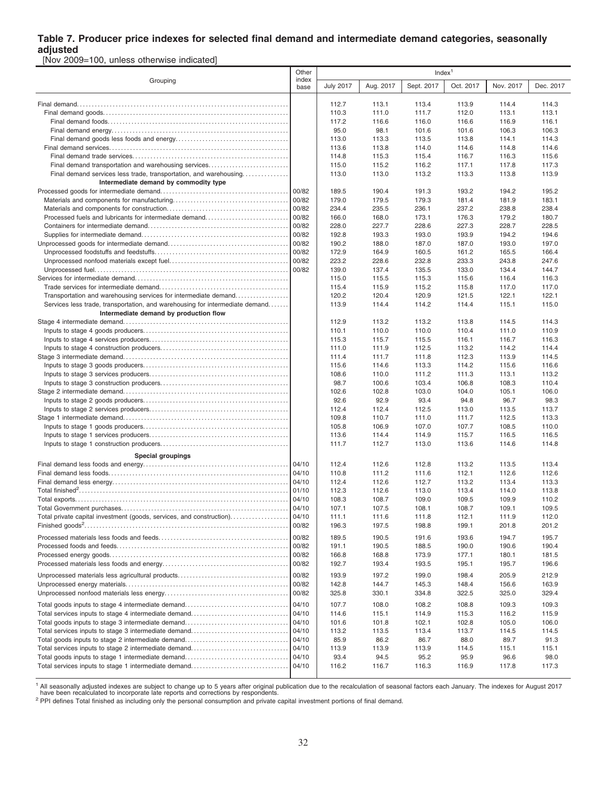#### **Table 7. Producer price indexes for selected final demand and intermediate demand categories, seasonally adjusted**

[Nov 2009=100, unless otherwise indicated]

|                                                                              |                | Index <sup>1</sup> |                |                |                |                |                |  |  |  |
|------------------------------------------------------------------------------|----------------|--------------------|----------------|----------------|----------------|----------------|----------------|--|--|--|
| Grouping                                                                     | index<br>base  | <b>July 2017</b>   | Aug. 2017      | Sept. 2017     | Oct. 2017      | Nov. 2017      | Dec. 2017      |  |  |  |
|                                                                              |                | 112.7              | 113.1          | 113.4          | 113.9          | 114.4          | 114.3          |  |  |  |
|                                                                              |                | 110.3              | 111.0          | 111.7          | 112.0          | 113.1          | 113.1          |  |  |  |
|                                                                              |                | 117.2              | 116.6          | 116.0          | 116.6          | 116.9          | 116.1          |  |  |  |
|                                                                              |                | 95.0               | 98.1           | 101.6          | 101.6          | 106.3          | 106.3          |  |  |  |
|                                                                              |                | 113.0              | 113.3          | 113.5          | 113.8          | 114.1          | 114.3          |  |  |  |
|                                                                              |                | 113.6              | 113.8          | 114.0          | 114.6          | 114.8          | 114.6          |  |  |  |
|                                                                              |                | 114.8              | 115.3          | 115.4          | 116.7          | 116.3          | 115.6          |  |  |  |
| Final demand transportation and warehousing services                         |                | 115.0              | 115.2          | 116.2          | 117.1          | 117.8          | 117.3          |  |  |  |
| Final demand services less trade, transportation, and warehousing            |                | 113.0              | 113.0          | 113.2          | 113.3          | 113.8          | 113.9          |  |  |  |
| Intermediate demand by commodity type                                        |                |                    |                |                |                |                |                |  |  |  |
|                                                                              | 00/82          | 189.5              | 190.4          | 191.3          | 193.2          | 194.2          | 195.2          |  |  |  |
|                                                                              | 00/82          | 179.0              | 179.5          | 179.3          | 181.4          | 181.9          | 183.1          |  |  |  |
|                                                                              | 00/82          | 234.4              | 235.5          | 236.1          | 237.2          | 238.8          | 238.4          |  |  |  |
| Processed fuels and lubricants for intermediate demand                       | 00/82          | 166.0              | 168.0          | 173.1          | 176.3          | 179.2          | 180.7          |  |  |  |
|                                                                              | 00/82          | 228.0              | 227.7          | 228.6          | 227.3          | 228.7          | 228.5          |  |  |  |
|                                                                              | 00/82          | 192.8              | 193.3          | 193.0          | 193.9          | 194.2          | 194.6          |  |  |  |
|                                                                              | 00/82          | 190.2              | 188.0          | 187.0          | 187.0          | 193.0          | 197.0          |  |  |  |
|                                                                              | 00/82          | 172.9              | 164.9          | 160.5          | 161.2          | 165.5          | 166.4          |  |  |  |
|                                                                              | 00/82          | 223.2              | 228.6          | 232.8          | 233.3          | 243.8          | 247.6          |  |  |  |
|                                                                              | 00/82          | 139.0              | 137.4          | 135.5          | 133.0          | 134.4          | 144.7          |  |  |  |
|                                                                              |                | 115.0              | 115.5<br>115.9 | 115.3<br>115.2 | 115.6          | 116.4          | 116.3<br>117.0 |  |  |  |
| Transportation and warehousing services for intermediate demand              |                | 115.4<br>120.2     | 120.4          | 120.9          | 115.8<br>121.5 | 117.0<br>122.1 | 122.1          |  |  |  |
| Services less trade, transportation, and warehousing for intermediate demand |                | 113.9              | 114.4          | 114.2          | 114.4          | 115.1          | 115.0          |  |  |  |
| Intermediate demand by production flow                                       |                |                    |                |                |                |                |                |  |  |  |
|                                                                              |                | 112.9              | 113.2          | 113.2          | 113.8          | 114.5          | 114.3          |  |  |  |
|                                                                              |                | 110.1              | 110.0          | 110.0          | 110.4          | 111.0          | 110.9          |  |  |  |
|                                                                              |                | 115.3              | 115.7          | 115.5          | 116.1          | 116.7          | 116.3          |  |  |  |
|                                                                              |                | 111.0              | 111.9          | 112.5          | 113.2          | 114.2          | 114.4          |  |  |  |
|                                                                              |                | 111.4              | 111.7          | 111.8          | 112.3          | 113.9          | 114.5          |  |  |  |
|                                                                              |                | 115.6              | 114.6          | 113.3          | 114.2          | 115.6          | 116.6          |  |  |  |
|                                                                              |                | 108.6              | 110.0          | 111.2          | 111.3          | 113.1          | 113.2          |  |  |  |
|                                                                              |                | 98.7               | 100.6          | 103.4          | 106.8          | 108.3          | 110.4          |  |  |  |
|                                                                              |                | 102.6              | 102.8          | 103.0          | 104.0          | 105.1          | 106.0          |  |  |  |
|                                                                              |                | 92.6               | 92.9           | 93.4           | 94.8           | 96.7           | 98.3           |  |  |  |
|                                                                              |                | 112.4              | 112.4          | 112.5          | 113.0          | 113.5          | 113.7          |  |  |  |
|                                                                              |                | 109.8              | 110.7          | 111.0          | 111.7          | 112.5          | 113.3          |  |  |  |
|                                                                              |                | 105.8              | 106.9          | 107.0          | 107.7          | 108.5          | 110.0          |  |  |  |
|                                                                              |                | 113.6              | 114.4          | 114.9          | 115.7          | 116.5          | 116.5          |  |  |  |
|                                                                              |                | 111.7              | 112.7          | 113.0          | 113.6          | 114.6          | 114.8          |  |  |  |
| Special groupings                                                            |                |                    |                |                |                |                |                |  |  |  |
|                                                                              | 04/10          | 112.4              | 112.6          | 112.8          | 113.2          | 113.5          | 113.4          |  |  |  |
|                                                                              | 04/10          | 110.8              | 111.2          | 111.6          | 112.1          | 112.6          | 112.6          |  |  |  |
|                                                                              | 04/10          | 112.4              | 112.6          | 112.7          | 113.2          | 113.4          | 113.3          |  |  |  |
|                                                                              | 01/10          | 112.3              | 112.6          | 113.0          | 113.4          | 114.0          | 113.8          |  |  |  |
|                                                                              | 04/10          | 108.3              | 108.7          | 109.0          | 109.5          | 109.9          | 110.2          |  |  |  |
| Total private capital investment (goods, services, and construction).        | 04/10<br>04/10 | 107.1              | 107.5          | 108.1          | 108.7<br>112.1 | 109.1          | 109.5          |  |  |  |
|                                                                              | 00/82          | 111.1<br>196.3     | 111.6<br>197.5 | 111.8<br>198.8 | 199.1          | 111.9<br>201.8 | 112.0<br>201.2 |  |  |  |
|                                                                              |                |                    |                |                |                |                |                |  |  |  |
|                                                                              | 00/82          | 189.5              | 190.5          | 191.6          | 193.6          | 194.7          | 195.7          |  |  |  |
|                                                                              | 00/82          | 191.1              | 190.5          | 188.5          | 190.0          | 190.6          | 190.4          |  |  |  |
|                                                                              | 00/82          | 166.8              | 168.8          | 173.9          | 177.1          | 180.1          | 181.5          |  |  |  |
|                                                                              | 00/82          | 192.7              | 193.4          | 193.5          | 195.1          | 195.7          | 196.6          |  |  |  |
|                                                                              | 00/82          | 193.9              | 197.2          | 199.0          | 198.4          | 205.9          | 212.9          |  |  |  |
|                                                                              | 00/82          | 142.8              | 144.7          | 145.3          | 148.4          | 156.6          | 163.9          |  |  |  |
|                                                                              | 00/82          | 325.8              | 330.1          | 334.8          | 322.5          | 325.0          | 329.4          |  |  |  |
| Total goods inputs to stage 4 intermediate demand                            | 04/10          | 107.7              | 108.0          | 108.2          | 108.8          | 109.3          | 109.3          |  |  |  |
| Total services inputs to stage 4 intermediate demand                         | 04/10          | 114.6              | 115.1          | 114.9          | 115.3          | 116.2          | 115.9          |  |  |  |
|                                                                              | 04/10          | 101.6              | 101.8          | 102.1          | 102.8          | 105.0          | 106.0          |  |  |  |
| Total services inputs to stage 3 intermediate demand                         | 04/10          | 113.2              | 113.5          | 113.4          | 113.7          | 114.5          | 114.5          |  |  |  |
| Total goods inputs to stage 2 intermediate demand                            | 04/10          | 85.9               | 86.2           | 86.7           | 88.0           | 89.7           | 91.3           |  |  |  |
| Total services inputs to stage 2 intermediate demand                         | 04/10          | 113.9              | 113.9          | 113.9          | 114.5          | 115.1          | 115.1          |  |  |  |
|                                                                              | 04/10          | 93.4               | 94.5           | 95.2           | 95.9           | 96.6           | 98.0           |  |  |  |
| Total services inputs to stage 1 intermediate demand                         | 04/10          | 116.2              | 116.7          | 116.3          | 116.9          | 117.8          | 117.3          |  |  |  |

<sup>1</sup> All seasonally adjusted indexes are subject to change up to 5 years after original publication due to the recalculation of seasonal factors each January. The indexes for August 2017<br>have been recalculated to incorporat